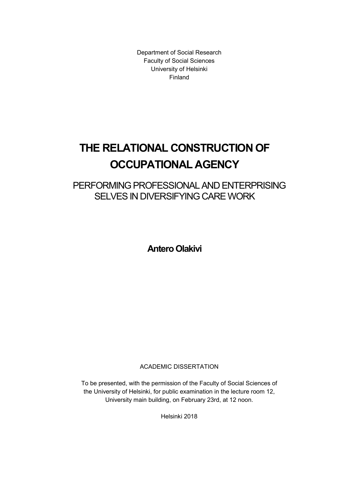Department of Social Research Faculty of Social Sciences University of Helsinki Finland

# THE RELATIONAL CONSTRUCTION OF OCCUPATIONAL AGENCY

PERFORMING PROFESSIONAL AND ENTERPRISING SELVES IN DIVERSIFYING CARE WORK

Antero Olakivi

ACADEMIC DISSERTATION

To be presented, with the permission of the Faculty of Social Sciences of the University of Helsinki, for public examination in the lecture room 12, University main building, on February 23rd, at 12 noon.

Helsinki 2018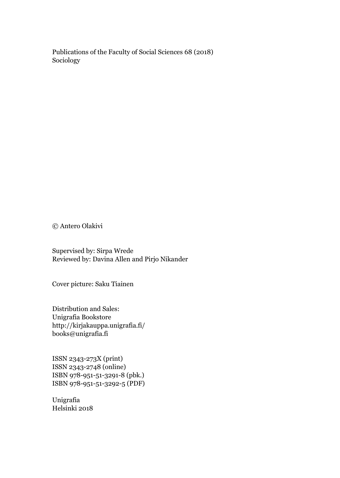Publications of the Faculty of Social Sciences 68 (2018) Sociology

© Antero Olakivi

Supervised by: Sirpa Wrede Reviewed by: Davina Allen and Pirjo Nikander

Cover picture: Saku Tiainen

Distribution and Sales: Unigrafia Bookstore http://kirjakauppa.unigrafia.fi/ books@unigrafia.fi

ISSN 2343-273X (print) ISSN 2343-2748 (online) ISBN 978-951-51-3291-8 (pbk.) ISBN 978-951-51-3292-5 (PDF)

Unigrafia Helsinki 2018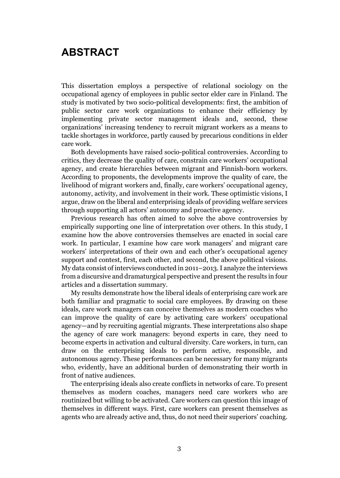### ABSTRACT

This dissertation employs a perspective of relational sociology on the occupational agency of employees in public sector elder care in Finland. The study is motivated by two socio-political developments: first, the ambition of public sector care work organizations to enhance their efficiency by implementing private sector management ideals and, second, these organizations' increasing tendency to recruit migrant workers as a means to tackle shortages in workforce, partly caused by precarious conditions in elder care work.

Both developments have raised socio-political controversies. According to critics, they decrease the quality of care, constrain care workers' occupational agency, and create hierarchies between migrant and Finnish-born workers. According to proponents, the developments improve the quality of care, the livelihood of migrant workers and, finally, care workers' occupational agency, autonomy, activity, and involvement in their work. These optimistic visions, I argue, draw on the liberal and enterprising ideals of providing welfare services through supporting all actors' autonomy and proactive agency.

Previous research has often aimed to solve the above controversies by empirically supporting one line of interpretation over others. In this study, I examine how the above controversies themselves are enacted in social care work. In particular, I examine how care work managers' and migrant care workers' interpretations of their own and each other's occupational agency support and contest, first, each other, and second, the above political visions. My data consist of interviews conducted in 2011–2013. I analyze the interviews from a discursive and dramaturgical perspective and present the results in four articles and a dissertation summary.

My results demonstrate how the liberal ideals of enterprising care work are both familiar and pragmatic to social care employees. By drawing on these ideals, care work managers can conceive themselves as modern coaches who can improve the quality of care by activating care workers' occupational agency—and by recruiting agential migrants. These interpretations also shape the agency of care work managers: beyond experts in care, they need to become experts in activation and cultural diversity. Care workers, in turn, can draw on the enterprising ideals to perform active, responsible, and autonomous agency. These performances can be necessary for many migrants who, evidently, have an additional burden of demonstrating their worth in front of native audiences.

The enterprising ideals also create conflicts in networks of care. To present themselves as modern coaches, managers need care workers who are routinized but willing to be activated. Care workers can question this image of themselves in different ways. First, care workers can present themselves as agents who are already active and, thus, do not need their superiors' coaching.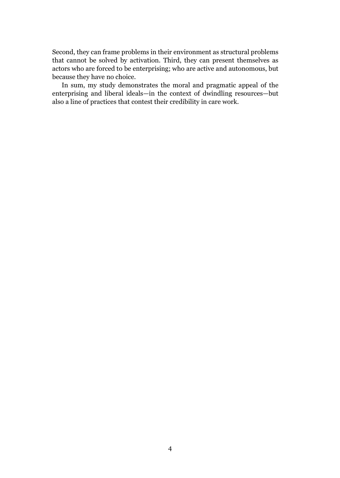Second, they can frame problems in their environment as structural problems that cannot be solved by activation. Third, they can present themselves as actors who are forced to be enterprising; who are active and autonomous, but because they have no choice.

In sum, my study demonstrates the moral and pragmatic appeal of the enterprising and liberal ideals—in the context of dwindling resources—but also a line of practices that contest their credibility in care work.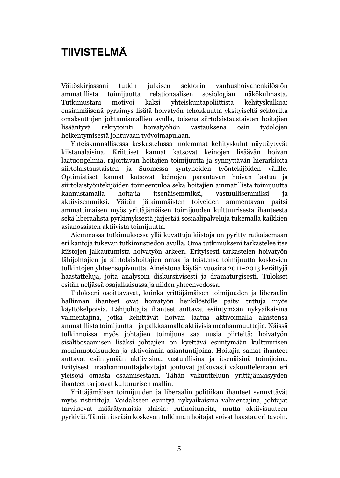## TIIVISTELMÄ

Väitöskirjassani tutkin julkisen sektorin vanhushoivahenkilöstön ammatillista toimijuutta relationaalisen sosiologian näkökulmasta. Tutkimustani motivoi kaksi yhteiskuntapoliittista kehityskulkua: ensimmäisenä pyrkimys lisätä hoivatyön tehokkuutta yksityiseltä sektorilta omaksuttujen johtamismallien avulla, toisena siirtolaistaustaisten hoitajien lisääntyvä rekrytointi hoivatyöhön vastauksena osin työolojen heikentymisestä johtuvaan työvoimapulaan.

Yhteiskunnallisessa keskustelussa molemmat kehityskulut näyttäytyvät kiistanalaisina. Kriittiset kannat katsovat keinojen lisäävän hoivan laatuongelmia, rajoittavan hoitajien toimijuutta ja synnyttävän hierarkioita siirtolaistaustaisten ja Suomessa syntyneiden työntekijöiden välille. Optimistiset kannat katsovat keinojen parantavan hoivan laatua ja siirtolaistyöntekijöiden toimeentuloa sekä hoitajien ammatillista toimijuutta kannustamalla hoitajia itsenäisemmiksi, vastuullisemmiksi ja aktiivisemmiksi. Väitän jälkimmäisten toiveiden ammentavan paitsi ammattimaisen myös yrittäjämäisen toimijuuden kulttuurisesta ihanteesta sekä liberaalista pyrkimyksestä järjestää sosiaalipalveluja tukemalla kaikkien asianosaisten aktiivista toimijuutta.

Aiemmassa tutkimuksessa yllä kuvattuja kiistoja on pyritty ratkaisemaan eri kantoja tukevan tutkimustiedon avulla. Oma tutkimukseni tarkastelee itse kiistojen jalkautumista hoivatyön arkeen. Erityisesti tarkastelen hoivatyön lähijohtajien ja siirtolaishoitajien omaa ja toistensa toimijuutta koskevien tulkintojen yhteensopivuutta. Aineistona käytän vuosina 2011–2013 kerättyjä haastatteluja, joita analysoin diskursiivisesti ja dramaturgisesti. Tulokset esitän neljässä osajulkaisussa ja niiden yhteenvedossa.

Tulokseni osoittavavat, kuinka yrittäjämäisen toimijuuden ja liberaalin hallinnan ihanteet ovat hoivatyön henkilöstölle paitsi tuttuja myös käyttökelpoisia. Lähijohtajia ihanteet auttavat esiintymään nykyaikaisina valmentajina, jotka kehittävät hoivan laatua aktivoimalla alaistensa ammatillista toimijuutta—ja palkkaamalla aktiivisia maahanmuuttajia. Näissä tulkinnoissa myös johtajien toimijuus saa uusia piirteitä: hoivatyön sisältöosaamisen lisäksi johtajien on kyettävä esiintymään kulttuurisen monimuotoisuuden ja aktivoinnin asiantuntijoina. Hoitajia samat ihanteet auttavat esiintymään aktiivisina, vastuullisina ja itsenäisinä toimijoina. Erityisesti maahanmuuttajahoitajat joutuvat jatkuvasti vakuuttelemaan eri yleisöjä omasta osaamisestaan. Tähän vakuutteluun yrittäjämäisyyden ihanteet tarjoavat kulttuurisen mallin.

Yrittäjämäisen toimijuuden ja liberaalin politiikan ihanteet synnyttävät myös ristiriitoja. Voidakseen esiintyä nykyaikaisina valmentajina, johtajat tarvitsevat määrätynlaisia alaisia: rutinoituneita, mutta aktiivisuuteen pyrkiviä. Tämän itseään koskevan tulkinnan hoitajat voivat haastaa eri tavoin.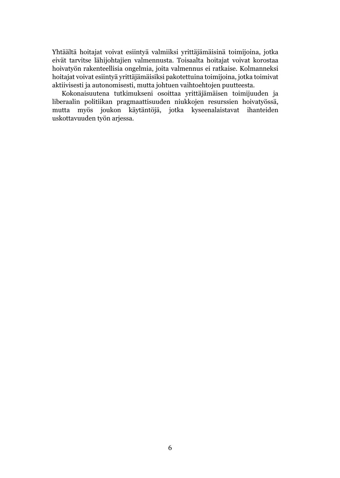Yhtäältä hoitajat voivat esiintyä valmiiksi yrittäjämäisinä toimijoina, jotka eivät tarvitse lähijohtajien valmennusta. Toisaalta hoitajat voivat korostaa hoivatyön rakenteellisia ongelmia, joita valmennus ei ratkaise. Kolmanneksi hoitajat voivat esiintyä yrittäjämäisiksi pakotettuina toimijoina, jotka toimivat aktiivisesti ja autonomisesti, mutta johtuen vaihtoehtojen puutteesta.

Kokonaisuutena tutkimukseni osoittaa yrittäjämäisen toimijuuden ja liberaalin politiikan pragmaattisuuden niukkojen resurssien hoivatyössä, mutta myös joukon käytäntöjä, jotka kyseenalaistavat ihanteiden uskottavuuden työn arjessa.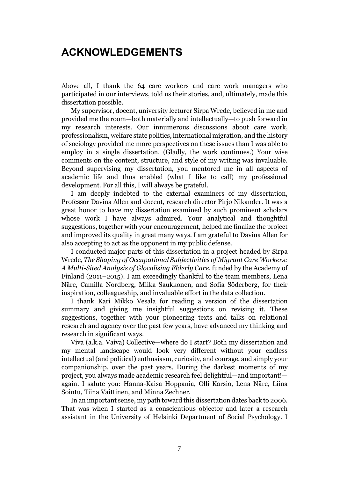### ACKNOWLEDGEMENTS

Above all, I thank the 64 care workers and care work managers who participated in our interviews, told us their stories, and, ultimately, made this dissertation possible.

My supervisor, docent, university lecturer Sirpa Wrede, believed in me and provided me the room—both materially and intellectually—to push forward in my research interests. Our innumerous discussions about care work, professionalism, welfare state politics, international migration, and the history of sociology provided me more perspectives on these issues than I was able to employ in a single dissertation. (Gladly, the work continues.) Your wise comments on the content, structure, and style of my writing was invaluable. Beyond supervising my dissertation, you mentored me in all aspects of academic life and thus enabled (what I like to call) my professional development. For all this, I will always be grateful.

I am deeply indebted to the external examiners of my dissertation, Professor Davina Allen and docent, research director Pirjo Nikander. It was a great honor to have my dissertation examined by such prominent scholars whose work I have always admired. Your analytical and thoughtful suggestions, together with your encouragement, helped me finalize the project and improved its quality in great many ways. I am grateful to Davina Allen for also accepting to act as the opponent in my public defense.

I conducted major parts of this dissertation in a project headed by Sirpa Wrede, *The Shaping of Occupational Subjectivities of Migrant Care Workers: A Multi-Sited Analysis of Glocalising Elderly Care*, funded by the Academy of Finland (2011–2015). I am exceedingly thankful to the team members, Lena Näre, Camilla Nordberg, Miika Saukkonen, and Sofia Söderberg, for their inspiration, colleagueship, and invaluable effort in the data collection.

I thank Kari Mikko Vesala for reading a version of the dissertation summary and giving me insightful suggestions on revising it. These suggestions, together with your pioneering texts and talks on relational research and agency over the past few years, have advanced my thinking and research in significant ways.

Viva (a.k.a. Vaiva) Collective—where do I start? Both my dissertation and my mental landscape would look very different without your endless intellectual (and political) enthusiasm, curiosity, and courage, and simply your companionship, over the past years. During the darkest moments of my project, you always made academic research feel delightful—and important! again. I salute you: Hanna-Kaisa Hoppania, Olli Karsio, Lena Näre, Liina Sointu, Tiina Vaittinen, and Minna Zechner.

In an important sense, my path toward this dissertation dates back to 2006. That was when I started as a conscientious objector and later a research assistant in the University of Helsinki Department of Social Psychology. I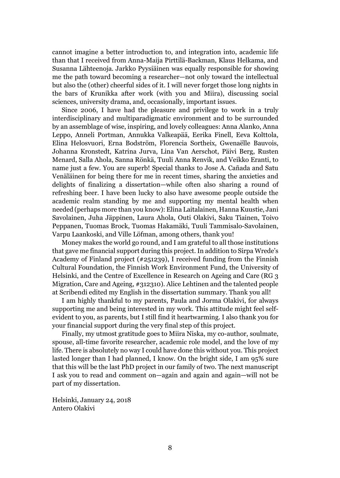cannot imagine a better introduction to, and integration into, academic life than that I received from Anna-Maija Pirttilä-Backman, Klaus Helkama, and Susanna Lähteenoja. Jarkko Pyysiäinen was equally responsible for showing me the path toward becoming a researcher—not only toward the intellectual but also the (other) cheerful sides of it. I will never forget those long nights in the bars of Krunikka after work (with you and Miira), discussing social sciences, university drama, and, occasionally, important issues.

Since 2006, I have had the pleasure and privilege to work in a truly interdisciplinary and multiparadigmatic environment and to be surrounded by an assemblage of wise, inspiring, and lovely colleagues: Anna Alanko, Anna Leppo, Anneli Portman, Annukka Valkeapää, Eerika Finell, Eeva Kolttola, Elina Helosvuori, Erna Bodström, Florencia Sortheix, Gwenaëlle Bauvois, Johanna Kronstedt, Katrina Jurva, Lina Van Aerschot, Päivi Berg, Rusten Menard, Salla Ahola, Sanna Rönkä, Tuuli Anna Renvik, and Veikko Eranti, to name just a few. You are superb! Special thanks to Jose A. Cañada and Satu Venäläinen for being there for me in recent times, sharing the anxieties and delights of finalizing a dissertation—while often also sharing a round of refreshing beer. I have been lucky to also have awesome people outside the academic realm standing by me and supporting my mental health when needed (perhaps more than you know): Elina Laitalainen, Hanna Kuustie, Jani Savolainen, Juha Jäppinen, Laura Ahola, Outi Olakivi, Saku Tiainen, Toivo Peppanen, Tuomas Brock, Tuomas Hakamäki, Tuuli Tammisalo-Savolainen, Varpu Laankoski, and Ville Löfman, among others, thank you!

Money makes the world go round, and I am grateful to all those institutions that gave me financial support during this project. In addition to Sirpa Wrede's Academy of Finland project (#251239), I received funding from the Finnish Cultural Foundation, the Finnish Work Environment Fund, the University of Helsinki, and the Centre of Excellence in Research on Ageing and Care (RG 3 Migration, Care and Ageing, #312310). Alice Lehtinen and the talented people at Scribendi edited my English in the dissertation summary. Thank you all!

I am highly thankful to my parents, Paula and Jorma Olakivi, for always supporting me and being interested in my work. This attitude might feel selfevident to you, as parents, but I still find it heartwarming. I also thank you for your financial support during the very final step of this project.

Finally, my utmost gratitude goes to Miira Niska, my co-author, soulmate, spouse, all-time favorite researcher, academic role model, and the love of my life. There is absolutely no way I could have done this without you. This project lasted longer than I had planned, I know. On the bright side, I am 95% sure that this will be the last PhD project in our family of two. The next manuscript I ask you to read and comment on—again and again and again—will not be part of my dissertation.

Helsinki, January 24, 2018 Antero Olakivi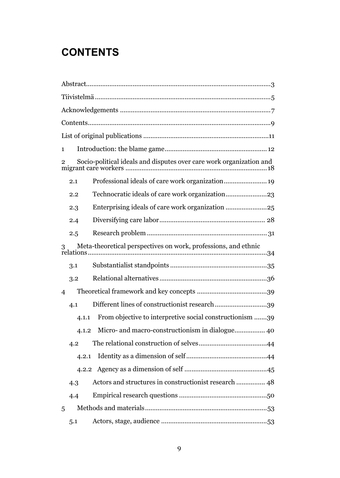## **CONTENTS**

| 1                                                                   |       |                                                          |  |  |
|---------------------------------------------------------------------|-------|----------------------------------------------------------|--|--|
| Socio-political ideals and disputes over care work organization and |       |                                                          |  |  |
|                                                                     | 2.1   |                                                          |  |  |
|                                                                     | 2.2   |                                                          |  |  |
|                                                                     | 2.3   |                                                          |  |  |
|                                                                     | 2.4   |                                                          |  |  |
|                                                                     | 2.5   |                                                          |  |  |
| Meta-theoretical perspectives on work, professions, and ethnic      |       |                                                          |  |  |
|                                                                     | 3.1   |                                                          |  |  |
|                                                                     | 3.2   |                                                          |  |  |
| 4                                                                   |       |                                                          |  |  |
|                                                                     | 4.1   | Different lines of constructionist research 39           |  |  |
|                                                                     | 4.1.1 | From objective to interpretive social constructionism 39 |  |  |
|                                                                     | 4.1.2 |                                                          |  |  |
|                                                                     | 4.2   |                                                          |  |  |
|                                                                     | 4.2.1 |                                                          |  |  |
|                                                                     | 4.2.2 |                                                          |  |  |
|                                                                     | 4.3   | Actors and structures in constructionist research  48    |  |  |
|                                                                     | 4.4   |                                                          |  |  |
| 5                                                                   |       |                                                          |  |  |
|                                                                     | 5.1   |                                                          |  |  |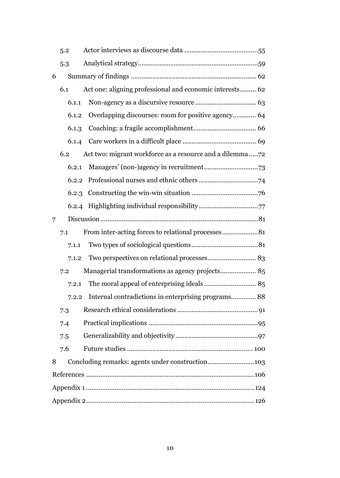|   | 5.2   |                                                          |  |  |  |
|---|-------|----------------------------------------------------------|--|--|--|
|   | 5.3   |                                                          |  |  |  |
| 6 |       |                                                          |  |  |  |
|   | 6.1   | Act one: aligning professional and economic interests 62 |  |  |  |
|   | 6.1.1 |                                                          |  |  |  |
|   | 6.1.2 | Overlapping discourses: room for positive agency 64      |  |  |  |
|   | 6.1.3 |                                                          |  |  |  |
|   | 6.1.4 |                                                          |  |  |  |
|   | 6.2   |                                                          |  |  |  |
|   | 6.2.1 |                                                          |  |  |  |
|   | 6.2.2 |                                                          |  |  |  |
|   | 6.2.3 |                                                          |  |  |  |
|   |       |                                                          |  |  |  |
| 7 |       |                                                          |  |  |  |
|   | 7.1   | From inter-acting forces to relational processes81       |  |  |  |
|   | 7.1.1 |                                                          |  |  |  |
|   | 7.1.2 |                                                          |  |  |  |
|   | 7.2   | Managerial transformations as agency projects 85         |  |  |  |
|   | 7.2.1 |                                                          |  |  |  |
|   | 7.2.2 | Internal contradictions in enterprising programs 88      |  |  |  |
|   | 7.3   |                                                          |  |  |  |
|   | 7.4   |                                                          |  |  |  |
|   | 7.5   |                                                          |  |  |  |
|   | 7.6   |                                                          |  |  |  |
| 8 |       | Concluding remarks: agents under construction103         |  |  |  |
|   |       |                                                          |  |  |  |
|   |       |                                                          |  |  |  |
|   |       |                                                          |  |  |  |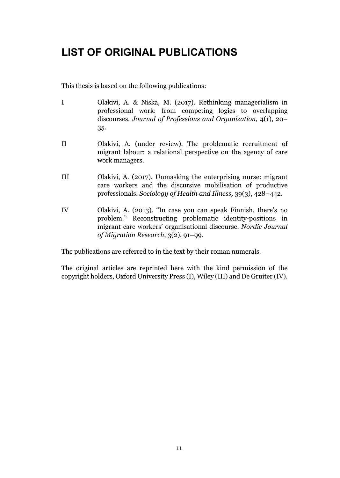## LIST OF ORIGINAL PUBLICATIONS

This thesis is based on the following publications:

- I Olakivi, A. & Niska, M. (2017). Rethinking managerialism in professional work: from competing logics to overlapping discourses. *Journal of Professions and Organization,* 4(1), 20– 35.
- II Olakivi, A. (under review). The problematic recruitment of migrant labour: a relational perspective on the agency of care work managers.
- III Olakivi, A. (2017). Unmasking the enterprising nurse: migrant care workers and the discursive mobilisation of productive professionals. *Sociology of Health and Illness,* 39(3), 428–442.
- IV Olakivi, A. (2013). "In case you can speak Finnish, there's no problem." Reconstructing problematic identity-positions in migrant care workers' organisational discourse. *Nordic Journal of Migration Research*, 3(2), 91–99.

The publications are referred to in the text by their roman numerals.

The original articles are reprinted here with the kind permission of the copyright holders, Oxford University Press (I), Wiley (III) and De Gruiter (IV).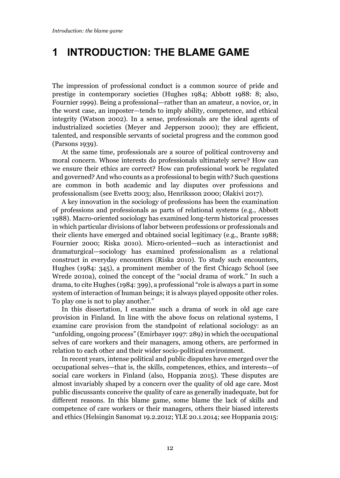## 1 INTRODUCTION: THE BLAME GAME

The impression of professional conduct is a common source of pride and prestige in contemporary societies (Hughes 1984; Abbott 1988: 8; also, Fournier 1999). Being a professional—rather than an amateur, a novice, or, in the worst case, an imposter—tends to imply ability, competence, and ethical integrity (Watson 2002). In a sense, professionals are the ideal agents of industrialized societies (Meyer and Jepperson 2000); they are efficient, talented, and responsible servants of societal progress and the common good (Parsons 1939).

At the same time, professionals are a source of political controversy and moral concern. Whose interests do professionals ultimately serve? How can we ensure their ethics are correct? How can professional work be regulated and governed? And who counts as a professional to begin with? Such questions are common in both academic and lay disputes over professions and professionalism (see Evetts 2003; also, Henriksson 2000; Olakivi 2017).

A key innovation in the sociology of professions has been the examination of professions and professionals as parts of relational systems (e.g., Abbott 1988). Macro-oriented sociology has examined long-term historical processes in which particular divisions of labor between professions or professionals and their clients have emerged and obtained social legitimacy (e.g., Brante 1988; Fournier 2000; Riska 2010). Micro-oriented—such as interactionist and dramaturgical—sociology has examined professionalism as a relational construct in everyday encounters (Riska 2010). To study such encounters, Hughes (1984: 345), a prominent member of the first Chicago School (see Wrede 2010a), coined the concept of the "social drama of work." In such a drama, to cite Hughes (1984: 399), a professional "role is always a part in some system of interaction of human beings; it is always played opposite other roles. To play one is not to play another."

In this dissertation, I examine such a drama of work in old age care provision in Finland. In line with the above focus on relational systems, I examine care provision from the standpoint of relational sociology: as an "unfolding, ongoing process" (Emirbayer 1997: 289) in which the occupational selves of care workers and their managers, among others, are performed in relation to each other and their wider socio-political environment.

In recent years, intense political and public disputes have emerged over the occupational selves—that is, the skills, competences, ethics, and interests—of social care workers in Finland (also, Hoppania 2015). These disputes are almost invariably shaped by a concern over the quality of old age care. Most public discussants conceive the quality of care as generally inadequate, but for different reasons. In this blame game, some blame the lack of skills and competence of care workers or their managers, others their biased interests and ethics (Helsingin Sanomat 19.2.2012; YLE 20.1.2014; see Hoppania 2015: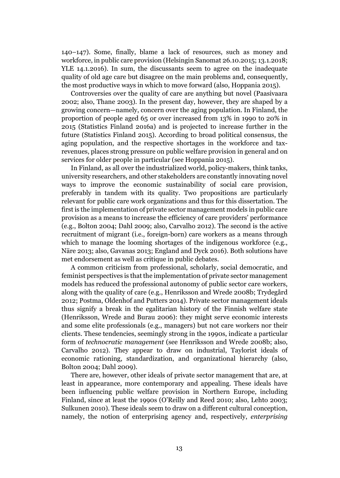140–147). Some, finally, blame a lack of resources, such as money and workforce, in public care provision (Helsingin Sanomat 26.10.2015; 13.1.2018; YLE 14.1.2016). In sum, the discussants seem to agree on the inadequate quality of old age care but disagree on the main problems and, consequently, the most productive ways in which to move forward (also, Hoppania 2015).

Controversies over the quality of care are anything but novel (Paasivaara 2002; also, Thane 2003). In the present day, however, they are shaped by a growing concern—namely, concern over the aging population. In Finland, the proportion of people aged 65 or over increased from 13% in 1990 to 20% in 2015 (Statistics Finland 2016a) and is projected to increase further in the future (Statistics Finland 2015). According to broad political consensus, the aging population, and the respective shortages in the workforce and taxrevenues, places strong pressure on public welfare provision in general and on services for older people in particular (see Hoppania 2015).

In Finland, as all over the industrialized world, policy-makers, think tanks, university researchers, and other stakeholders are constantly innovating novel ways to improve the economic sustainability of social care provision, preferably in tandem with its quality. Two propositions are particularly relevant for public care work organizations and thus for this dissertation. The first is the implementation of private sector management models in public care provision as a means to increase the efficiency of care providers' performance (e.g., Bolton 2004; Dahl 2009; also, Carvalho 2012). The second is the active recruitment of migrant (i.e., foreign-born) care workers as a means through which to manage the looming shortages of the indigenous workforce (e.g., Näre 2013; also, Gavanas 2013; England and Dyck 2016). Both solutions have met endorsement as well as critique in public debates.

A common criticism from professional, scholarly, social democratic, and feminist perspectives is that the implementation of private sector management models has reduced the professional autonomy of public sector care workers, along with the quality of care (e.g., Henriksson and Wrede 2008b; Trydegård 2012; Postma, Oldenhof and Putters 2014). Private sector management ideals thus signify a break in the egalitarian history of the Finnish welfare state (Henriksson, Wrede and Burau 2006): they might serve economic interests and some elite professionals (e.g., managers) but not care workers nor their clients. These tendencies, seemingly strong in the 1990s, indicate a particular form of *technocratic management* (see Henriksson and Wrede 2008b; also, Carvalho 2012). They appear to draw on industrial, Taylorist ideals of economic rationing, standardization, and organizational hierarchy (also, Bolton 2004; Dahl 2009).

There are, however, other ideals of private sector management that are, at least in appearance, more contemporary and appealing. These ideals have been influencing public welfare provision in Northern Europe, including Finland, since at least the 1990s (O'Reilly and Reed 2010; also, Lehto 2003; Sulkunen 2010). These ideals seem to draw on a different cultural conception, namely, the notion of enterprising agency and, respectively, *enterprising*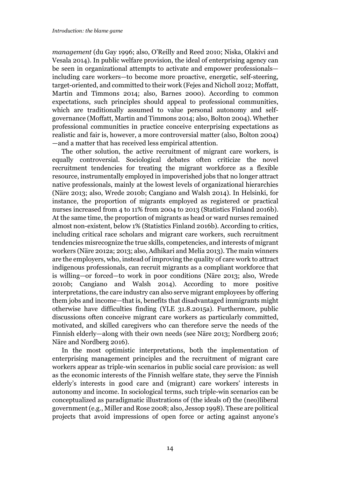*management* (du Gay 1996; also, O'Reilly and Reed 2010; Niska, Olakivi and Vesala 2014). In public welfare provision, the ideal of enterprising agency can be seen in organizational attempts to activate and empower professionals including care workers—to become more proactive, energetic, self-steering, target-oriented, and committed to their work (Fejes and Nicholl 2012; Moffatt, Martin and Timmons 2014; also, Barnes 2000). According to common expectations, such principles should appeal to professional communities, which are traditionally assumed to value personal autonomy and selfgovernance (Moffatt, Martin and Timmons 2014; also, Bolton 2004). Whether professional communities in practice conceive enterprising expectations as realistic and fair is, however, a more controversial matter (also, Bolton 2004) —and a matter that has received less empirical attention.

The other solution, the active recruitment of migrant care workers, is equally controversial. Sociological debates often criticize the novel recruitment tendencies for treating the migrant workforce as a flexible resource, instrumentally employed in impoverished jobs that no longer attract native professionals, mainly at the lowest levels of organizational hierarchies (Näre 2013; also, Wrede 2010b; Cangiano and Walsh 2014). In Helsinki, for instance, the proportion of migrants employed as registered or practical nurses increased from 4 to 11% from 2004 to 2013 (Statistics Finland 2016b). At the same time, the proportion of migrants as head or ward nurses remained almost non-existent, below 1% (Statistics Finland 2016b). According to critics, including critical race scholars and migrant care workers, such recruitment tendencies misrecognize the true skills, competencies, and interests of migrant workers (Näre 2012a; 2013; also, Adhikari and Melia 2013). The main winners are the employers, who, instead of improving the quality of care work to attract indigenous professionals, can recruit migrants as a compliant workforce that is willing—or forced—to work in poor conditions (Näre 2013; also, Wrede 2010b; Cangiano and Walsh 2014). According to more positive interpretations, the care industry can also serve migrant employees by offering them jobs and income—that is, benefits that disadvantaged immigrants might otherwise have difficulties finding (YLE 31.8.2015a). Furthermore, public discussions often conceive migrant care workers as particularly committed, motivated, and skilled caregivers who can therefore serve the needs of the Finnish elderly—along with their own needs (see Näre 2013; Nordberg 2016; Näre and Nordberg 2016).

In the most optimistic interpretations, both the implementation of enterprising management principles and the recruitment of migrant care workers appear as triple-win scenarios in public social care provision: as well as the economic interests of the Finnish welfare state, they serve the Finnish elderly's interests in good care and (migrant) care workers' interests in autonomy and income. In sociological terms, such triple-win scenarios can be conceptualized as paradigmatic illustrations of (the ideals of) the (neo)liberal government (e.g., Miller and Rose 2008; also, Jessop 1998). These are political projects that avoid impressions of open force or acting against anyone's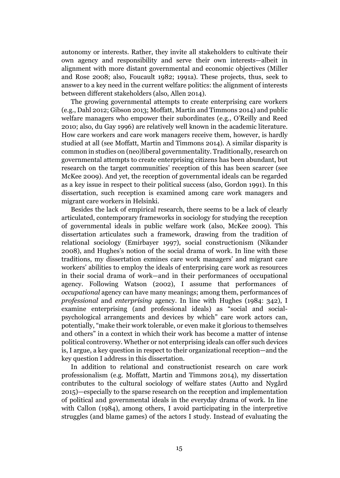autonomy or interests. Rather, they invite all stakeholders to cultivate their own agency and responsibility and serve their own interests—albeit in alignment with more distant governmental and economic objectives (Miller and Rose 2008; also, Foucault 1982; 1991a). These projects, thus, seek to answer to a key need in the current welfare politics: the alignment of interests between different stakeholders (also, Allen 2014).

The growing governmental attempts to create enterprising care workers (e.g., Dahl 2012; Gibson 2013; Moffatt, Martin and Timmons 2014) and public welfare managers who empower their subordinates (e.g., O'Reilly and Reed 2010; also, du Gay 1996) are relatively well known in the academic literature. How care workers and care work managers receive them, however, is hardly studied at all (see Moffatt, Martin and Timmons 2014). A similar disparity is common in studies on (neo)liberal governmentality. Traditionally, research on governmental attempts to create enterprising citizens has been abundant, but research on the target communities' reception of this has been scarcer (see McKee 2009). And yet, the reception of governmental ideals can be regarded as a key issue in respect to their political success (also, Gordon 1991). In this dissertation, such reception is examined among care work managers and migrant care workers in Helsinki.

Besides the lack of empirical research, there seems to be a lack of clearly articulated, contemporary frameworks in sociology for studying the reception of governmental ideals in public welfare work (also, McKee 2009). This dissertation articulates such a framework, drawing from the tradition of relational sociology (Emirbayer 1997), social constructionism (Nikander 2008), and Hughes's notion of the social drama of work. In line with these traditions, my dissertation exmines care work managers' and migrant care workers' abilities to employ the ideals of enterprising care work as resources in their social drama of work—and in their performances of occupational agency. Following Watson (2002), I assume that performances of *occupational* agency can have many meanings; among them, performances of *professional* and *enterprising* agency. In line with Hughes (1984: 342), I examine enterprising (and professional ideals) as "social and socialpsychological arrangements and devices by which" care work actors can, potentially, "make their work tolerable, or even make it glorious to themselves and others" in a context in which their work has become a matter of intense political controversy. Whether or not enterprising ideals can offer such devices is, I argue, a key question in respect to their organizational reception—and the key question I address in this dissertation.

In addition to relational and constructionist research on care work professionalism (e.g. Moffatt, Martin and Timmons 2014), my dissertation contributes to the cultural sociology of welfare states (Autto and Nygård 2015)—especially to the sparse research on the reception and implementation of political and governmental ideals in the everyday drama of work. In line with Callon (1984), among others, I avoid participating in the interpretive struggles (and blame games) of the actors I study. Instead of evaluating the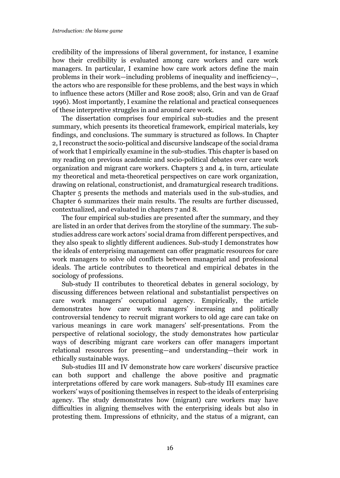credibility of the impressions of liberal government, for instance, I examine how their credibility is evaluated among care workers and care work managers. In particular, I examine how care work actors define the main problems in their work—including problems of inequality and inefficiency—, the actors who are responsible for these problems, and the best ways in which to influence these actors (Miller and Rose 2008; also, Grin and van de Graaf 1996). Most importantly, I examine the relational and practical consequences of these interpretive struggles in and around care work.

The dissertation comprises four empirical sub-studies and the present summary, which presents its theoretical framework, empirical materials, key findings, and conclusions. The summary is structured as follows. In Chapter 2, I reconstruct the socio-political and discursive landscape of the social drama of work that I empirically examine in the sub-studies. This chapter is based on my reading on previous academic and socio-political debates over care work organization and migrant care workers. Chapters 3 and 4, in turn, articulate my theoretical and meta-theoretical perspectives on care work organization, drawing on relational, constructionist, and dramaturgical research traditions. Chapter 5 presents the methods and materials used in the sub-studies, and Chapter 6 summarizes their main results. The results are further discussed, contextualized, and evaluated in chapters 7 and 8.

The four empirical sub-studies are presented after the summary, and they are listed in an order that derives from the storyline of the summary. The substudies address care work actors' social drama from different perspectives, and they also speak to slightly different audiences. Sub-study I demonstrates how the ideals of enterprising management can offer pragmatic resources for care work managers to solve old conflicts between managerial and professional ideals. The article contributes to theoretical and empirical debates in the sociology of professions.

Sub-study II contributes to theoretical debates in general sociology, by discussing differences between relational and substantialist perspectives on care work managers' occupational agency. Empirically, the article demonstrates how care work managers' increasing and politically controversial tendency to recruit migrant workers to old age care can take on various meanings in care work managers' self-presentations. From the perspective of relational sociology, the study demonstrates how particular ways of describing migrant care workers can offer managers important relational resources for presenting—and understanding—their work in ethically sustainable ways.

Sub-studies III and IV demonstrate how care workers' discursive practice can both support and challenge the above positive and pragmatic interpretations offered by care work managers. Sub-study III examines care workers' ways of positioning themselves in respect to the ideals of enterprising agency. The study demonstrates how (migrant) care workers may have difficulties in aligning themselves with the enterprising ideals but also in protesting them. Impressions of ethnicity, and the status of a migrant, can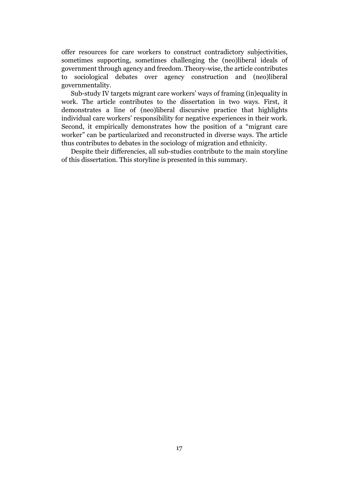offer resources for care workers to construct contradictory subjectivities, sometimes supporting, sometimes challenging the (neo)liberal ideals of government through agency and freedom. Theory-wise, the article contributes to sociological debates over agency construction and (neo)liberal governmentality.

Sub-study IV targets migrant care workers' ways of framing (in)equality in work. The article contributes to the dissertation in two ways. First, it demonstrates a line of (neo)liberal discursive practice that highlights individual care workers' responsibility for negative experiences in their work. Second, it empirically demonstrates how the position of a "migrant care worker" can be particularized and reconstructed in diverse ways. The article thus contributes to debates in the sociology of migration and ethnicity.

Despite their differencies, all sub-studies contribute to the main storyline of this dissertation. This storyline is presented in this summary.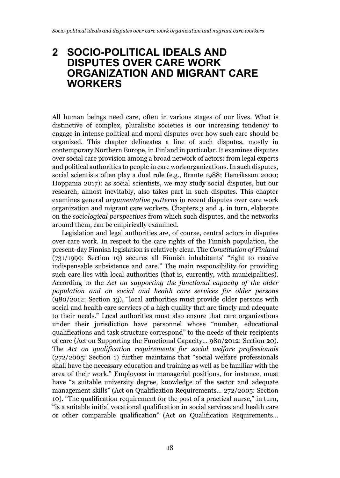### 2 SOCIO-POLITICAL IDEALS AND DISPUTES OVER CARE WORK ORGANIZATION AND MIGRANT CARE WORKERS

All human beings need care, often in various stages of our lives. What is distinctive of complex, pluralistic societies is our increasing tendency to engage in intense political and moral disputes over how such care should be organized. This chapter delineates a line of such disputes, mostly in contemporary Northern Europe, in Finland in particular. It examines disputes over social care provision among a broad network of actors: from legal experts and political authorities to people in care work organizations. In such disputes, social scientists often play a dual role (e.g., Brante 1988; Henriksson 2000; Hoppania 2017): as social scientists, we may study social disputes, but our research, almost inevitably, also takes part in such disputes. This chapter examines general *argumentative patterns* in recent disputes over care work organization and migrant care workers. Chapters 3 and 4, in turn, elaborate on the *sociological perspectives* from which such disputes, and the networks around them, can be empirically examined.

Legislation and legal authorities are, of course, central actors in disputes over care work. In respect to the care rights of the Finnish population, the present-day Finnish legislation is relatively clear. The *Constitution of Finland* (731/1999: Section 19) secures all Finnish inhabitants' "right to receive indispensable subsistence and care." The main responsibility for providing such care lies with local authorities (that is, currently, with municipalities). According to the *Act on supporting the functional capacity of the older population and on social and health care services for older persons*  (980/2012: Section 13), "local authorities must provide older persons with social and health care services of a high quality that are timely and adequate to their needs." Local authorities must also ensure that care organizations under their jurisdiction have personnel whose "number, educational qualifications and task structure correspond" to the needs of their recipients of care (Act on Supporting the Functional Capacity… 980/2012: Section 20). The *Act on qualification requirements for social welfare professionals* (272/2005: Section 1) further maintains that "social welfare professionals shall have the necessary education and training as well as be familiar with the area of their work." Employees in managerial positions, for instance, must have "a suitable university degree, knowledge of the sector and adequate management skills" (Act on Qualification Requirements… 272/2005: Section 10). "The qualification requirement for the post of a practical nurse," in turn, "is a suitable initial vocational qualification in social services and health care or other comparable qualification" (Act on Qualification Requirements…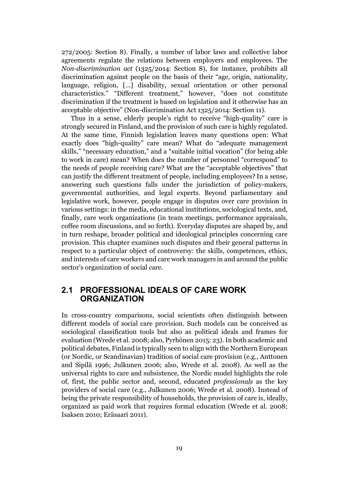272/2005: Section 8). Finally, a number of labor laws and collective labor agreements regulate the relations between employers and employees. The *Non-discrimination act* (1325/2014: Section 8), for instance, prohibits all discrimination against people on the basis of their "age, origin, nationality, language, religion, […] disability, sexual orientation or other personal characteristics." "Different treatment," however, "does not constitute discrimination if the treatment is based on legislation and it otherwise has an acceptable objective" (Non-discrimination Act 1325/2014: Section 11).

Thus in a sense, elderly people's right to receive "high-quality" care is strongly secured in Finland, and the provision of such care is highly regulated. At the same time, Finnish legislation leaves many questions open: What exactly does "high-quality" care mean? What do "adequate management skills," "necessary education," and a "suitable initial vocation" (for being able to work in care) mean? When does the number of personnel "correspond" to the needs of people receiving care? What are the "acceptable objectives" that can justify the different treatment of people, including employees? In a sense, answering such questions falls under the jurisdiction of policy-makers, governmental authorities, and legal experts. Beyond parliamentary and legislative work, however, people engage in disputes over care provision in various settings: in the media, educational institutions, sociological texts, and, finally, care work organizations (in team meetings, performance appraisals, coffee room discussions, and so forth). Everyday disputes are shaped by, and in turn reshape, broader political and ideological principles concerning care provision. This chapter examines such disputes and their general patterns in respect to a particular object of controversy: the skills, competences, ethics, and interests of care workers and care work managers in and around the public sector's organization of social care.

#### 2.1 PROFESSIONAL IDEALS OF CARE WORK **ORGANIZATION**

In cross-country comparisons, social scientists often distinguish between different models of social care provision. Such models can be conceived as sociological classification tools but also as political ideals and frames for evaluation (Wrede et al. 2008; also, Pyrhönen 2015: 23). In both academic and political debates, Finland is typically seen to align with the Northern European (or Nordic, or Scandinavian) tradition of social care provision (e.g., Anttonen and Sipilä 1996; Julkunen 2006; also, Wrede et al. 2008). As well as the universal rights to care and subsistence, the Nordic model highlights the role of, first, the public sector and, second, educated *professionals* as the key providers of social care (e.g., Julkunen 2006; Wrede et al. 2008). Instead of being the private responsibility of households, the provision of care is, ideally, organized as paid work that requires formal education (Wrede et al. 2008; Isaksen 2010; Eräsaari 2011).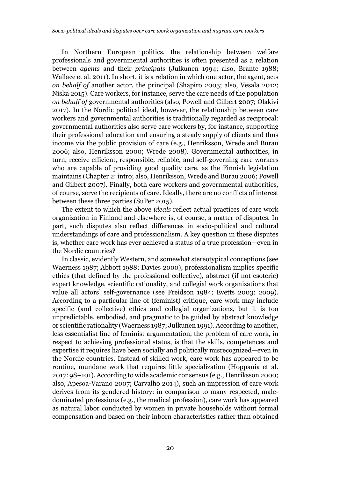In Northern European politics, the relationship between welfare professionals and governmental authorities is often presented as a relation between *agents* and their *principals* (Julkunen 1994; also, Brante 1988; Wallace et al. 2011). In short, it is a relation in which one actor, the agent, acts *on behalf of* another actor, the principal (Shapiro 2005; also, Vesala 2012; Niska 2015). Care workers, for instance, serve the care needs of the population *on behalf of* governmental authorities (also, Powell and Gilbert 2007; Olakivi 2017). In the Nordic political ideal, however, the relationship between care workers and governmental authorities is traditionally regarded as reciprocal: governmental authorities also serve care workers by, for instance, supporting their professional education and ensuring a steady supply of clients and thus income via the public provision of care (e.g., Henriksson, Wrede and Burau 2006; also, Henriksson 2000; Wrede 2008). Governmental authorities, in turn, receive efficient, responsible, reliable, and self-governing care workers who are capable of providing good quality care, as the Finnish legislation maintains (Chapter 2: intro; also, Henriksson, Wrede and Burau 2006; Powell and Gilbert 2007). Finally, both care workers and governmental authorities, of course, serve the recipients of care. Ideally, there are no conflicts of interest between these three parties (SuPer 2015).

The extent to which the above *ideals* reflect actual practices of care work organization in Finland and elsewhere is, of course, a matter of disputes. In part, such disputes also reflect differences in socio-political and cultural understandings of care and professionalism. A key question in these disputes is, whether care work has ever achieved a status of a true profession—even in the Nordic countries?

In classic, evidently Western, and somewhat stereotypical conceptions (see Waerness 1987; Abbott 1988; Davies 2000), professionalism implies specific ethics (that defined by the professional collective), abstract (if not esoteric) expert knowledge, scientific rationality, and collegial work organizations that value all actors' self-governance (see Freidson 1984; Evetts 2003; 2009). According to a particular line of (feminist) critique, care work may include specific (and collective) ethics and collegial organizations, but it is too unpredictable, embodied, and pragmatic to be guided by abstract knowledge or scientific rationality (Waerness 1987; Julkunen 1991). According to another, less essentialist line of feminist argumentation, the problem of care work, in respect to achieving professional status, is that the skills, competences and expertise it requires have been socially and politically misrecognized—even in the Nordic countries. Instead of skilled work, care work has appeared to be routine, mundane work that requires little specialization (Hoppania et al. 2017: 98–101). According to wide academic consensus (e.g., Henriksson 2000; also, Apesoa-Varano 2007; Carvalho 2014), such an impression of care work derives from its gendered history: in comparison to many respected, maledominated professions (e.g., the medical profession), care work has appeared as natural labor conducted by women in private households without formal compensation and based on their inborn characteristics rather than obtained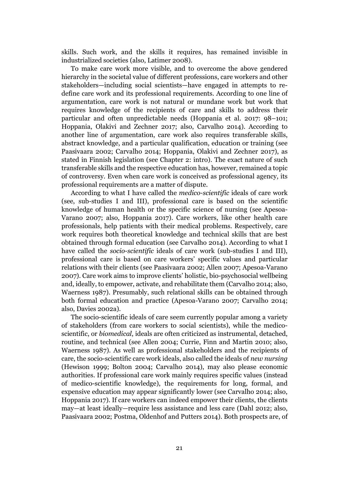skills. Such work, and the skills it requires, has remained invisible in industrialized societies (also, Latimer 2008).

To make care work more visible, and to overcome the above gendered hierarchy in the societal value of different professions, care workers and other stakeholders—including social scientists—have engaged in attempts to redefine care work and its professional requirements. According to one line of argumentation, care work is not natural or mundane work but work that requires knowledge of the recipients of care and skills to address their particular and often unpredictable needs (Hoppania et al. 2017: 98–101; Hoppania, Olakivi and Zechner 2017; also, Carvalho 2014). According to another line of argumentation, care work also requires transferable skills, abstract knowledge, and a particular qualification, education or training (see Paasivaara 2002; Carvalho 2014; Hoppania, Olakivi and Zechner 2017), as stated in Finnish legislation (see Chapter 2: intro). The exact nature of such transferable skills and the respective education has, however, remained a topic of controversy. Even when care work is conceived as professional agency, its professional requirements are a matter of dispute.

According to what I have called the *medico-scientific* ideals of care work (see, sub-studies I and III), professional care is based on the scientific knowledge of human health or the specific science of nursing (see Apesoa-Varano 2007; also, Hoppania 2017). Care workers, like other health care professionals, help patients with their medical problems. Respectively, care work requires both theoretical knowledge and technical skills that are best obtained through formal education (see Carvalho 2014). According to what I have called the *socio-scientific* ideals of care work (sub-studies I and III), professional care is based on care workers' specific values and particular relations with their clients (see Paasivaara 2002; Allen 2007; Apesoa-Varano 2007). Care work aims to improve clients' holistic, bio-psychosocial wellbeing and, ideally, to empower, activate, and rehabilitate them (Carvalho 2014; also, Waerness 1987). Presumably, such relational skills can be obtained through both formal education and practice (Apesoa-Varano 2007; Carvalho 2014; also, Davies 2002a).

The socio-scientific ideals of care seem currently popular among a variety of stakeholders (from care workers to social scientists), while the medicoscientific, or *biomedical*, ideals are often criticized as instrumental, detached, routine, and technical (see Allen 2004; Currie, Finn and Martin 2010; also, Waerness 1987). As well as professional stakeholders and the recipients of care, the socio-scientific care work ideals, also called the ideals of *new nursing* (Hewison 1999; Bolton 2004; Carvalho 2014), may also please economic authorities. If professional care work mainly requires specific values (instead of medico-scientific knowledge), the requirements for long, formal, and expensive education may appear significantly lower (see Carvalho 2014; also, Hoppania 2017). If care workers can indeed empower their clients, the clients may—at least ideally—require less assistance and less care (Dahl 2012; also, Paasivaara 2002; Postma, Oldenhof and Putters 2014). Both prospects are, of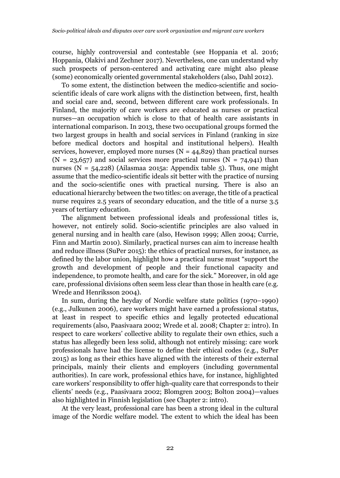course, highly controversial and contestable (see Hoppania et al. 2016; Hoppania, Olakivi and Zechner 2017). Nevertheless, one can understand why such prospects of person-centered and activating care might also please (some) economically oriented governmental stakeholders (also, Dahl 2012).

To some extent, the distinction between the medico-scientific and socioscientific ideals of care work aligns with the distinction between, first, health and social care and, second, between different care work professionals. In Finland, the majority of care workers are educated as nurses or practical nurses—an occupation which is close to that of health care assistants in international comparison. In 2013, these two occupational groups formed the two largest groups in health and social services in Finland (ranking in size before medical doctors and hospital and institutional helpers). Health services, however, employed more nurses  $(N = 44,829)$  than practical nurses  $(N = 23,657)$  and social services more practical nurses  $(N = 74,941)$  than nurses (N =  $54,228$ ) (Ailasmaa 2015a: Appendix table 5). Thus, one might assume that the medico-scientific ideals sit better with the practice of nursing and the socio-scientific ones with practical nursing. There is also an educational hierarchy between the two titles: on average, the title of a practical nurse requires 2.5 years of secondary education, and the title of a nurse 3.5 years of tertiary education.

The alignment between professional ideals and professional titles is, however, not entirely solid. Socio-scientific principles are also valued in general nursing and in health care (also, Hewison 1999; Allen 2004; Currie, Finn and Martin 2010). Similarly, practical nurses can aim to increase health and reduce illness (SuPer 2015): the ethics of practical nurses, for instance, as defined by the labor union, highlight how a practical nurse must "support the growth and development of people and their functional capacity and independence, to promote health, and care for the sick." Moreover, in old age care, professional divisions often seem less clear than those in health care (e.g. Wrede and Henriksson 2004).

In sum, during the heyday of Nordic welfare state politics (1970–1990) (e.g., Julkunen 2006), care workers might have earned a professional status, at least in respect to specific ethics and legally protected educational requirements (also, Paasivaara 2002; Wrede et al. 2008; Chapter 2: intro). In respect to care workers' collective ability to regulate their own ethics, such a status has allegedly been less solid, although not entirely missing: care work professionals have had the license to define their ethical codes (e.g., SuPer 2015) as long as their ethics have aligned with the interests of their external principals, mainly their clients and employers (including governmental authorities). In care work, professional ethics have, for instance, highlighted care workers' responsibility to offer high-quality care that corresponds to their clients' needs (e.g., Paasivaara 2002; Blomgren 2003; Bolton 2004)—values also highlighted in Finnish legislation (see Chapter 2: intro).

At the very least, professional care has been a strong ideal in the cultural image of the Nordic welfare model. The extent to which the ideal has been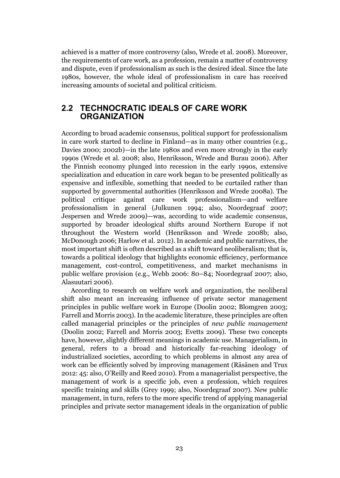achieved is a matter of more controversy (also, Wrede et al. 2008). Moreover, the requirements of care work, as a profession, remain a matter of controversy and dispute, even if professionalism as such is the desired ideal. Since the late 1980s, however, the whole ideal of professionalism in care has received increasing amounts of societal and political criticism.

#### 2.2 TECHNOCRATIC IDEALS OF CARE WORK **ORGANIZATION**

According to broad academic consensus, political support for professionalism in care work started to decline in Finland—as in many other countries (e.g., Davies 2000; 2002b)—in the late 1980s and even more strongly in the early 1990s (Wrede et al. 2008; also, Henriksson, Wrede and Burau 2006). After the Finnish economy plunged into recession in the early 1990s, extensive specialization and education in care work began to be presented politically as expensive and inflexible, something that needed to be curtailed rather than supported by governmental authorities (Henriksson and Wrede 2008a). The political critique against care work professionalism—and welfare professionalism in general (Julkunen 1994; also, Noordegraaf 2007; Jespersen and Wrede 2009)—was, according to wide academic consensus, supported by broader ideological shifts around Northern Europe if not throughout the Western world (Henriksson and Wrede 2008b; also, McDonough 2006; Harlow et al. 2012). In academic and public narratives, the most important shift is often described as a shift toward neoliberalism; that is, towards a political ideology that highlights economic efficiency, performance management, cost-control, competitiveness, and market mechanisms in public welfare provision (e.g., Webb 2006: 80–84; Noordegraaf 2007; also, Alasuutari 2006).

According to research on welfare work and organization, the neoliberal shift also meant an increasing influence of private sector management principles in public welfare work in Europe (Doolin 2002; Blomgren 2003; Farrell and Morris 2003). In the academic literature, these principles are often called managerial principles or the principles of *new public management* (Doolin 2002; Farrell and Morris 2003; Evetts 2009). These two concepts have, however, slightly different meanings in academic use. Managerialism, in general, refers to a broad and historically far-reaching ideology of industrialized societies, according to which problems in almost any area of work can be efficiently solved by improving management (Räsänen and Trux 2012: 45: also, O'Reilly and Reed 2010). From a managerialist perspective, the management of work is a specific job, even a profession, which requires specific training and skills (Grey 1999; also, Noordegraaf 2007). New public management, in turn, refers to the more specific trend of applying managerial principles and private sector management ideals in the organization of public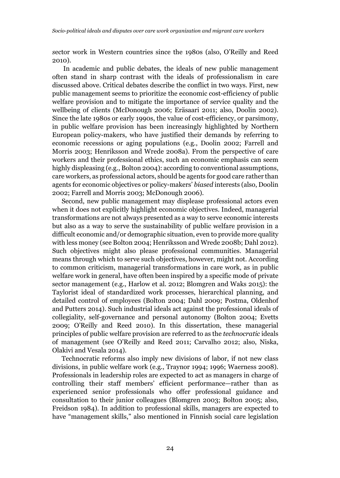*s*ector work in Western countries since the 1980s (also, O'Reilly and Reed 2010).

 In academic and public debates, the ideals of new public management often stand in sharp contrast with the ideals of professionalism in care discussed above. Critical debates describe the conflict in two ways. First, new public management seems to prioritize the economic cost-efficiency of public welfare provision and to mitigate the importance of service quality and the wellbeing of clients (McDonough 2006; Eräsaari 2011; also, Doolin 2002). Since the late 1980s or early 1990s, the value of cost-efficiency, or parsimony, in public welfare provision has been increasingly highlighted by Northern European policy-makers, who have justified their demands by referring to economic recessions or aging populations (e.g., Doolin 2002; Farrell and Morris 2003; Henriksson and Wrede 2008a). From the perspective of care workers and their professional ethics, such an economic emphasis can seem highly displeasing (e.g., Bolton 2004): according to conventional assumptions, care workers, as professional actors, should be agents for good care rather than agents for economic objectives or policy-makers' *biased* interests (also, Doolin 2002; Farrell and Morris 2003; McDonough 2006).

Second, new public management may displease professional actors even when it does not explicitly highlight economic objectives. Indeed, managerial transformations are not always presented as a way to serve economic interests but also as a way to serve the sustainability of public welfare provision in a difficult economic and/or demographic situation, even to provide more quality with less money (see Bolton 2004; Henriksson and Wrede 2008b; Dahl 2012). Such objectives might also please professional communities. Managerial means through which to serve such objectives, however, might not. According to common criticism, managerial transformations in care work, as in public welfare work in general, have often been inspired by a specific mode of private sector management (e.g., Harlow et al. 2012; Blomgren and Waks 2015): the Taylorist ideal of standardized work processes, hierarchical planning, and detailed control of employees (Bolton 2004; Dahl 2009; Postma, Oldenhof and Putters 2014). Such industrial ideals act against the professional ideals of collegiality, self-governance and personal autonomy (Bolton 2004; Evetts 2009; O'Reilly and Reed 2010). In this dissertation, these managerial principles of public welfare provision are referred to as the *technocratic* ideals of management (see O'Reilly and Reed 2011; Carvalho 2012; also, Niska, Olakivi and Vesala 2014).

Technocratic reforms also imply new divisions of labor, if not new class divisions, in public welfare work (e.g., Traynor 1994; 1996; Waerness 2008). Professionals in leadership roles are expected to act as managers in charge of controlling their staff members' efficient performance—rather than as experienced senior professionals who offer professional guidance and consultation to their junior colleagues (Blomgren 2003; Bolton 2005; also, Freidson 1984). In addition to professional skills, managers are expected to have "management skills," also mentioned in Finnish social care legislation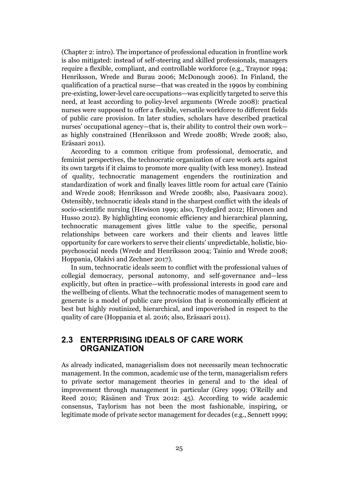(Chapter 2: intro). The importance of professional education in frontline work is also mitigated: instead of self-steering and skilled professionals, managers require a flexible, compliant, and controllable workforce (e.g., Traynor 1994; Henriksson, Wrede and Burau 2006; McDonough 2006). In Finland, the qualification of a practical nurse—that was created in the 1990s by combining pre-existing, lower-level care occupations—was explicitly targeted to serve this need, at least according to policy-level arguments (Wrede 2008): practical nurses were supposed to offer a flexible, versatile workforce to different fields of public care provision. In later studies, scholars have described practical nurses' occupational agency—that is, their ability to control their own work as highly constrained (Henriksson and Wrede 2008b; Wrede 2008; also, Eräsaari 2011).

According to a common critique from professional, democratic, and feminist perspectives, the technocratic organization of care work acts against its own targets if it claims to promote more quality (with less money). Instead of quality, technocratic management engenders the routinization and standardization of work and finally leaves little room for actual care (Tainio and Wrede 2008; Henriksson and Wrede 2008b; also, Paasivaara 2002). Ostensibly, technocratic ideals stand in the sharpest conflict with the ideals of socio-scientific nursing (Hewison 1999; also, Trydegård 2012; Hirvonen and Husso 2012). By highlighting economic efficiency and hierarchical planning, technocratic management gives little value to the specific, personal relationships between care workers and their clients and leaves little opportunity for care workers to serve their clients' unpredictable, holistic, biopsychosocial needs (Wrede and Henriksson 2004; Tainio and Wrede 2008; Hoppania, Olakivi and Zechner 2017).

In sum, technocratic ideals seem to conflict with the professional values of collegial democracy, personal autonomy, and self-governance and—less explicitly, but often in practice—with professional interests in good care and the wellbeing of clients. What the technocratic modes of management seem to generate is a model of public care provision that is economically efficient at best but highly routinized, hierarchical, and impoverished in respect to the quality of care (Hoppania et al. 2016; also, Eräsaari 2011).

#### 2.3 ENTERPRISING IDEALS OF CARE WORK **ORGANIZATION**

As already indicated, managerialism does not necessarily mean technocratic management. In the common, academic use of the term, managerialism refers to private sector management theories in general and to the ideal of improvement through management in particular (Grey 1999; O'Reilly and Reed 2010; Räsänen and Trux 2012: 45). According to wide academic consensus, Taylorism has not been the most fashionable, inspiring, or legitimate mode of private sector management for decades (e.g., Sennett 1999;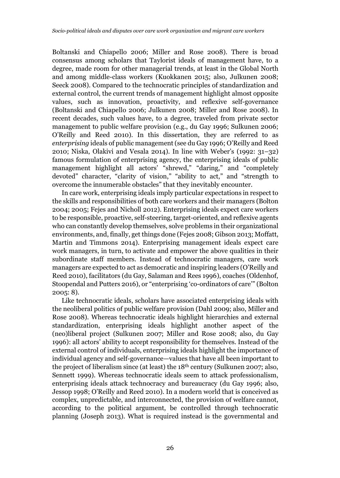Boltanski and Chiapello 2006; Miller and Rose 2008). There is broad consensus among scholars that Taylorist ideals of management have, to a degree, made room for other managerial trends, at least in the Global North and among middle-class workers (Kuokkanen 2015; also, Julkunen 2008; Seeck 2008). Compared to the technocratic principles of standardization and external control, the current trends of management highlight almost opposite values, such as innovation, proactivity, and reflexive self-governance (Boltanski and Chiapello 2006; Julkunen 2008; Miller and Rose 2008). In recent decades, such values have, to a degree, traveled from private sector management to public welfare provision (e.g., du Gay 1996; Sulkunen 2006; O'Reilly and Reed 2010). In this dissertation, they are referred to as *enterprising* ideals of public management (see du Gay 1996; O'Reilly and Reed 2010; Niska, Olakivi and Vesala 2014). In line with Weber's (1992: 31–32) famous formulation of enterprising agency, the enterprising ideals of public management highlight all actors' "shrewd," "daring," and "completely devoted" character, "clarity of vision," "ability to act," and "strength to overcome the innumerable obstacles" that they inevitably encounter.

In care work, enterprising ideals imply particular expectations in respect to the skills and responsibilities of both care workers and their managers (Bolton 2004; 2005; Fejes and Nicholl 2012). Enterprising ideals expect care workers to be responsible, proactive, self-steering, target-oriented, and reflexive agents who can constantly develop themselves, solve problems in their organizational environments, and, finally, get things done (Fejes 2008; Gibson 2013; Moffatt, Martin and Timmons 2014). Enterprising management ideals expect care work managers, in turn, to activate and empower the above qualities in their subordinate staff members. Instead of technocratic managers, care work managers are expected to act as democratic and inspiring leaders (O'Reilly and Reed 2010), facilitators (du Gay, Salaman and Rees 1996), coaches (Oldenhof, Stoopendal and Putters 2016), or "enterprising 'co-ordinators of care'" (Bolton 2005: 8).

Like technocratic ideals, scholars have associated enterprising ideals with the neoliberal politics of public welfare provision (Dahl 2009; also, Miller and Rose 2008). Whereas technocratic ideals highlight hierarchies and external standardization, enterprising ideals highlight another aspect of the (neo)liberal project (Sulkunen 2007; Miller and Rose 2008; also, du Gay 1996): all actors' ability to accept responsibility for themselves. Instead of the external control of individuals, enterprising ideals highlight the importance of individual agency and self-governance—values that have all been important to the project of liberalism since (at least) the 18th century (Sulkunen 2007; also, Sennett 1999). Whereas technocratic ideals seem to attack professionalism, enterprising ideals attack technocracy and bureaucracy (du Gay 1996; also, Jessop 1998; O'Reilly and Reed 2010). In a modern world that is conceived as complex, unpredictable, and interconnected, the provision of welfare cannot, according to the political argument, be controlled through technocratic planning (Joseph 2013). What is required instead is the governmental and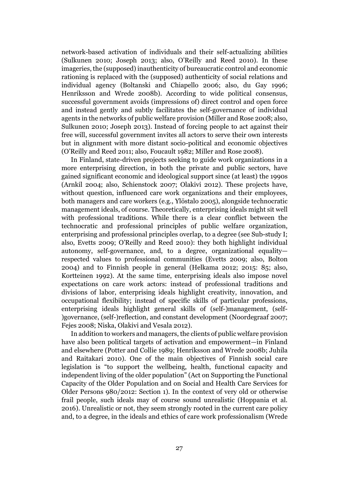network-based activation of individuals and their self-actualizing abilities (Sulkunen 2010; Joseph 2013; also, O'Reilly and Reed 2010). In these imageries, the (supposed) inauthenticity of bureaucratic control and economic rationing is replaced with the (supposed) authenticity of social relations and individual agency (Boltanski and Chiapello 2006; also, du Gay 1996; Henriksson and Wrede 2008b). According to wide political consensus, successful government avoids (impressions of) direct control and open force and instead gently and subtly facilitates the self-governance of individual agents in the networks of public welfare provision (Miller and Rose 2008; also, Sulkunen 2010; Joseph 2013). Instead of forcing people to act against their free will, successful government invites all actors to serve their own interests but in alignment with more distant socio-political and economic objectives (O'Reilly and Reed 2011; also, Foucault 1982; Miller and Rose 2008).

In Finland, state-driven projects seeking to guide work organizations in a more enterprising direction, in both the private and public sectors, have gained significant economic and ideological support since (at least) the 1990s (Arnkil 2004; also, Schienstock 2007; Olakivi 2012). These projects have, without question, influenced care work organizations and their employees, both managers and care workers (e.g., Ylöstalo 2005), alongside technocratic management ideals, of course. Theoretically, enterprising ideals might sit well with professional traditions. While there is a clear conflict between the technocratic and professional principles of public welfare organization, enterprising and professional principles overlap, to a degree (see Sub-study I; also, Evetts 2009; O'Reilly and Reed 2010): they both highlight individual autonomy, self-governance, and, to a degree, organizational equality respected values to professional communities (Evetts 2009; also, Bolton 2004) and to Finnish people in general (Helkama 2012; 2015: 85; also, Kortteinen 1992). At the same time, enterprising ideals also impose novel expectations on care work actors: instead of professional traditions and divisions of labor, enterprising ideals highlight creativity, innovation, and occupational flexibility; instead of specific skills of particular professions, enterprising ideals highlight general skills of (self-)management, (self- )governance, (self-)reflection, and constant development (Noordegraaf 2007; Fejes 2008; Niska, Olakivi and Vesala 2012).

In addition to workers and managers, the clients of public welfare provision have also been political targets of activation and empowerment—in Finland and elsewhere (Potter and Collie 1989; Henriksson and Wrede 2008b; Juhila and Raitakari 2010). One of the main objectives of Finnish social care legislation is "to support the wellbeing, health, functional capacity and independent living of the older population" (Act on Supporting the Functional Capacity of the Older Population and on Social and Health Care Services for Older Persons 980/2012: Section 1). In the context of very old or otherwise frail people, such ideals may of course sound unrealistic (Hoppania et al. 2016). Unrealistic or not, they seem strongly rooted in the current care policy and, to a degree, in the ideals and ethics of care work professionalism (Wrede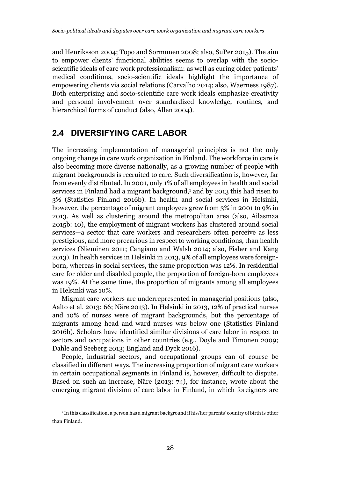and Henriksson 2004; Topo and Sormunen 2008; also, SuPer 2015). The aim to empower clients' functional abilities seems to overlap with the socioscientific ideals of care work professionalism: as well as curing older patients' medical conditions, socio-scientific ideals highlight the importance of empowering clients via social relations (Carvalho 2014; also, Waerness 1987). Both enterprising and socio-scientific care work ideals emphasize creativity and personal involvement over standardized knowledge, routines, and hierarchical forms of conduct (also, Allen 2004).

#### 2.4 DIVERSIFYING CARE LABOR

The increasing implementation of managerial principles is not the only ongoing change in care work organization in Finland. The workforce in care is also becoming more diverse nationally, as a growing number of people with migrant backgrounds is recruited to care. Such diversification is, however, far from evenly distributed. In 2001, only 1% of all employees in health and social services in Finland had a migrant background,<sup>1</sup> and by 2013 this had risen to 3% (Statistics Finland 2016b). In health and social services in Helsinki, however, the percentage of migrant employees grew from 3% in 2001 to 9% in 2013. As well as clustering around the metropolitan area (also, Ailasmaa 2015b: 10), the employment of migrant workers has clustered around social services—a sector that care workers and researchers often perceive as less prestigious, and more precarious in respect to working conditions, than health services (Nieminen 2011; Cangiano and Walsh 2014; also, Fisher and Kang 2013). In health services in Helsinki in 2013, 9% of all employees were foreignborn, whereas in social services, the same proportion was 12%. In residential care for older and disabled people, the proportion of foreign-born employees was 19%. At the same time, the proportion of migrants among all employees in Helsinki was 10%.

Migrant care workers are underrepresented in managerial positions (also, Aalto et al. 2013: 66; Näre 2013). In Helsinki in 2013, 12% of practical nurses and 10% of nurses were of migrant backgrounds, but the percentage of migrants among head and ward nurses was below one (Statistics Finland 2016b). Scholars have identified similar divisions of care labor in respect to sectors and occupations in other countries (e.g., Doyle and Timonen 2009; Dahle and Seeberg 2013; England and Dyck 2016).

People, industrial sectors, and occupational groups can of course be classified in different ways. The increasing proportion of migrant care workers in certain occupational segments in Finland is, however, difficult to dispute. Based on such an increase, Näre (2013: 74), for instance, wrote about the emerging migrant division of care labor in Finland, in which foreigners are

-

<sup>1</sup> In this classification, a person has a migrant background if his/her parents' country of birth is other than Finland.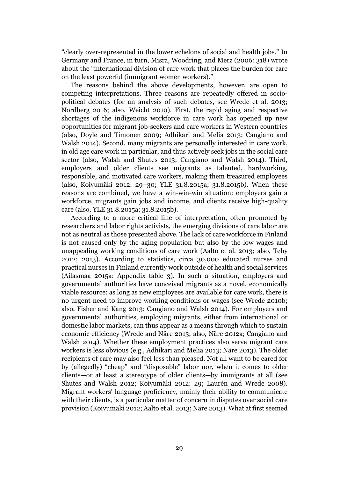"clearly over-represented in the lower echelons of social and health jobs." In Germany and France, in turn, Misra, Woodring, and Merz (2006: 318) wrote about the "international division of care work that places the burden for care on the least powerful (immigrant women workers)."

The reasons behind the above developments, however, are open to competing interpretations. Three reasons are repeatedly offered in sociopolitical debates (for an analysis of such debates, see Wrede et al. 2013; Nordberg 2016; also, Weicht 2010). First, the rapid aging and respective shortages of the indigenous workforce in care work has opened up new opportunities for migrant job-seekers and care workers in Western countries (also, Doyle and Timonen 2009; Adhikari and Melia 2013; Cangiano and Walsh 2014). Second, many migrants are personally interested in care work, in old age care work in particular, and thus actively seek jobs in the social care sector (also, Walsh and Shutes 2013; Cangiano and Walsh 2014). Third, employers and older clients see migrants as talented, hardworking, responsible, and motivated care workers, making them treasured employees (also, Koivumäki 2012: 29–30; YLE 31.8.2015a; 31.8.2015b). When these reasons are combined, we have a win-win-win situation: employers gain a workforce, migrants gain jobs and income, and clients receive high-quality care (also, YLE 31.8.2015a; 31.8.2015b).

According to a more critical line of interpretation, often promoted by researchers and labor rights activists, the emerging divisions of care labor are not as neutral as those presented above. The lack of care workforce in Finland is not caused only by the aging population but also by the low wages and unappealing working conditions of care work (Aalto et al. 2013; also, Tehy 2012; 2013). According to statistics, circa 30,000 educated nurses and practical nurses in Finland currently work outside of health and social services (Ailasmaa 2015a: Appendix table 3). In such a situation, employers and governmental authorities have conceived migrants as a novel, economically viable resource: as long as new employees are available for care work, there is no urgent need to improve working conditions or wages (see Wrede 2010b; also, Fisher and Kang 2013; Cangiano and Walsh 2014). For employers and governmental authorities, employing migrants, either from international or domestic labor markets, can thus appear as a means through which to sustain economic efficiency (Wrede and Näre 2013; also, Näre 2012a; Cangiano and Walsh 2014). Whether these employment practices also serve migrant care workers is less obvious (e.g., Adhikari and Melia 2013; Näre 2013). The older recipients of care may also feel less than pleased. Not all want to be cared for by (allegedly) "cheap" and "disposable" labor nor, when it comes to older clients—or at least a stereotype of older clients—by immigrants at all (see Shutes and Walsh 2012; Koivumäki 2012: 29; Laurén and Wrede 2008). Migrant workers' language proficiency, mainly their ability to communicate with their clients, is a particular matter of concern in disputes over social care provision (Koivumäki 2012; Aalto et al. 2013; Näre 2013). What at first seemed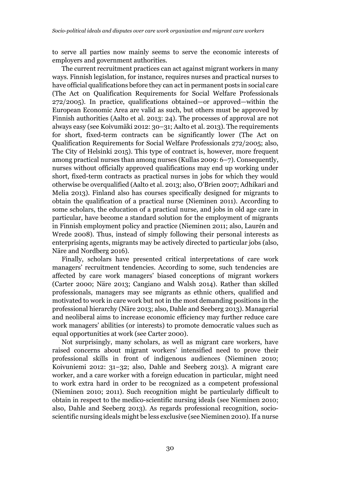to serve all parties now mainly seems to serve the economic interests of employers and government authorities.

The current recruitment practices can act against migrant workers in many ways. Finnish legislation, for instance, requires nurses and practical nurses to have official qualifications before they can act in permanent posts in social care (The Act on Qualification Requirements for Social Welfare Professionals 272/2005). In practice, qualifications obtained—or approved—within the European Economic Area are valid as such, but others must be approved by Finnish authorities (Aalto et al. 2013: 24). The processes of approval are not always easy (see Koivumäki 2012: 30–31; Aalto et al. 2013). The requirements for short, fixed-term contracts can be significantly lower (The Act on Qualification Requirements for Social Welfare Professionals 272/2005; also, The City of Helsinki 2015). This type of contract is, however, more frequent among practical nurses than among nurses (Kullas 2009: 6–7). Consequently, nurses without officially approved qualifications may end up working under short, fixed-term contracts as practical nurses in jobs for which they would otherwise be overqualified (Aalto et al. 2013; also, O'Brien 2007; Adhikari and Melia 2013). Finland also has courses specifically designed for migrants to obtain the qualification of a practical nurse (Nieminen 2011). According to some scholars, the education of a practical nurse, and jobs in old age care in particular, have become a standard solution for the employment of migrants in Finnish employment policy and practice (Nieminen 2011; also, Laurén and Wrede 2008). Thus, instead of simply following their personal interests as enterprising agents, migrants may be actively directed to particular jobs (also, Näre and Nordberg 2016).

Finally, scholars have presented critical interpretations of care work managers' recruitment tendencies. According to some, such tendencies are affected by care work managers' biased conceptions of migrant workers (Carter 2000; Näre 2013; Cangiano and Walsh 2014). Rather than skilled professionals, managers may see migrants as ethnic others, qualified and motivated to work in care work but not in the most demanding positions in the professional hierarchy (Näre 2013; also, Dahle and Seeberg 2013). Managerial and neoliberal aims to increase economic efficiency may further reduce care work managers' abilities (or interests) to promote democratic values such as equal opportunities at work (see Carter 2000).

Not surprisingly, many scholars, as well as migrant care workers, have raised concerns about migrant workers' intensified need to prove their professional skills in front of indigenous audiences (Nieminen 2010; Koivuniemi 2012: 31–32; also, Dahle and Seeberg 2013). A migrant care worker, and a care worker with a foreign education in particular, might need to work extra hard in order to be recognized as a competent professional (Nieminen 2010; 2011). Such recognition might be particularly difficult to obtain in respect to the medico-scientific nursing ideals (see Nieminen 2010; also, Dahle and Seeberg 2013). As regards professional recognition, socioscientific nursing ideals might be less exclusive (see Nieminen 2010). If a nurse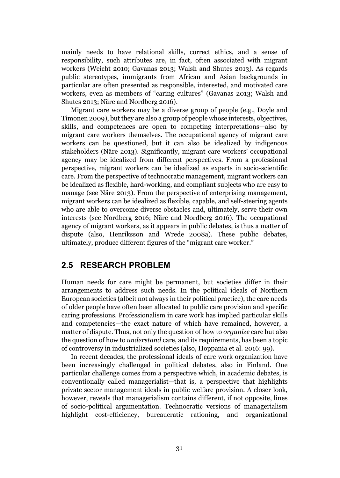mainly needs to have relational skills, correct ethics, and a sense of responsibility, such attributes are, in fact, often associated with migrant workers (Weicht 2010; Gavanas 2013; Walsh and Shutes 2013). As regards public stereotypes, immigrants from African and Asian backgrounds in particular are often presented as responsible, interested, and motivated care workers, even as members of "caring cultures" (Gavanas 2013; Walsh and Shutes 2013; Näre and Nordberg 2016).

Migrant care workers may be a diverse group of people (e.g., Doyle and Timonen 2009), but they are also a group of people whose interests, objectives, skills, and competences are open to competing interpretations—also by migrant care workers themselves. The occupational agency of migrant care workers can be questioned, but it can also be idealized by indigenous stakeholders (Näre 2013). Significantly, migrant care workers' occupational agency may be idealized from different perspectives. From a professional perspective, migrant workers can be idealized as experts in socio-scientific care. From the perspective of technocratic management, migrant workers can be idealized as flexible, hard-working, and compliant subjects who are easy to manage (see Näre 2013). From the perspective of enterprising management, migrant workers can be idealized as flexible, capable, and self-steering agents who are able to overcome diverse obstacles and, ultimately, serve their own interests (see Nordberg 2016; Näre and Nordberg 2016). The occupational agency of migrant workers, as it appears in public debates, is thus a matter of dispute (also, Henriksson and Wrede 2008a). These public debates, ultimately, produce different figures of the "migrant care worker."

#### 2.5 RESEARCH PROBLEM

Human needs for care might be permanent, but societies differ in their arrangements to address such needs. In the political ideals of Northern European societies (albeit not always in their political practice), the care needs of older people have often been allocated to public care provision and specific caring professions. Professionalism in care work has implied particular skills and competencies—the exact nature of which have remained, however, a matter of dispute. Thus, not only the question of how to *organize* care but also the question of how to *understand* care, and its requirements, has been a topic of controversy in industrialized societies (also, Hoppania et al. 2016: 99).

In recent decades, the professional ideals of care work organization have been increasingly challenged in political debates, also in Finland. One particular challenge comes from a perspective which, in academic debates, is conventionally called managerialist—that is, a perspective that highlights private sector management ideals in public welfare provision. A closer look, however, reveals that managerialism contains different, if not opposite, lines of socio-political argumentation. Technocratic versions of managerialism highlight cost-efficiency, bureaucratic rationing, and organizational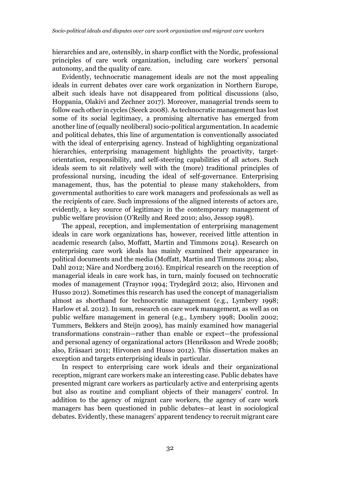hierarchies and are, ostensibly, in sharp conflict with the Nordic, professional principles of care work organization, including care workers' personal autonomy, and the quality of care.

Evidently, technocratic management ideals are not the most appealing ideals in current debates over care work organization in Northern Europe, albeit such ideals have not disappeared from political discussions (also, Hoppania, Olakivi and Zechner 2017). Moreover, managerial trends seem to follow each other in cycles (Seeck 2008). As technocratic management has lost some of its social legitimacy, a promising alternative has emerged from another line of (equally neoliberal) socio-political argumentation. In academic and political debates, this line of argumentation is conventionally associated with the ideal of enterprising agency. Instead of highlighting organizational hierarchies, enterprising management highlights the proactivity, targetorientation, responsibility, and self-steering capabilities of all actors. Such ideals seem to sit relatively well with the (more) traditional principles of professional nursing, incuding the ideal of self-governance. Enterprising management, thus, has the potential to please many stakeholders, from governmental authorities to care work managers and professionals as well as the recipients of care. Such impressions of the aligned interests of actors are, evidently, a key source of legitimacy in the contemporary management of public welfare provision (O'Reilly and Reed 2010; also, Jessop 1998).

The appeal, reception, and implementation of enterprising management ideals in care work organizations has, however, received little attention in academic research (also, Moffatt, Martin and Timmons 2014). Research on enterprising care work ideals has mainly examined their appearance in political documents and the media (Moffatt, Martin and Timmons 2014; also, Dahl 2012; Näre and Nordberg 2016). Empirical research on the reception of managerial ideals in care work has, in turn, mainly focused on technocratic modes of management (Traynor 1994; Trydegård 2012; also, Hirvonen and Husso 2012). Sometimes this research has used the concept of managerialism almost as shorthand for technocratic management (e.g., Lymbery 1998; Harlow et al. 2012). In sum, research on care work management, as well as on public welfare management in general (e.g., Lymbery 1998; Doolin 2002; Tummers, Bekkers and Steijn 2009), has mainly examined how managerial transformations constrain—rather than enable or expect—the professional and personal agency of organizational actors (Henriksson and Wrede 2008b; also, Eräsaari 2011; Hirvonen and Husso 2012). This dissertation makes an exception and targets enterprising ideals in particular.

In respect to enterprising care work ideals and their organizational reception, migrant care workers make an interesting case. Public debates have presented migrant care workers as particularly active and enterprising agents but also as routine and compliant objects of their managers' control. In addition to the agency of migrant care workers, the agency of care work managers has been questioned in public debates—at least in sociological debates. Evidently, these managers' apparent tendency to recruit migrant care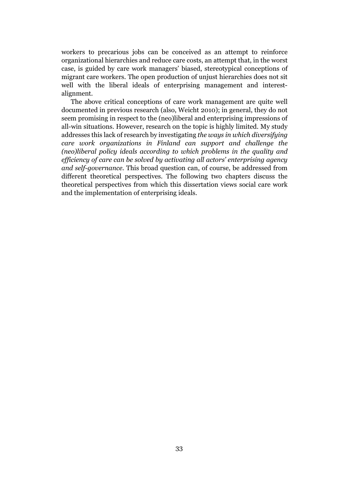workers to precarious jobs can be conceived as an attempt to reinforce organizational hierarchies and reduce care costs, an attempt that, in the worst case, is guided by care work managers' biased, stereotypical conceptions of migrant care workers. The open production of unjust hierarchies does not sit well with the liberal ideals of enterprising management and interestalignment.

The above critical conceptions of care work management are quite well documented in previous research (also, Weicht 2010); in general, they do not seem promising in respect to the (neo)liberal and enterprising impressions of all-win situations. However, research on the topic is highly limited. My study addresses this lack of research by investigating *the ways in which diversifying care work organizations in Finland can support and challenge the (neo)liberal policy ideals according to which problems in the quality and efficiency of care can be solved by activating all actors' enterprising agency and self-governance.* This broad question can, of course, be addressed from different theoretical perspectives. The following two chapters discuss the theoretical perspectives from which this dissertation views social care work and the implementation of enterprising ideals.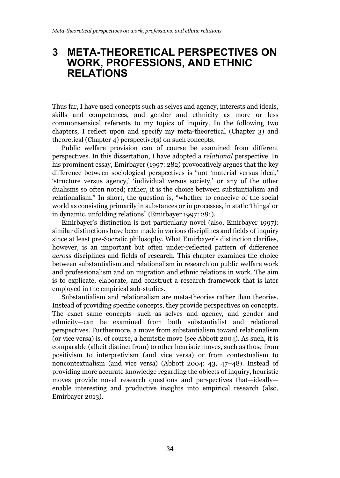### 3 META-THEORETICAL PERSPECTIVES ON WORK, PROFESSIONS, AND ETHNIC RELATIONS

Thus far, I have used concepts such as selves and agency, interests and ideals, skills and competences, and gender and ethnicity as more or less commonsensical referents to my topics of inquiry. In the following two chapters, I reflect upon and specify my meta-theoretical (Chapter 3) and theoretical (Chapter 4) perspective(s) on such concepts.

Public welfare provision can of course be examined from different perspectives. In this dissertation, I have adopted a *relational* perspective. In his prominent essay, Emirbayer (1997: 282) provocatively argues that the key difference between sociological perspectives is "not 'material versus ideal,' 'structure versus agency,' 'individual versus society,' or any of the other dualisms so often noted; rather, it is the choice between substantialism and relationalism." In short, the question is, "whether to conceive of the social world as consisting primarily in substances or in processes, in static 'things' or in dynamic, unfolding relations" (Emirbayer 1997: 281).

Emirbayer's distinction is not particularly novel (also, Emirbayer 1997): similar distinctions have been made in various disciplines and fields of inquiry since at least pre-Socratic philosophy. What Emirbayer's distinction clarifies, however, is an important but often under-reflected pattern of difference *across* disciplines and fields of research. This chapter examines the choice between substantialism and relationalism in research on public welfare work and professionalism and on migration and ethnic relations in work. The aim is to explicate, elaborate, and construct a research framework that is later employed in the empirical sub-studies.

Substantialism and relationalism are meta-theories rather than theories. Instead of providing specific concepts, they provide perspectives on concepts. The exact same concepts—such as selves and agency, and gender and ethnicity—can be examined from both substantialist and relational perspectives. Furthermore, a move from substantialism toward relationalism (or vice versa) is, of course, a heuristic move (see Abbott 2004). As such, it is comparable (albeit distinct from) to other heuristic moves, such as those from positivism to interpretivism (and vice versa) or from contextualism to noncontextualism (and vice versa) (Abbott 2004: 43, 47–48). Instead of providing more accurate knowledge regarding the objects of inquiry, heuristic moves provide novel research questions and perspectives that—ideally enable interesting and productive insights into empirical research (also, Emirbayer 2013).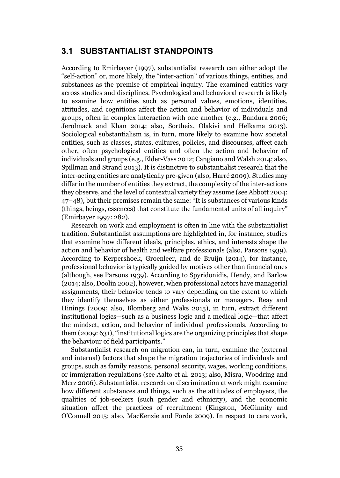#### 3.1 SUBSTANTIALIST STANDPOINTS

According to Emirbayer (1997), substantialist research can either adopt the "self-action" or, more likely, the "inter-action" of various things, entities, and substances as the premise of empirical inquiry. The examined entities vary across studies and disciplines. Psychological and behavioral research is likely to examine how entities such as personal values, emotions, identities, attitudes, and cognitions affect the action and behavior of individuals and groups, often in complex interaction with one another (e.g., Bandura 2006; Jerolmack and Khan 2014; also, Sortheix, Olakivi and Helkama 2013). Sociological substantialism is, in turn, more likely to examine how societal entities, such as classes, states, cultures, policies, and discourses, affect each other, often psychological entities and often the action and behavior of individuals and groups (e.g., Elder-Vass 2012; Cangiano and Walsh 2014; also, Spillman and Strand 2013). It is distinctive to substantialist research that the inter-acting entities are analytically pre-given (also, Harré 2009). Studies may differ in the number of entities they extract, the complexity of the inter-actions they observe, and the level of contextual variety they assume (see Abbott 2004: 47–48), but their premises remain the same: "It is substances of various kinds (things, beings, essences) that constitute the fundamental units of all inquiry" (Emirbayer 1997: 282).

Research on work and employment is often in line with the substantialist tradition. Substantialist assumptions are highlighted in, for instance, studies that examine how different ideals, principles, ethics, and interests shape the action and behavior of health and welfare professionals (also, Parsons 1939). According to Kerpershoek, Groenleer, and de Bruijn (2014), for instance, professional behavior is typically guided by motives other than financial ones (although, see Parsons 1939). According to Spyridonidis, Hendy, and Barlow (2014; also, Doolin 2002), however, when professional actors have managerial assignments, their behavior tends to vary depending on the extent to which they identify themselves as either professionals or managers. Reay and Hinings (2009; also, Blomberg and Waks 2015), in turn, extract different institutional logics—such as a business logic and a medical logic—that affect the mindset, action, and behavior of individual professionals. According to them (2009: 631), "institutional logics are the organizing principles that shape the behaviour of field participants."

Substantialist research on migration can, in turn, examine the (external and internal) factors that shape the migration trajectories of individuals and groups, such as family reasons, personal security, wages, working conditions, or immigration regulations (see Aalto et al. 2013; also, Misra, Woodring and Merz 2006). Substantialist research on discrimination at work might examine how different substances and things, such as the attitudes of employers, the qualities of job-seekers (such gender and ethnicity), and the economic situation affect the practices of recruitment (Kingston, McGinnity and O'Connell 2015; also, MacKenzie and Forde 2009). In respect to care work,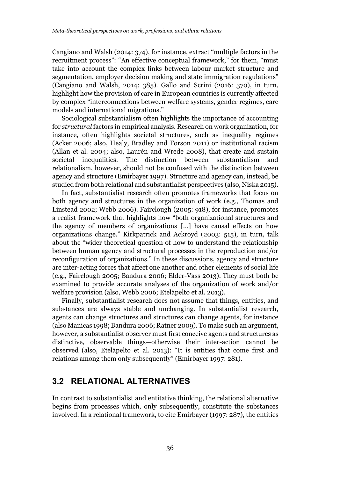Cangiano and Walsh (2014: 374), for instance, extract "multiple factors in the recruitment process": "An effective conceptual framework," for them, "must take into account the complex links between labour market structure and segmentation, employer decision making and state immigration regulations" (Cangiano and Walsh, 2014: 385). Gallo and Scrini (2016: 370), in turn, highlight how the provision of care in European countries is currently affected by complex "interconnections between welfare systems, gender regimes, care models and international migrations."

Sociological substantialism often highlights the importance of accounting for *structural* factors in empirical analysis. Research on work organization, for instance, often highlights societal structures, such as inequality regimes (Acker 2006; also, Healy, Bradley and Forson 2011) or institutional racism (Allan et al. 2004; also, Laurén and Wrede 2008), that create and sustain societal inequalities. The distinction between substantialism and relationalism, however, should not be confused with the distinction between agency and structure (Emirbayer 1997). Structure and agency can, instead, be studied from both relational and substantialist perspectives (also, Niska 2015).

In fact, substantialist research often promotes frameworks that focus on both agency and structures in the organization of work (e.g., Thomas and Linstead 2002; Webb 2006). Fairclough (2005: 918), for instance, promotes a realist framework that highlights how "both organizational structures and the agency of members of organizations […] have causal effects on how organizations change." Kirkpatrick and Ackroyd (2003: 515), in turn, talk about the "wider theoretical question of how to understand the relationship between human agency and structural processes in the reproduction and/or reconfiguration of organizations." In these discussions, agency and structure are inter-acting forces that affect one another and other elements of social life (e.g., Fairclough 2005; Bandura 2006; Elder-Vass 2013). They must both be examined to provide accurate analyses of the organization of work and/or welfare provision (also, Webb 2006; Eteläpelto et al. 2013).

Finally, substantialist research does not assume that things, entities, and substances are always stable and unchanging. In substantialist research, agents can change structures and structures can change agents, for instance (also Manicas 1998; Bandura 2006; Ratner 2009). To make such an argument, however, a substantialist observer must first conceive agents and structures as distinctive, observable things—otherwise their inter-action cannot be observed (also, Eteläpelto et al. 2013): "It is entities that come first and relations among them only subsequently" (Emirbayer 1997: 281).

#### 3.2 RELATIONAL ALTERNATIVES

In contrast to substantialist and entitative thinking, the relational alternative begins from processes which, only subsequently, constitute the substances involved. In a relational framework, to cite Emirbayer (1997: 287), the entities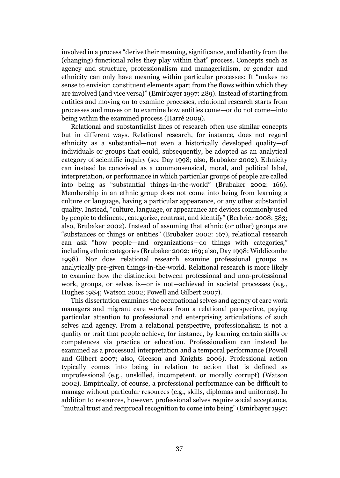involved in a process "derive their meaning, significance, and identity from the (changing) functional roles they play within that" process. Concepts such as agency and structure, professionalism and managerialism, or gender and ethnicity can only have meaning within particular processes: It "makes no sense to envision constituent elements apart from the flows within which they are involved (and vice versa)" (Emirbayer 1997: 289). Instead of starting from entities and moving on to examine processes, relational research starts from processes and moves on to examine how entities come—or do not come—into being within the examined process (Harré 2009).

Relational and substantialist lines of research often use similar concepts but in different ways. Relational research, for instance, does not regard ethnicity as a substantial—not even a historically developed quality—of individuals or groups that could, subsequently, be adopted as an analytical category of scientific inquiry (see Day 1998; also, Brubaker 2002). Ethnicity can instead be conceived as a commonsensical, moral, and political label, interpretation, or performance in which particular groups of people are called into being as "substantial things-in-the-world" (Brubaker 2002: 166). Membership in an ethnic group does not come into being from learning a culture or language, having a particular appearance, or any other substantial quality. Instead, "culture, language, or appearance are devices commonly used by people to delineate, categorize, contrast, and identify" (Berbrier 2008: 583; also, Brubaker 2002). Instead of assuming that ethnic (or other) groups are "substances or things or entities" (Brubaker 2002: 167), relational research can ask "how people—and organizations—do things with categories," including ethnic categories (Brubaker 2002: 169; also, Day 1998; Widdicombe 1998). Nor does relational research examine professional groups as analytically pre-given things-in-the-world. Relational research is more likely to examine how the distinction between professional and non-professional work, groups, or selves is—or is not—achieved in societal processes (e.g., Hughes 1984; Watson 2002; Powell and Gilbert 2007).

This dissertation examines the occupational selves and agency of care work managers and migrant care workers from a relational perspective, paying particular attention to professional and enterprising articulations of such selves and agency. From a relational perspective, professionalism is not a quality or trait that people achieve, for instance, by learning certain skills or competences via practice or education. Professionalism can instead be examined as a processual interpretation and a temporal performance (Powell and Gilbert 2007; also, Gleeson and Knights 2006). Professional action typically comes into being in relation to action that is defined as unprofessional (e.g., unskilled, incompetent, or morally corrupt) (Watson 2002). Empirically, of course, a professional performance can be difficult to manage without particular resources (e.g., skills, diplomas and uniforms). In addition to resources, however, professional selves require social acceptance, "mutual trust and reciprocal recognition to come into being" (Emirbayer 1997: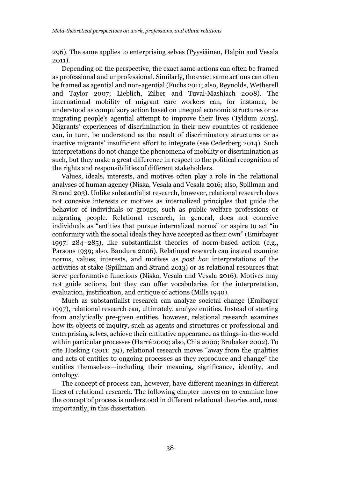296). The same applies to enterprising selves (Pyysiäinen, Halpin and Vesala 2011).

Depending on the perspective, the exact same actions can often be framed as professional and unprofessional. Similarly, the exact same actions can often be framed as agential and non-agential (Fuchs 2011; also, Reynolds, Wetherell and Taylor 2007; Lieblich, Zilber and Tuval-Mashiach 2008). The international mobility of migrant care workers can, for instance, be understood as compulsory action based on unequal economic structures or as migrating people's agential attempt to improve their lives (Tyldum 2015). Migrants' experiences of discrimination in their new countries of residence can, in turn, be understood as the result of discriminatory structures or as inactive migrants' insufficient effort to integrate (see Cederberg 2014). Such interpretations do not change the phenomena of mobility or discrimination as such, but they make a great difference in respect to the political recognition of the rights and responsibilities of different stakeholders.

Values, ideals, interests, and motives often play a role in the relational analyses of human agency (Niska, Vesala and Vesala 2016; also, Spillman and Strand 203). Unlike substantialist research, however, relational research does not conceive interests or motives as internalized principles that guide the behavior of individuals or groups, such as public welfare professions or migrating people. Relational research, in general, does not conceive individuals as "entities that pursue internalized norms" or aspire to act "in conformity with the social ideals they have accepted as their own" (Emirbayer 1997: 284–285), like substantialist theories of norm-based action (e.g., Parsons 1939; also, Bandura 2006). Relational research can instead examine norms, values, interests, and motives as *post hoc* interpretations of the activities at stake (Spillman and Strand 2013) or as relational resources that serve performative functions (Niska, Vesala and Vesala 2016). Motives may not guide actions, but they can offer vocabularies for the interpretation, evaluation, justification, and critique of actions (Mills 1940).

Much as substantialist research can analyze societal change (Emibayer 1997), relational research can, ultimately, analyze entities. Instead of starting from analytically pre-given entities, however, relational research examines how its objects of inquiry, such as agents and structures or professional and enterprising selves, achieve their entitative appearance as things-in-the-world within particular processes (Harré 2009; also, Chia 2000; Brubaker 2002). To cite Hosking (2011: 59), relational research moves "away from the qualities and acts of entities to ongoing processes as they reproduce and change" the entities themselves—including their meaning, significance, identity, and ontology.

The concept of process can, however, have different meanings in different lines of relational research. The following chapter moves on to examine how the concept of process is understood in different relational theories and, most importantly, in this dissertation.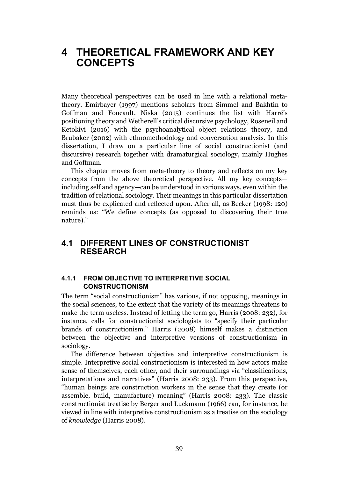## 4 THEORETICAL FRAMEWORK AND KEY CONCEPTS

Many theoretical perspectives can be used in line with a relational metatheory. Emirbayer (1997) mentions scholars from Simmel and Bakhtin to Goffman and Foucault. Niska (2015) continues the list with Harré's positioning theory and Wetherell's critical discursive psychology, Roseneil and Ketokivi (2016) with the psychoanalytical object relations theory, and Brubaker (2002) with ethnomethodology and conversation analysis. In this dissertation, I draw on a particular line of social constructionist (and discursive) research together with dramaturgical sociology, mainly Hughes and Goffman.

This chapter moves from meta-theory to theory and reflects on my key concepts from the above theoretical perspective. All my key concepts including self and agency—can be understood in various ways, even within the tradition of relational sociology. Their meanings in this particular dissertation must thus be explicated and reflected upon. After all, as Becker (1998: 120) reminds us: "We define concepts (as opposed to discovering their true nature)."

## 4.1 DIFFERENT LINES OF CONSTRUCTIONIST RESEARCH

#### 4.1.1 FROM OBJECTIVE TO INTERPRETIVE SOCIAL CONSTRUCTIONISM

The term "social constructionism" has various, if not opposing, meanings in the social sciences, to the extent that the variety of its meanings threatens to make the term useless. Instead of letting the term go, Harris (2008: 232), for instance, calls for constructionist sociologists to "specify their particular brands of constructionism." Harris (2008) himself makes a distinction between the objective and interpretive versions of constructionism in sociology.

The difference between objective and interpretive constructionism is simple. Interpretive social constructionism is interested in how actors make sense of themselves, each other, and their surroundings via "classifications, interpretations and narratives" (Harris 2008: 233). From this perspective, "human beings are construction workers in the sense that they create (or assemble, build, manufacture) meaning" (Harris 2008: 233). The classic constructionist treatise by Berger and Luckmann (1966) can, for instance, be viewed in line with interpretive constructionism as a treatise on the sociology of *knowledge* (Harris 2008).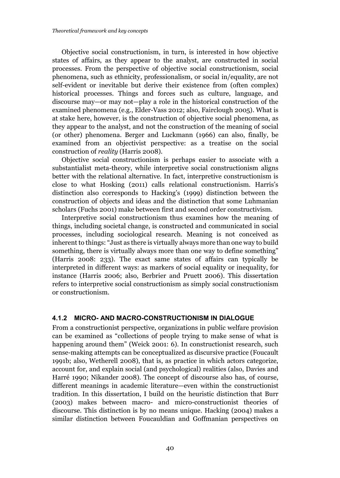Objective social constructionism, in turn, is interested in how objective states of affairs, as they appear to the analyst, are constructed in social processes. From the perspective of objective social constructionism, social phenomena, such as ethnicity, professionalism, or social in/equality, are not self-evident or inevitable but derive their existence from (often complex) historical processes. Things and forces such as culture, language, and discourse may—or may not—play a role in the historical construction of the examined phenomena (e.g., Elder-Vass 2012; also, Fairclough 2005). What is at stake here, however, is the construction of objective social phenomena, as they appear to the analyst, and not the construction of the meaning of social (or other) phenomena. Berger and Luckmann (1966) can also, finally, be examined from an objectivist perspective: as a treatise on the social construction of *reality* (Harris 2008).

Objective social constructionism is perhaps easier to associate with a substantialist meta-theory, while interpretive social constructionism aligns better with the relational alternative. In fact, interpretive constructionism is close to what Hosking (2011) calls relational constructionism. Harris's distinction also corresponds to Hacking's (1999) distinction between the construction of objects and ideas and the distinction that some Luhmanian scholars (Fuchs 2001) make between first and second order constructivism.

Interpretive social constructionism thus examines how the meaning of things, including societal change, is constructed and communicated in social processes, including sociological research. Meaning is not conceived as inherent to things: "Just as there is virtually always more than one way to build something, there is virtually always more than one way to define something" (Harris 2008: 233). The exact same states of affairs can typically be interpreted in different ways: as markers of social equality or inequality, for instance (Harris 2006; also, Berbrier and Pruett 2006). This dissertation refers to interpretive social constructionism as simply social constructionism or constructionism.

#### 4.1.2 MICRO- AND MACRO-CONSTRUCTIONISM IN DIALOGUE

From a constructionist perspective, organizations in public welfare provision can be examined as "collections of people trying to make sense of what is happening around them" (Weick 2001: 6). In constructionist research, such sense-making attempts can be conceptualized as discursive practice (Foucault 1991b; also, Wetherell 2008), that is, as practice in which actors categorize, account for, and explain social (and psychological) realities (also, Davies and Harré 1990; Nikander 2008). The concept of discourse also has, of course, different meanings in academic literature—even within the constructionist tradition. In this dissertation, I build on the heuristic distinction that Burr (2003) makes between macro- and micro-constructionist theories of discourse. This distinction is by no means unique. Hacking (2004) makes a similar distinction between Foucauldian and Goffmanian perspectives on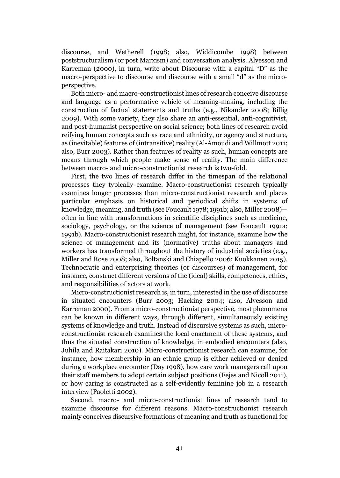discourse, and Wetherell (1998; also, Widdicombe 1998) between poststructuralism (or post Marxism) and conversation analysis. Alvesson and Karreman (2000), in turn, write about Discourse with a capital "D" as the macro-perspective to discourse and discourse with a small "d" as the microperspective.

Both micro- and macro-constructionist lines of research conceive discourse and language as a performative vehicle of meaning-making, including the construction of factual statements and truths (e.g., Nikander 2008; Billig 2009). With some variety, they also share an anti-essential, anti-cognitivist, and post-humanist perspective on social science; both lines of research avoid reifying human concepts such as race and ethnicity, or agency and structure, as (inevitable) features of (intransitive) reality (Al-Amoudi and Willmott 2011; also, Burr 2003). Rather than features of reality as such, human concepts are means through which people make sense of reality. The main difference between macro- and micro-constructionist research is two-fold.

First, the two lines of research differ in the timespan of the relational processes they typically examine. Macro-constructionist research typically examines longer processes than micro-constructionist research and places particular emphasis on historical and periodical shifts in systems of knowledge, meaning, and truth (see Foucault 1978; 1991b; also, Miller 2008) often in line with transformations in scientific disciplines such as medicine, sociology, psychology, or the science of management (see Foucault 1991a; 1991b). Macro-constructionist research might, for instance, examine how the science of management and its (normative) truths about managers and workers has transformed throughout the history of industrial societies (e.g., Miller and Rose 2008; also, Boltanski and Chiapello 2006; Kuokkanen 2015). Technocratic and enterprising theories (or discourses) of management, for instance, construct different versions of the (ideal) skills, competences, ethics, and responsibilities of actors at work.

Micro-constructionist research is, in turn, interested in the use of discourse in situated encounters (Burr 2003; Hacking 2004; also, Alvesson and Karreman 2000). From a micro-constructionist perspective, most phenomena can be known in different ways, through different, simultaneously existing systems of knowledge and truth. Instead of discursive systems as such, microconstructionist research examines the local enactment of these systems, and thus the situated construction of knowledge, in embodied encounters (also, Juhila and Raitakari 2010). Micro-constructionist research can examine, for instance, how membership in an ethnic group is either achieved or denied during a workplace encounter (Day 1998), how care work managers call upon their staff members to adopt certain subject positions (Fejes and Nicoll 2011), or how caring is constructed as a self-evidently feminine job in a research interview (Paoletti 2002).

Second, macro- and micro-constructionist lines of research tend to examine discourse for different reasons. Macro-constructionist research mainly conceives discursive formations of meaning and truth as functional for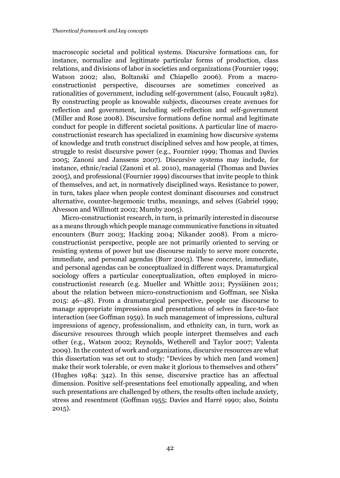macroscopic societal and political systems. Discursive formations can, for instance, normalize and legitimate particular forms of production, class relations, and divisions of labor in societies and organizations (Fournier 1999; Watson 2002; also, Boltanski and Chiapello 2006). From a macroconstructionist perspective, discourses are sometimes conceived as rationalities of government, including self-government (also, Foucault 1982). By constructing people as knowable subjects, discourses create avenues for reflection and government, including self-reflection and self-government (Miller and Rose 2008). Discursive formations define normal and legitimate conduct for people in different societal positions. A particular line of macroconstructionist research has specialized in examining how discursive systems of knowledge and truth construct disciplined selves and how people, at times, struggle to resist discursive power (e.g., Fournier 1999; Thomas and Davies 2005; Zanoni and Janssens 2007). Discursive systems may include, for instance, ethnic/racial (Zanoni et al. 2010), managerial (Thomas and Davies 2005), and professional (Fournier 1999) discourses that invite people to think of themselves, and act, in normatively disciplined ways. Resistance to power, in turn, takes place when people contest dominant discourses and construct alternative, counter-hegemonic truths, meanings, and selves (Gabriel 1999; Alvesson and Willmott 2002; Mumby 2005).

Micro-constructionist research, in turn, is primarily interested in discourse as a means through which people manage communicative functions in situated encounters (Burr 2003; Hacking 2004; Nikander 2008). From a microconstructionist perspective, people are not primarily oriented to serving or resisting systems of power but use discourse mainly to serve more concrete, immediate, and personal agendas (Burr 2003). These concrete, immediate, and personal agendas can be conceptualized in different ways. Dramaturgical sociology offers a particular conceptualization, often employed in microconstructionist research (e.g. Mueller and Whittle 2011; Pyysiäinen 2011; about the relation between micro-constructionism and Goffman, see Niska 2015: 46–48). From a dramaturgical perspective, people use discourse to manage appropriate impressions and presentations of selves in face-to-face interaction (see Goffman 1959). In such management of impressions, cultural impressions of agency, professionalism, and ethnicity can, in turn, work as discursive resources through which people interpret themselves and each other (e.g., Watson 2002; Reynolds, Wetherell and Taylor 2007; Valenta 2009). In the context of work and organizations, discursive resources are what this dissertation was set out to study: "Devices by which men [and women] make their work tolerable, or even make it glorious to themselves and others" (Hughes 1984: 342). In this sense, discursive practice has an affectual dimension. Positive self-presentations feel emotionally appealing, and when such presentations are challenged by others, the results often include anxiety, stress and resentment (Goffman 1955; Davies and Harré 1990; also, Sointu 2015).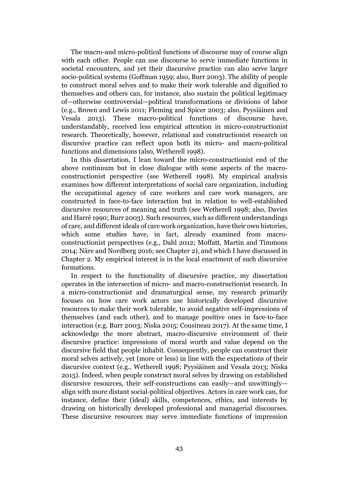The macro-and micro-political functions of discourse may of course align with each other. People can use discourse to serve immediate functions in societal encounters, and yet their discursive practice can also serve larger socio-political systems (Goffman 1959; also, Burr 2003). The ability of people to construct moral selves and to make their work tolerable and dignified to themselves and others can, for instance, also sustain the political legitimacy of—otherwise controversial—political transformations or divisions of labor (e.g., Brown and Lewis 2011; Fleming and Spicer 2003; also, Pyysiäinen and Vesala 2013). These macro-political functions of discourse have, understandably, received less empirical attention in micro-constructionist research. Theoretically, however, relational and constructionist research on discursive practice can reflect upon both its micro- and macro-political functions and dimensions (also, Wetherell 1998).

In this dissertation, I lean toward the micro-constructionist end of the above continuum but in close dialogue with some aspects of the macroconstructionist perspective (see Wetherell 1998). My empirical analysis examines how different interpretations of social care organization, including the occupational agency of care workers and care work managers, are constructed in face-to-face interaction but in relation to well-established discursive resources of meaning and truth (see Wetherell 1998; also, Davies and Harré 1990; Burr 2003). Such resources, such as different understandings of care, and different ideals of care work organization, have their own histories, which some studies have, in fact, already examined from macroconstructionist perspectives (e.g., Dahl 2012; Moffatt, Martin and Timmons 2014; Näre and Nordberg 2016; see Chapter 2), and which I have discussed in Chapter 2. My empirical interest is in the local enactment of such discursive formations.

In respect to the functionality of discursive practice, my dissertation operates in the intersection of micro- and macro-constructionist research. In a micro-constructionist and dramaturgical sense, my research primarily focuses on how care work actors use historically developed discursive resources to make their work tolerable, to avoid negative self-impressions of themselves (and each other), and to manage positive ones in face-to-face interaction (e.g. Burr 2003; Niska 2015; Cousineau 2017). At the same time, I acknowledge the more abstract, macro-discursive environment of their discursive practice: impressions of moral worth and value depend on the discursive field that people inhabit. Consequently, people can construct their moral selves actively, yet (more or less) in line with the expectations of their discursive context (e.g., Wetherell 1998; Pyysiäinen and Vesala 2013; Niska 2015). Indeed, when people construct moral selves by drawing on established discursive resources, their self-constructions can easily—and unwittingly align with more distant social-political objectives. Actors in care work can, for instance, define their (ideal) skills, competences, ethics, and interests by drawing on historically developed professional and managerial discourses. These discursive resources may serve immediate functions of impression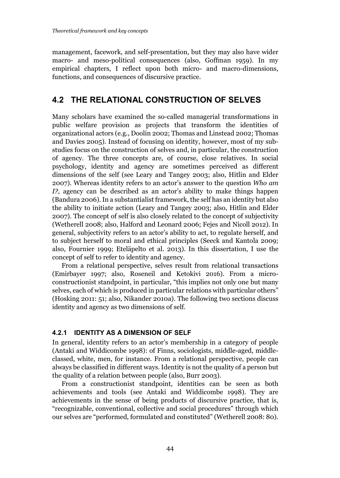management, facework, and self-presentation, but they may also have wider macro- and meso-political consequences (also, Goffman 1959). In my empirical chapters, I reflect upon both micro- and macro-dimensions, functions, and consequences of discursive practice.

## 4.2 THE RELATIONAL CONSTRUCTION OF SELVES

Many scholars have examined the so-called managerial transformations in public welfare provision as projects that transform the identities of organizational actors (e.g., Doolin 2002; Thomas and Linstead 2002; Thomas and Davies 2005). Instead of focusing on identity, however, most of my substudies focus on the construction of selves and, in particular, the construction of agency. The three concepts are, of course, close relatives. In social psychology, identity and agency are sometimes perceived as different dimensions of the self (see Leary and Tangey 2003; also, Hitlin and Elder 2007). Whereas identity refers to an actor's answer to the question *Who am I?*, agency can be described as an actor's ability to make things happen (Bandura 2006). In a substantialist framework, the self has an identity but also the ability to initiate action (Leary and Tangey 2003; also, Hitlin and Elder 2007). The concept of self is also closely related to the concept of subjectivity (Wetherell 2008; also, Halford and Leonard 2006; Fejes and Nicoll 2012). In general, subjectivity refers to an actor's ability to act, to regulate herself, and to subject herself to moral and ethical principles (Seeck and Kantola 2009; also, Fournier 1999; Eteläpelto et al. 2013). In this dissertation, I use the concept of self to refer to identity and agency.

From a relational perspective, selves result from relational transactions (Emirbayer 1997; also, Roseneil and Ketokivi 2016). From a microconstructionist standpoint, in particular, "this implies not only one but many selves, each of which is produced in particular relations with particular others" (Hosking 2011: 51; also, Nikander 2010a). The following two sections discuss identity and agency as two dimensions of self.

#### 4.2.1 IDENTITY AS A DIMENSION OF SELF

In general, identity refers to an actor's membership in a category of people (Antaki and Widdicombe 1998): of Finns, sociologists, middle-aged, middleclassed, white, men, for instance. From a relational perspective, people can always be classified in different ways. Identity is not the quality of a person but the quality of a relation between people (also, Burr 2003).

From a constructionist standpoint, identities can be seen as both achievements and tools (see Antaki and Widdicombe 1998). They are achievements in the sense of being products of discursive practice, that is, "recognizable, conventional, collective and social procedures" through which our selves are "performed, formulated and constituted" (Wetherell 2008: 80).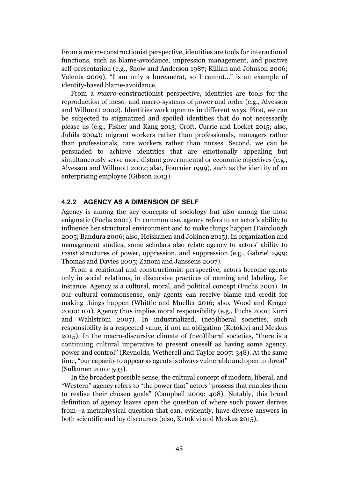From a *micro*-constructionist perspective, identities are tools for interactional functions, such as blame-avoidance, impression management, and positive self-presentation (e.g., Snow and Anderson 1987; Killian and Johnson 2006; Valenta 2009). "I am only a bureaucrat, so I cannot…" is an example of identity-based blame-avoidance.

From a *macro*-constructionist perspective, identities are tools for the reproduction of meso- and macro-systems of power and order (e.g., Alvesson and Willmott 2002). Identities work upon us in different ways. First, we can be subjected to stigmatized and spoiled identities that do not necessarily please us (e.g., Fisher and Kang 2013; Croft, Currie and Locket 2015; also, Juhila 2004): migrant workers rather than professionals, managers rather than professionals, care workers rather than nurses. Second, we can be persuaded to achieve identities that are emotionally appealing but simultaneously serve more distant governmental or economic objectives (e.g., Alvesson and Willmott 2002; also, Fournier 1999), such as the identity of an enterprising employee (Gibson 2013).

#### 4.2.2 AGENCY AS A DIMENSION OF SELF

Agency is among the key concepts of sociology but also among the most enigmatic (Fuchs 2001). In common use, agency refers to an actor's ability to influence her structural environment and to make things happen (Fairclough 2005; Bandura 2006; also, Heiskanen and Jokinen 2015). In organization and management studies, some scholars also relate agency to actors' ability to *resist* structures of power, oppression, and suppression (e.g., Gabriel 1999; Thomas and Davies 2005; Zanoni and Janssens 2007).

From a relational and constructionist perspective, actors become agents only in social relations, in discursive practices of naming and labeling, for instance. Agency is a cultural, moral, and political concept (Fuchs 2001). In our cultural commonsense, only agents can receive blame and credit for making things happen (Whittle and Mueller 2016; also, Wood and Kroger 2000: 101). Agency thus implies moral responsibility (e.g., Fuchs 2001; Kurri and Wahlström 2007). In industrialized, (neo)liberal societies, such responsibility is a respected value, if not an obligation (Ketokivi and Meskus 2015). In the macro-discursive climate of (neo)liberal societies, "there is a continuing cultural imperative to present oneself as having some agency, power and control" (Reynolds, Wetherell and Taylor 2007: 348). At the same time, "our capacity to appear as agents is always vulnerable and open to threat" (Sulkunen 2010: 503).

In the broadest possible sense, the cultural concept of modern, liberal, and "Western" agency refers to "the power that" actors "possess that enables them to realise their chosen goals" (Campbell 2009: 408). Notably, this broad definition of agency leaves open the question of where such power derives from—a metaphysical question that can, evidently, have diverse answers in both scientific and lay discourses (also, Ketokivi and Meskus 2015).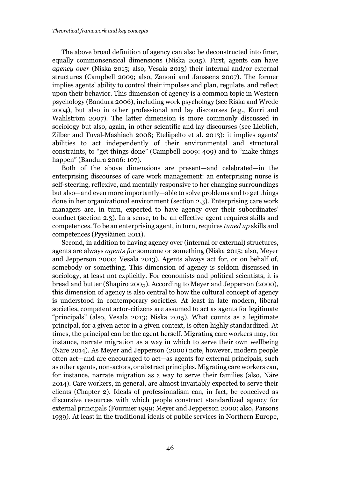The above broad definition of agency can also be deconstructed into finer, equally commonsensical dimensions (Niska 2015). First, agents can have *agency over* (Niska 2015; also, Vesala 2013) their internal and/or external structures (Campbell 2009; also, Zanoni and Janssens 2007). The former implies agents' ability to control their impulses and plan, regulate, and reflect upon their behavior. This dimension of agency is a common topic in Western psychology (Bandura 2006), including work psychology (see Riska and Wrede 2004), but also in other professional and lay discourses (e.g., Kurri and Wahlström 2007). The latter dimension is more commonly discussed in sociology but also, again, in other scientific and lay discourses (see Lieblich, Zilber and Tuval-Mashiach 2008; Eteläpelto et al. 2013): it implies agents' abilities to act independently of their environmental and structural constraints, to "get things done" (Campbell 2009: 409) and to "make things happen" (Bandura 2006: 107).

Both of the above dimensions are present—and celebrated—in the enterprising discourses of care work management: an enterprising nurse is self-steering, reflexive, and mentally responsive to her changing surroundings but also—and even more importantly—able to solve problems and to get things done in her organizational environment (section 2.3). Enterprising care work managers are, in turn, expected to have agency over their subordinates' conduct (section 2.3). In a sense, to be an effective agent requires skills and competences. To be an enterprising agent, in turn, requires *tuned up* skills and competences (Pyysiäinen 2011).

Second, in addition to having agency over (internal or external) structures, agents are always *agents for* someone or something (Niska 2015; also, Meyer and Jepperson 2000; Vesala 2013). Agents always act for, or on behalf of, somebody or something. This dimension of agency is seldom discussed in sociology, at least not explicitly. For economists and political scientists, it is bread and butter (Shapiro 2005). According to Meyer and Jepperson (2000), this dimension of agency is also central to how the cultural concept of agency is understood in contemporary societies. At least in late modern, liberal societies, competent actor-citizens are assumed to act as agents for legitimate "principals" (also, Vesala 2013; Niska 2015). What counts as a legitimate principal, for a given actor in a given context, is often highly standardized. At times, the principal can be the agent herself. Migrating care workers may, for instance, narrate migration as a way in which to serve their own wellbeing (Näre 2014). As Meyer and Jepperson (2000) note, however, modern people often act—and are encouraged to act—as agents for external principals, such as other agents, non-actors, or abstract principles. Migrating care workers can, for instance, narrate migration as a way to serve their families (also, Näre 2014). Care workers, in general, are almost invariably expected to serve their clients (Chapter 2). Ideals of professionalism can, in fact, be conceived as discursive resources with which people construct standardized agency for external principals (Fournier 1999; Meyer and Jepperson 2000; also, Parsons 1939). At least in the traditional ideals of public services in Northern Europe,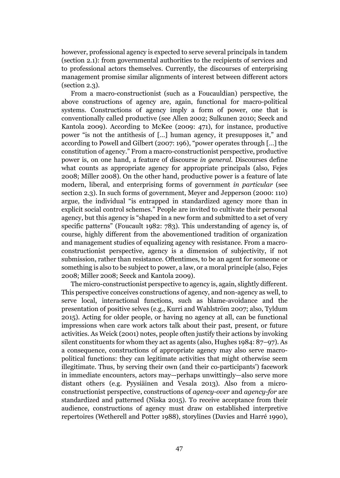however, professional agency is expected to serve several principals in tandem (section 2.1): from governmental authorities to the recipients of services and to professional actors themselves. Currently, the discourses of enterprising management promise similar alignments of interest between different actors (section 2.3).

From a macro-constructionist (such as a Foucauldian) perspective, the above constructions of agency are, again, functional for macro-political systems. Constructions of agency imply a form of power, one that is conventionally called productive (see Allen 2002; Sulkunen 2010; Seeck and Kantola 2009). According to McKee (2009: 471), for instance, productive power "is not the antithesis of […] human agency, it presupposes it," and according to Powell and Gilbert (2007: 196), "power operates through […] the constitution of agency." From a macro-constructionist perspective, productive power is, on one hand, a feature of discourse *in general*. Discourses define what counts as appropriate agency for appropriate principals (also, Fejes 2008; Miller 2008). On the other hand, productive power is a feature of late modern, liberal, and enterprising forms of government *in particular* (see section 2.3). In such forms of government, Meyer and Jepperson (2000: 110) argue, the individual "is entrapped in standardized agency more than in explicit social control schemes." People are invited to cultivate their personal agency, but this agency is "shaped in a new form and submitted to a set of very specific patterns" (Foucault 1982: 783). This understanding of agency is, of course, highly different from the abovementioned tradition of organization and management studies of equalizing agency with resistance. From a macroconstructionist perspective, agency is a dimension of subjectivity, if not submission, rather than resistance. Oftentimes, to be an agent for someone or something is also to be subject to power, a law, or a moral principle (also, Fejes 2008; Miller 2008; Seeck and Kantola 2009).

The micro-constructionist perspective to agency is, again, slightly different. This perspective conceives constructions of agency, and non-agency as well, to serve local, interactional functions, such as blame-avoidance and the presentation of positive selves (e.g., Kurri and Wahlström 2007; also, Tyldum 2015). Acting for older people, or having no agency at all, can be functional impressions when care work actors talk about their past, present, or future activities. As Weick (2001) notes, people often justify their actions by invoking silent constituents for whom they act as agents (also, Hughes 1984: 87–97). As a consequence, constructions of appropriate agency may also serve macropolitical functions: they can legitimate activities that might otherwise seem illegitimate. Thus, by serving their own (and their co-participants') facework in immediate encounters, actors may—perhaps unwittingly—also serve more distant others (e.g. Pyysiäinen and Vesala 2013). Also from a microconstructionist perspective, constructions of *agency-over* and *agency-for* are standardized and patterned (Niska 2015). To receive acceptance from their audience, constructions of agency must draw on established interpretive repertoires (Wetherell and Potter 1988), storylines (Davies and Harré 1990),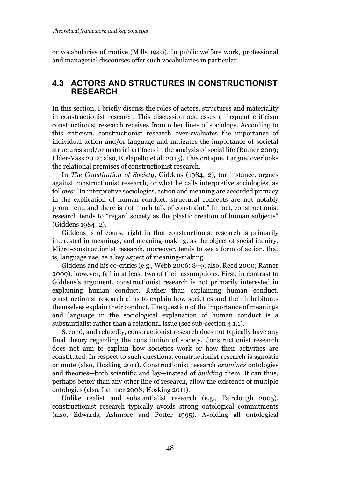or vocabularies of motive (Mills 1940). In public welfare work, professional and managerial discourses offer such vocabularies in particular.

## 4.3 ACTORS AND STRUCTURES IN CONSTRUCTIONIST RESEARCH

In this section, I briefly discuss the roles of actors, structures and materiality in constructionist research. This discussion addresses a frequent criticism constructionist research receives from other lines of sociology. According to this criticism, constructionist research over-evaluates the importance of individual action and/or language and mitigates the importance of societal structures and/or material artifacts in the analysis of social life (Ratner 2009; Elder-Vass 2012; also, Eteläpelto et al. 2013). This critique, I argue, overlooks the relational premises of constructionist research.

In *The Constitution of Society*, Giddens (1984: 2), for instance, argues against constructionist research, or what he calls interpretive sociologies, as follows: "In interpretive sociologies, action and meaning are accorded primacy in the explication of human conduct; structural concepts are not notably prominent, and there is not much talk of constraint." In fact, constructionist research tends to "regard society as the plastic creation of human subjects" (Giddens 1984: 2).

Giddens is of course right in that constructionist research is primarily interested in meanings, and meaning-making, as the object of social inquiry. Micro-constructionist research, moreover, tends to see a form of action, that is, language use, as a key aspect of meaning-making.

Giddens and his co-critics (e.g., Webb 2006: 8–9; also, Reed 2000; Ratner 2009), however, fail in at least two of their assumptions. First, in contrast to Giddens's argument, constructionist research is not primarily interested in explaining human conduct. Rather than explaining human conduct, constructionist research aims to explain how societies and their inhabitants themselves explain their conduct. The question of the importance of meanings and language in the sociological explanation of human conduct is a substantialist rather than a relational issue (see sub-section 4.1.1).

Second, and relatedly, constructionist research does not typically have any final theory regarding the constitution of society. Constructionist research does not aim to explain how societies work or how their activities are constituted. In respect to such questions, constructionist research is agnostic or mute (also, Hosking 2011). Constructionist research *examines* ontologies and theories—both scientific and lay—instead of *building* them. It can thus, perhaps better than any other line of research, allow the existence of multiple ontologies (also, Latimer 2008; Hosking 2011).

Unlike realist and substantialist research (e.g., Fairclough 2005), constructionist research typically avoids strong ontological commitments (also, Edwards, Ashmore and Potter 1995). Avoiding all ontological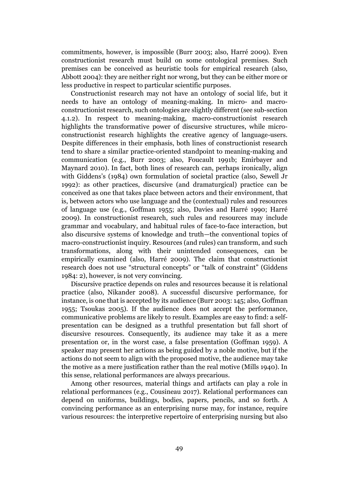commitments, however, is impossible (Burr 2003; also, Harré 2009). Even constructionist research must build on some ontological premises. Such premises can be conceived as heuristic tools for empirical research (also, Abbott 2004): they are neither right nor wrong, but they can be either more or less productive in respect to particular scientific purposes.

Constructionist research may not have an ontology of social life, but it needs to have an ontology of meaning-making. In micro- and macroconstructionist research, such ontologies are slightly different (see sub-section 4.1.2). In respect to meaning-making, macro-constructionist research highlights the transformative power of discursive structures, while microconstructionist research highlights the creative agency of language-users. Despite differences in their emphasis, both lines of constructionist research tend to share a similar practice-oriented standpoint to meaning-making and communication (e.g., Burr 2003; also, Foucault 1991b; Emirbayer and Maynard 2010). In fact, both lines of research can, perhaps ironically, align with Giddens's (1984) own formulation of societal practice (also, Sewell Jr 1992): as other practices, discursive (and dramaturgical) practice can be conceived as one that takes place between actors and their environment, that is, between actors who use language and the (contextual) rules and resources of language use (e.g., Goffman 1955; also, Davies and Harré 1990; Harré 2009). In constructionist research, such rules and resources may include grammar and vocabulary, and habitual rules of face-to-face interaction, but also discursive systems of knowledge and truth—the conventional topics of macro-constructionist inquiry. Resources (and rules) can transform, and such transformations, along with their unintended consequences, can be empirically examined (also, Harré 2009). The claim that constructionist research does not use "structural concepts" or "talk of constraint" (Giddens 1984: 2), however, is not very convincing.

Discursive practice depends on rules and resources because it is relational practice (also, Nikander 2008). A successful discursive performance, for instance, is one that is accepted by its audience (Burr 2003: 145; also, Goffman 1955; Tsoukas 2005). If the audience does not accept the performance, communicative problems are likely to result. Examples are easy to find: a selfpresentation can be designed as a truthful presentation but fall short of discursive resources. Consequently, its audience may take it as a mere presentation or, in the worst case, a false presentation (Goffman 1959). A speaker may present her actions as being guided by a noble motive, but if the actions do not seem to align with the proposed motive, the audience may take the motive as a mere justification rather than the real motive (Mills 1940). In this sense, relational performances are always precarious.

Among other resources, material things and artifacts can play a role in relational performances (e.g., Cousineau 2017). Relational performances can depend on uniforms, buildings, bodies, papers, pencils, and so forth. A convincing performance as an enterprising nurse may, for instance, require various resources: the interpretive repertoire of enterprising nursing but also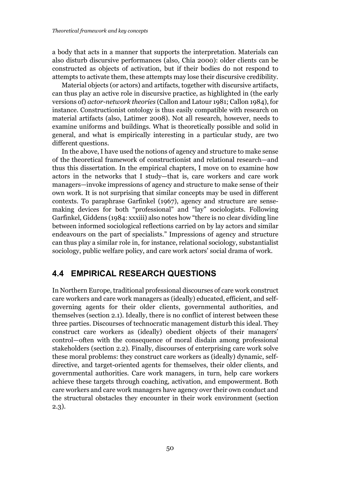a body that acts in a manner that supports the interpretation. Materials can also disturb discursive performances (also, Chia 2000): older clients can be constructed as objects of activation, but if their bodies do not respond to attempts to activate them, these attempts may lose their discursive credibility.

Material objects (or actors) and artifacts, together with discursive artifacts, can thus play an active role in discursive practice, as highlighted in (the early versions of) *actor-network theories* (Callon and Latour 1981; Callon 1984), for instance. Constructionist ontology is thus easily compatible with research on material artifacts (also, Latimer 2008). Not all research, however, needs to examine uniforms and buildings. What is theoretically possible and solid in general, and what is empirically interesting in a particular study, are two different questions.

In the above, I have used the notions of agency and structure to make sense of the theoretical framework of constructionist and relational research—and thus this dissertation. In the empirical chapters, I move on to examine how actors in the networks that I study—that is, care workers and care work managers—invoke impressions of agency and structure to make sense of their own work. It is not surprising that similar concepts may be used in different contexts. To paraphrase Garfinkel (1967), agency and structure are sensemaking devices for both "professional" and "lay" sociologists. Following Garfinkel, Giddens (1984: xxxiii) also notes how "there is no clear dividing line between informed sociological reflections carried on by lay actors and similar endeavours on the part of specialists." Impressions of agency and structure can thus play a similar role in, for instance, relational sociology, substantialist sociology, public welfare policy, and care work actors' social drama of work.

## 4.4 EMPIRICAL RESEARCH QUESTIONS

In Northern Europe, traditional professional discourses of care work construct care workers and care work managers as (ideally) educated, efficient, and selfgoverning agents for their older clients, governmental authorities, and themselves (section 2.1). Ideally, there is no conflict of interest between these three parties. Discourses of technocratic management disturb this ideal. They construct care workers as (ideally) obedient objects of their managers' control—often with the consequence of moral disdain among professional stakeholders (section 2.2). Finally, discourses of enterprising care work solve these moral problems: they construct care workers as (ideally) dynamic, selfdirective, and target-oriented agents for themselves, their older clients, and governmental authorities. Care work managers, in turn, help care workers achieve these targets through coaching, activation, and empowerment. Both care workers and care work managers have agency over their own conduct and the structural obstacles they encounter in their work environment (section 2.3).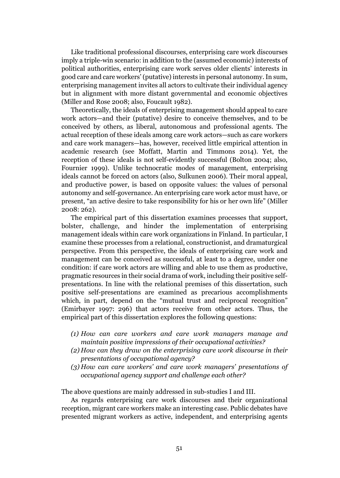Like traditional professional discourses, enterprising care work discourses imply a triple-win scenario: in addition to the (assumed economic) interests of political authorities, enterprising care work serves older clients' interests in good care and care workers' (putative) interests in personal autonomy. In sum, enterprising management invites all actors to cultivate their individual agency but in alignment with more distant governmental and economic objectives (Miller and Rose 2008; also, Foucault 1982).

Theoretically, the ideals of enterprising management should appeal to care work actors—and their (putative) desire to conceive themselves, and to be conceived by others, as liberal, autonomous and professional agents. The actual reception of these ideals among care work actors—such as care workers and care work managers—has, however, received little empirical attention in academic research (see Moffatt, Martin and Timmons 2014). Yet, the reception of these ideals is not self-evidently successful (Bolton 2004; also, Fournier 1999). Unlike technocratic modes of management, enterprising ideals cannot be forced on actors (also, Sulkunen 2006). Their moral appeal, and productive power, is based on opposite values: the values of personal autonomy and self-governance. An enterprising care work actor must have, or present, "an active desire to take responsibility for his or her own life" (Miller 2008: 262).

The empirical part of this dissertation examines processes that support, bolster, challenge, and hinder the implementation of enterprising management ideals within care work organizations in Finland. In particular, I examine these processes from a relational, constructionist, and dramaturgical perspective. From this perspective, the ideals of enterprising care work and management can be conceived as successful, at least to a degree, under one condition: if care work actors are willing and able to use them as productive, pragmatic resources in their social drama of work, including their positive selfpresentations. In line with the relational premises of this dissertation, such positive self-presentations are examined as precarious accomplishments which, in part, depend on the "mutual trust and reciprocal recognition" (Emirbayer 1997: 296) that actors receive from other actors. Thus, the empirical part of this dissertation explores the following questions:

- *(1) How can care workers and care work managers manage and maintain positive impressions of their occupational activities?*
- *(2) How can they draw on the enterprising care work discourse in their presentations of occupational agency?*
- *(3) How can care workers' and care work managers' presentations of occupational agency support and challenge each other?*

The above questions are mainly addressed in sub-studies I and III.

As regards enterprising care work discourses and their organizational reception, migrant care workers make an interesting case. Public debates have presented migrant workers as active, independent, and enterprising agents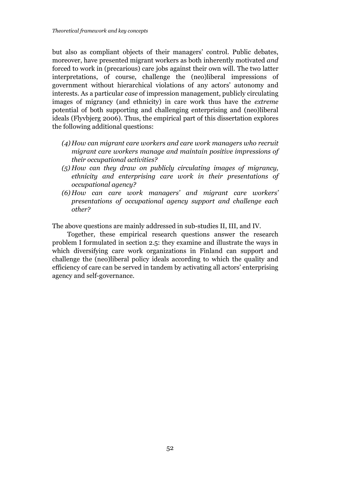but also as compliant objects of their managers' control. Public debates, moreover, have presented migrant workers as both inherently motivated *and* forced to work in (precarious) care jobs against their own will. The two latter interpretations, of course, challenge the (neo)liberal impressions of government without hierarchical violations of any actors' autonomy and interests. As a particular *case* of impression management, publicly circulating images of migrancy (and ethnicity) in care work thus have the *extreme* potential of both supporting and challenging enterprising and (neo)liberal ideals (Flyvbjerg 2006). Thus, the empirical part of this dissertation explores the following additional questions:

- *(4) How can migrant care workers and care work managers who recruit migrant care workers manage and maintain positive impressions of their occupational activities?*
- *(5) How can they draw on publicly circulating images of migrancy, ethnicity and enterprising care work in their presentations of occupational agency?*
- *(6) How can care work managers' and migrant care workers' presentations of occupational agency support and challenge each other?*

The above questions are mainly addressed in sub-studies II, III, and IV.

Together, these empirical research questions answer the research problem I formulated in section 2.5: they examine and illustrate the ways in which diversifying care work organizations in Finland can support and challenge the (neo)liberal policy ideals according to which the quality and efficiency of care can be served in tandem by activating all actors' enterprising agency and self-governance.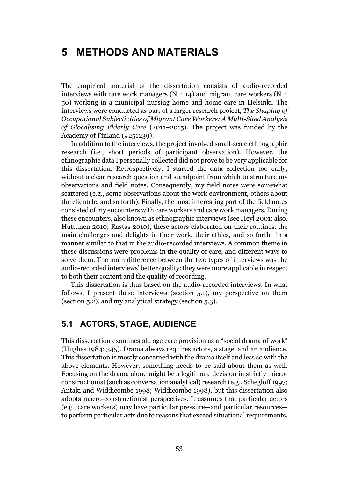# 5 METHODS AND MATERIALS

The empirical material of the dissertation consists of audio-recorded interviews with care work managers ( $N = 14$ ) and migrant care workers ( $N =$ 50) working in a municipal nursing home and home care in Helsinki. The interviews were conducted as part of a larger research project, *The Shaping of Occupational Subjectivities of Migrant Care Workers: A Multi-Sited Analysis of Glocalising Elderly Care* (2011–2015). The project was funded by the Academy of Finland (#251239).

In addition to the interviews, the project involved small-scale ethnographic research (i.e., short periods of participant observation). However, the ethnographic data I personally collected did not prove to be very applicable for this dissertation. Retrospectively, I started the data collection too early, without a clear research question and standpoint from which to structure my observations and field notes. Consequently, my field notes were somewhat scattered (e.g., some observations about the work environment, others about the clientele, and so forth). Finally, the most interesting part of the field notes consisted of my encounters with care workers and care work managers. During these encounters, also known as ethnographic interviews (see Heyl 2001; also, Huttunen 2010; Rastas 2010), these actors elaborated on their routines, the main challenges and delights in their work, their ethics, and so forth—in a manner similar to that in the audio-recorded interviews. A common theme in these discussions were problems in the quality of care, and different ways to solve them. The main difference between the two types of interviews was the audio-recorded interviews' better quality: they were more applicable in respect to both their content and the quality of recording.

This dissertation is thus based on the audio-recorded interviews. In what follows, I present these interviews (section 5.1), my perspective on them (section 5.2), and my analytical strategy (section 5.3).

## 5.1 ACTORS, STAGE, AUDIENCE

This dissertation examines old age care provision as a "social drama of work" (Hughes 1984: 345). Drama always requires actors, a stage, and an audience. This dissertation is mostly concerned with the drama itself and less so with the above elements. However, something needs to be said about them as well. Focusing on the drama alone might be a legitimate decision in strictly microconstructionist (such as conversation analytical) research (e.g., Schegloff 1997; Antaki and Widdicombe 1998; Widdicombe 1998), but this dissertation also adopts macro-constructionist perspectives. It assumes that particular actors (e.g., care workers) may have particular pressure—and particular resources to perform particular acts due to reasons that exceed situational requirements.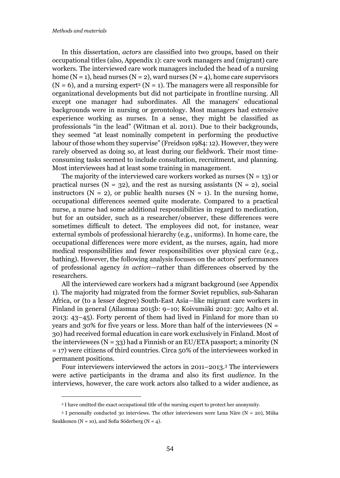1

In this dissertation, *actors* are classified into two groups, based on their occupational titles (also, Appendix 1): care work managers and (migrant) care workers. The interviewed care work managers included the head of a nursing home (N = 1), head nurses (N = 2), ward nurses (N = 4), home care supervisors  $(N = 6)$ , and a nursing expert<sup>2</sup> (N = 1). The managers were all responsible for organizational developments but did not participate in frontline nursing. All except one manager had subordinates. All the managers' educational backgrounds were in nursing or gerontology. Most managers had extensive experience working as nurses. In a sense, they might be classified as professionals "in the lead" (Witman et al. 2011). Due to their backgrounds, they seemed "at least nominally competent in performing the productive labour of those whom they supervise" (Freidson 1984: 12). However, they were rarely observed as doing so, at least during our fieldwork. Their most timeconsuming tasks seemed to include consultation, recruitment, and planning. Most interviewees had at least some training in management.

The majority of the interviewed care workers worked as nurses  $(N = 13)$  or practical nurses ( $N = 32$ ), and the rest as nursing assistants ( $N = 2$ ), social instructors ( $N = 2$ ), or public health nurses ( $N = 1$ ). In the nursing home, occupational differences seemed quite moderate. Compared to a practical nurse, a nurse had some additional responsibilities in regard to medication, but for an outsider, such as a researcher/observer, these differences were sometimes difficult to detect. The employees did not, for instance, wear external symbols of professional hierarchy (e.g., uniforms). In home care, the occupational differences were more evident, as the nurses, again, had more medical responsibilities and fewer responsibilities over physical care (e.g., bathing). However, the following analysis focuses on the actors' performances of professional agency *in action*—rather than differences observed by the researchers.

All the interviewed care workers had a migrant background (see Appendix 1). The majority had migrated from the former Soviet republics, sub-Saharan Africa, or (to a lesser degree) South-East Asia—like migrant care workers in Finland in general (Ailasmaa 2015b: 9–10; Koivumäki 2012: 30; Aalto et al. 2013: 43–45). Forty percent of them had lived in Finland for more than 10 years and 30% for five years or less. More than half of the interviewees ( $N =$ 30) had received formal education in care work exclusively in Finland. Most of the interviewees ( $N = 33$ ) had a Finnish or an EU/ETA passport; a minority (N = 17) were citizens of third countries. Circa 50% of the interviewees worked in permanent positions.

Four interviewers interviewed the actors in 2011–2013.3 The interviewers were active participants in the drama and also its first *audience*. In the interviews, however, the care work actors also talked to a wider audience, as

<sup>&</sup>lt;sup>2</sup> I have omitted the exact occupational title of the nursing expert to protect her anonymity.

 $3$  I personally conducted 30 interviews. The other interviewers were Lena Näre (N = 20), Miika Saukkonen ( $N = 10$ ), and Sofia Söderberg ( $N = 4$ ).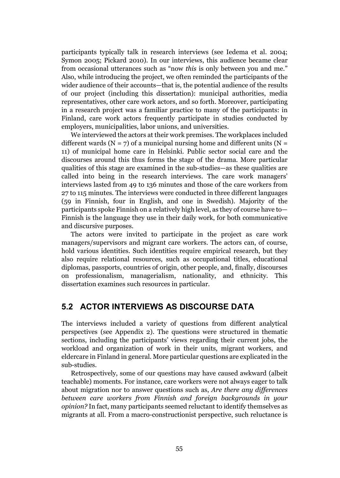participants typically talk in research interviews (see Iedema et al. 2004; Symon 2005; Pickard 2010). In our interviews, this audience became clear from occasional utterances such as "now *this* is only between you and me." Also, while introducing the project, we often reminded the participants of the wider audience of their accounts—that is, the potential audience of the results of our project (including this dissertation): municipal authorities, media representatives, other care work actors, and so forth. Moreover, participating in a research project was a familiar practice to many of the participants: in Finland, care work actors frequently participate in studies conducted by employers, municipalities, labor unions, and universities.

We interviewed the actors at their work premises. The workplaces included different wards ( $N = 7$ ) of a municipal nursing home and different units ( $N =$ 11) of municipal home care in Helsinki. Public sector social care and the discourses around this thus forms the stage of the drama. More particular qualities of this stage are examined in the sub-studies—as these qualities are called into being in the research interviews. The care work managers' interviews lasted from 49 to 136 minutes and those of the care workers from 27 to 115 minutes. The interviews were conducted in three different languages (59 in Finnish, four in English, and one in Swedish). Majority of the participants spoke Finnish on a relatively high level, as they of course have to— Finnish is the language they use in their daily work, for both communicative and discursive purposes.

The actors were invited to participate in the project as care work managers/supervisors and migrant care workers. The actors can, of course, hold various identities. Such identities require empirical research, but they also require relational resources, such as occupational titles, educational diplomas, passports, countries of origin, other people, and, finally, discourses on professionalism, managerialism, nationality, and ethnicity. This dissertation examines such resources in particular.

## 5.2 ACTOR INTERVIEWS AS DISCOURSE DATA

The interviews included a variety of questions from different analytical perspectives (see Appendix 2). The questions were structured in thematic sections, including the participants' views regarding their current jobs, the workload and organization of work in their units, migrant workers, and eldercare in Finland in general. More particular questions are explicated in the sub-studies.

Retrospectively, some of our questions may have caused awkward (albeit teachable) moments. For instance, care workers were not always eager to talk about migration nor to answer questions such as, *Are there any differences between care workers from Finnish and foreign backgrounds in your opinion?* In fact, many participants seemed reluctant to identify themselves as migrants at all. From a macro-constructionist perspective, such reluctance is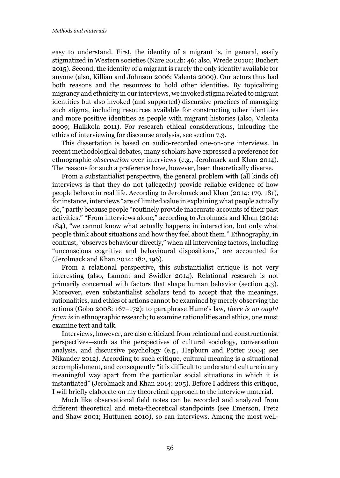easy to understand. First, the identity of a migrant is, in general, easily stigmatized in Western societies (Näre 2012b: 46; also, Wrede 2010c; Buchert 2015). Second, the identity of a migrant is rarely the only identity available for anyone (also, Killian and Johnson 2006; Valenta 2009). Our actors thus had both reasons and the resources to hold other identities. By topicalizing migrancy and ethnicity in our interviews, we invoked stigma related to migrant identities but also invoked (and supported) discursive practices of managing such stigma, including resources available for constructing other identities and more positive identities as people with migrant histories (also, Valenta 2009; Haikkola 2011). For research ethical considerations, inlcuding the ethics of interviewing for discourse analysis, see section 7.3.

This dissertation is based on audio-recorded one-on-one interviews. In recent methodological debates, many scholars have expressed a preference for ethnographic *observation* over interviews (e.g., Jerolmack and Khan 2014). The reasons for such a preference have, however, been theoretically diverse.

From a substantialist perspective, the general problem with (all kinds of) interviews is that they do not (allegedly) provide reliable evidence of how people behave in real life. According to Jerolmack and Khan (2014: 179, 181), for instance, interviews "are of limited value in explaining what people actually do," partly because people "routinely provide inaccurate accounts of their past activities." "From interviews alone," according to Jerolmack and Khan (2014: 184), "we cannot know what actually happens in interaction, but only what people think about situations and how they feel about them." Ethnography, in contrast, "observes behaviour directly," when all intervening factors, including "unconscious cognitive and behavioural dispositions," are accounted for (Jerolmack and Khan 2014: 182, 196).

From a relational perspective, this substantialist critique is not very interesting (also, Lamont and Swidler 2014). Relational research is not primarily concerned with factors that shape human behavior (section 4.3). Moreover, even substantialist scholars tend to accept that the meanings, rationalities, and ethics of actions cannot be examined by merely observing the actions (Gobo 2008: 167–172): to paraphrase Hume's law, *there is no ought from is* in ethnographic research; to examine rationalities and ethics, one must examine text and talk.

Interviews, however, are also criticized from relational and constructionist perspectives—such as the perspectives of cultural sociology, conversation analysis, and discursive psychology (e.g., Hepburn and Potter 2004; see Nikander 2012). According to such critique, cultural meaning is a situational accomplishment, and consequently "it is difficult to understand culture in any meaningful way apart from the particular social situations in which it is instantiated" (Jerolmack and Khan 2014: 205). Before I address this critique, I will briefly elaborate on my theoretical approach to the interview material.

Much like observational field notes can be recorded and analyzed from different theoretical and meta-theoretical standpoints (see Emerson, Fretz and Shaw 2001; Huttunen 2010), so can interviews. Among the most well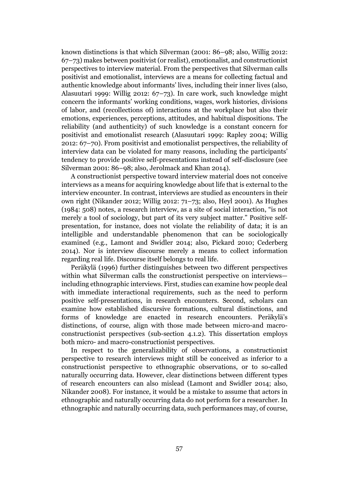known distinctions is that which Silverman (2001: 86–98; also, Willig 2012: 67–73) makes between positivist (or realist), emotionalist, and constructionist perspectives to interview material. From the perspectives that Silverman calls positivist and emotionalist, interviews are a means for collecting factual and authentic knowledge about informants' lives, including their inner lives (also, Alasuutari 1999: Willig 2012: 67–73). In care work, such knowledge might concern the informants' working conditions, wages, work histories, divisions of labor, and (recollections of) interactions at the workplace but also their emotions, experiences, perceptions, attitudes, and habitual dispositions. The reliability (and authenticity) of such knowledge is a constant concern for positivist and emotionalist research (Alasuutari 1999: Rapley 2004; Willig 2012: 67–70). From positivist and emotionalist perspectives, the reliability of interview data can be violated for many reasons, including the participants' tendency to provide positive self-presentations instead of self-disclosure (see Silverman 2001: 86–98; also, Jerolmack and Khan 2014).

A constructionist perspective toward interview material does not conceive interviews as a means for acquiring knowledge about life that is external to the interview encounter. In contrast, interviews are studied as encounters in their own right (Nikander 2012; Willig 2012: 71–73; also, Heyl 2001). As Hughes (1984: 508) notes, a research interview, as a site of social interaction, "is not merely a tool of sociology, but part of its very subject matter." Positive selfpresentation, for instance, does not violate the reliability of data; it is an intelligible and understandable phenomenon that can be sociologically examined (e.g., Lamont and Swidler 2014; also, Pickard 2010; Cederberg 2014). Nor is interview discourse merely a means to collect information regarding real life. Discourse itself belongs to real life.

Peräkylä (1996) further distinguishes between two different perspectives within what Silverman calls the constructionist perspective on interviews including ethnographic interviews. First, studies can examine how people deal with immediate interactional requirements, such as the need to perform positive self-presentations, in research encounters. Second, scholars can examine how established discursive formations, cultural distinctions, and forms of knowledge are enacted in research encounters. Peräkylä's distinctions, of course, align with those made between micro-and macroconstructionist perspectives (sub-section 4.1.2). This dissertation employs both micro- and macro-constructionist perspectives.

In respect to the generalizability of observations, a constructionist perspective to research interviews might still be conceived as inferior to a constructionist perspective to ethnographic observations, or to so-called naturally occurring data. However, clear distinctions between different types of research encounters can also mislead (Lamont and Swidler 2014; also, Nikander 2008). For instance, it would be a mistake to assume that actors in ethnographic and naturally occurring data do not perform for a researcher. In ethnographic and naturally occurring data, such performances may, of course,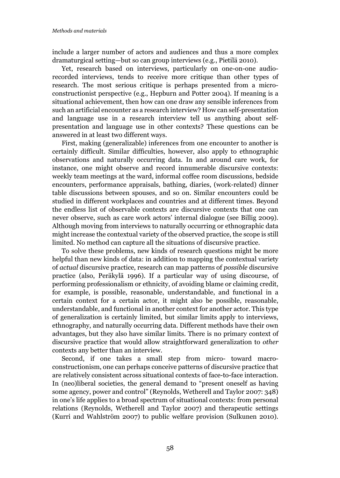include a larger number of actors and audiences and thus a more complex dramaturgical setting—but so can group interviews (e.g., Pietilä 2010).

Yet, research based on interviews, particularly on one-on-one audiorecorded interviews, tends to receive more critique than other types of research. The most serious critique is perhaps presented from a microconstructionist perspective (e.g., Hepburn and Potter 2004). If meaning is a situational achievement, then how can one draw any sensible inferences from such an artificial encounter as a research interview? How can self-presentation and language use in a research interview tell us anything about selfpresentation and language use in other contexts? These questions can be answered in at least two different ways.

First, making (generalizable) inferences from one encounter to another is certainly difficult. Similar difficulties, however, also apply to ethnographic observations and naturally occurring data. In and around care work, for instance, one might observe and record innumerable discursive contexts: weekly team meetings at the ward, informal coffee room discussions, bedside encounters, performance appraisals, bathing, diaries, (work-related) dinner table discussions between spouses, and so on. Similar encounters could be studied in different workplaces and countries and at different times. Beyond the endless list of observable contexts are discursive contexts that one can never observe, such as care work actors' internal dialogue (see Billig 2009). Although moving from interviews to naturally occurring or ethnographic data might increase the contextual variety of the observed practice, the scope is still limited. No method can capture all the situations of discursive practice.

To solve these problems, new kinds of research questions might be more helpful than new kinds of data: in addition to mapping the contextual variety of *actual* discursive practice, research can map patterns of *possible* discursive practice (also, Peräkylä 1996). If a particular way of using discourse, of performing professionalism or ethnicity, of avoiding blame or claiming credit, for example, is possible, reasonable, understandable, and functional in a certain context for a certain actor, it might also be possible, reasonable, understandable, and functional in another context for another actor. This type of generalization is certainly limited, but similar limits apply to interviews, ethnography, and naturally occurring data. Different methods have their own advantages, but they also have similar limits. There is no primary context of discursive practice that would allow straightforward generalization to *other*  contexts any better than an interview.

Second, if one takes a small step from micro- toward macroconstructionism, one can perhaps conceive patterns of discursive practice that are relatively consistent across situational contexts of face-to-face interaction. In (neo)liberal societies, the general demand to "present oneself as having some agency, power and control" (Reynolds, Wetherell and Taylor 2007: 348) in one's life applies to a broad spectrum of situational contexts: from personal relations (Reynolds, Wetherell and Taylor 2007) and therapeutic settings (Kurri and Wahlström 2007) to public welfare provision (Sulkunen 2010).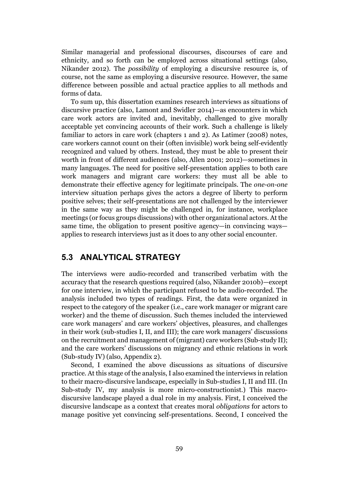Similar managerial and professional discourses, discourses of care and ethnicity, and so forth can be employed across situational settings (also, Nikander 2012). The *possibility* of employing a discursive resource is, of course, not the same as employing a discursive resource. However, the same difference between possible and actual practice applies to all methods and forms of data.

To sum up, this dissertation examines research interviews as situations of discursive practice (also, Lamont and Swidler 2014)—as encounters in which care work actors are invited and, inevitably, challenged to give morally acceptable yet convincing accounts of their work. Such a challenge is likely familiar to actors in care work (chapters 1 and 2). As Latimer (2008) notes, care workers cannot count on their (often invisible) work being self-evidently recognized and valued by others. Instead, they must be able to present their worth in front of different audiences (also, Allen 2001; 2012)—sometimes in many languages. The need for positive self-presentation applies to both care work managers and migrant care workers: they must all be able to demonstrate their effective agency for legitimate principals. The *one-on-one* interview situation perhaps gives the actors a degree of liberty to perform positive selves; their self-presentations are not challenged by the interviewer in the same way as they might be challenged in, for instance, workplace meetings (or focus groups discussions) with other organizational actors. At the same time, the obligation to present positive agency—in convincing ways applies to research interviews just as it does to any other social encounter.

## 5.3 ANALYTICAL STRATEGY

The interviews were audio-recorded and transcribed verbatim with the accuracy that the research questions required (also, Nikander 2010b)—except for one interview, in which the participant refused to be audio-recorded. The analysis included two types of readings. First, the data were organized in respect to the category of the speaker (i.e., care work manager or migrant care worker) and the theme of discussion. Such themes included the interviewed care work managers' and care workers' objectives, pleasures, and challenges in their work (sub-studies I, II, and III); the care work managers' discussions on the recruitment and management of (migrant) care workers (Sub-study II); and the care workers' discussions on migrancy and ethnic relations in work (Sub-study IV) (also, Appendix 2).

Second, I examined the above discussions as situations of discursive practice. At this stage of the analysis, I also examined the interviews in relation to their macro-discursive landscape, especially in Sub-studies I, II and III. (In Sub-study IV, my analysis is more micro-constructionist.) This macrodiscursive landscape played a dual role in my analysis. First, I conceived the discursive landscape as a context that creates moral *obligations* for actors to manage positive yet convincing self-presentations. Second, I conceived the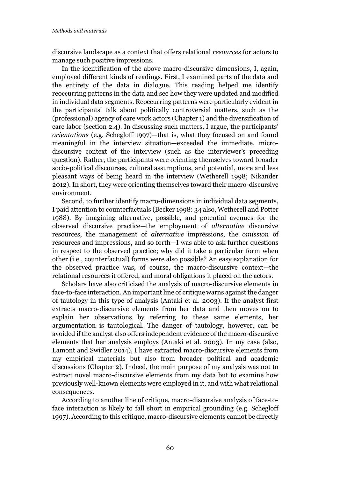discursive landscape as a context that offers relational *resources* for actors to manage such positive impressions.

In the identification of the above macro-discursive dimensions, I, again, employed different kinds of readings. First, I examined parts of the data and the entirety of the data in dialogue. This reading helped me identify reoccurring patterns in the data and see how they were updated and modified in individual data segments. Reoccurring patterns were particularly evident in the participants' talk about politically controversial matters, such as the (professional) agency of care work actors (Chapter 1) and the diversification of care labor (section 2.4). In discussing such matters, I argue, the participants' *orientations* (e.g. Schegloff 1997)—that is, what they focused on and found meaningful in the interview situation—exceeded the immediate, microdiscursive context of the interview (such as the interviewer's preceding question). Rather, the participants were orienting themselves toward broader socio-political discourses, cultural assumptions, and potential, more and less pleasant ways of being heard in the interview (Wetherell 1998; Nikander 2012). In short, they were orienting themselves toward their macro-discursive environment.

Second, to further identify macro-dimensions in individual data segments, I paid attention to counterfactuals (Becker 1998: 34 also, Wetherell and Potter 1988). By imagining alternative, possible, and potential avenues for the observed discursive practice—the employment of *alternative* discursive resources, the management of *alternative* impressions, the *omission* of resources and impressions, and so forth—I was able to ask further questions in respect to the observed practice; why did it take a particular form when other (i.e., counterfactual) forms were also possible? An easy explanation for the observed practice was, of course, the macro-discursive context—the relational resources it offered, and moral obligations it placed on the actors.

Scholars have also criticized the analysis of macro-discursive elements in face-to-face interaction. An important line of critique warns against the danger of tautology in this type of analysis (Antaki et al. 2003). If the analyst first extracts macro-discursive elements from her data and then moves on to explain her observations by referring to these same elements, her argumentation is tautological. The danger of tautology, however, can be avoided if the analyst also offers independent evidence of the macro-discursive elements that her analysis employs (Antaki et al. 2003). In my case (also, Lamont and Swidler 2014), I have extracted macro-discursive elements from my empirical materials but also from broader political and academic discussions (Chapter 2). Indeed, the main purpose of my analysis was not to extract novel macro-discursive elements from my data but to examine how previously well-known elements were employed in it, and with what relational consequences.

According to another line of critique, macro-discursive analysis of face-toface interaction is likely to fall short in empirical grounding (e.g. Schegloff 1997). According to this critique, macro-discursive elements cannot be directly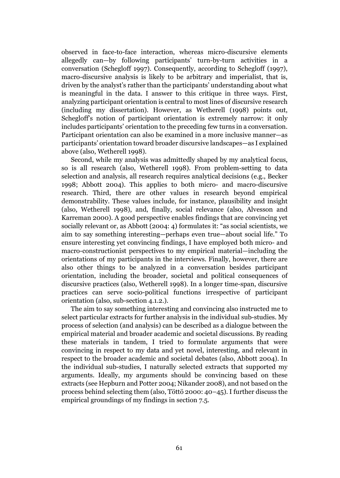observed in face-to-face interaction, whereas micro-discursive elements allegedly can—by following participants' turn-by-turn activities in a conversation (Schegloff 1997). Consequently, according to Schegloff (1997), macro-discursive analysis is likely to be arbitrary and imperialist, that is, driven by the analyst's rather than the participants' understanding about what is meaningful in the data. I answer to this critique in three ways. First, analyzing participant orientation is central to most lines of discursive research (including my dissertation). However, as Wetherell (1998) points out, Schegloff's notion of participant orientation is extremely narrow: it only includes participants' orientation to the preceding few turns in a conversation. Participant orientation can also be examined in a more inclusive manner—as participants' orientation toward broader discursive landscapes—as I explained above (also, Wetherell 1998).

Second, while my analysis was admittedly shaped by my analytical focus, so is all research (also, Wetherell 1998). From problem-setting to data selection and analysis, all research requires analytical decisions (e.g., Becker 1998; Abbott 2004). This applies to both micro- and macro-discursive research. Third, there are other values in research beyond empirical demonstrability. These values include, for instance, plausibility and insight (also, Wetherell 1998), and, finally, social relevance (also, Alvesson and Karreman 2000). A good perspective enables findings that are convincing yet socially relevant or, as Abbott (2004: 4) formulates it: "as social scientists, we aim to say something interesting—perhaps even true—about social life." To ensure interesting yet convincing findings, I have employed both micro- and macro-constructionist perspectives to my empirical material—including the orientations of my participants in the interviews. Finally, however, there are also other things to be analyzed in a conversation besides participant orientation, including the broader, societal and political consequences of discursive practices (also, Wetherell 1998). In a longer time-span, discursive practices can serve socio-political functions irrespective of participant orientation (also, sub-section 4.1.2.).

The aim to say something interesting and convincing also instructed me to select particular extracts for further analysis in the individual sub-studies. My process of selection (and analysis) can be described as a dialogue between the empirical material and broader academic and societal discussions. By reading these materials in tandem, I tried to formulate arguments that were convincing in respect to my data and yet novel, interesting, and relevant in respect to the broader academic and societal debates (also, Abbott 2004). In the individual sub-studies, I naturally selected extracts that supported my arguments. Ideally, my arguments should be convincing based on these extracts (see Hepburn and Potter 2004; Nikander 2008), and not based on the process behind selecting them (also, Töttö 2000: 40–45). I further discuss the empirical groundings of my findings in section 7.5.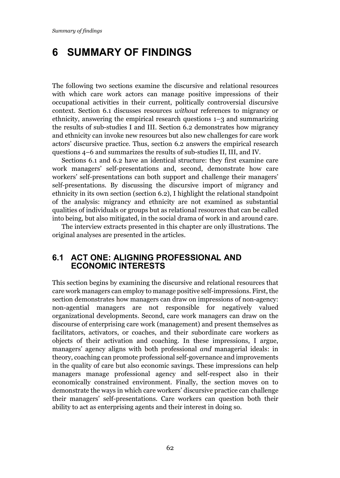# 6 SUMMARY OF FINDINGS

The following two sections examine the discursive and relational resources with which care work actors can manage positive impressions of their occupational activities in their current, politically controversial discursive context. Section 6.1 discusses resources *without* references to migrancy or ethnicity, answering the empirical research questions 1–3 and summarizing the results of sub-studies I and III. Section 6.2 demonstrates how migrancy and ethnicity can invoke new resources but also new challenges for care work actors' discursive practice. Thus, section 6.2 answers the empirical research questions 4–6 and summarizes the results of sub-studies II, III, and IV.

Sections 6.1 and 6.2 have an identical structure: they first examine care work managers' self-presentations and, second, demonstrate how care workers' self-presentations can both support and challenge their managers' self-presentations. By discussing the discursive import of migrancy and ethnicity in its own section (section 6.2), I highlight the relational standpoint of the analysis: migrancy and ethnicity are not examined as substantial qualities of individuals or groups but as relational resources that can be called into being, but also mitigated, in the social drama of work in and around care.

The interview extracts presented in this chapter are only illustrations. The original analyses are presented in the articles.

## 6.1 ACT ONE: ALIGNING PROFESSIONAL AND ECONOMIC INTERESTS

This section begins by examining the discursive and relational resources that care work managers can employ to manage positive self-impressions. First, the section demonstrates how managers can draw on impressions of non-agency: non-agential managers are not responsible for negatively valued organizational developments. Second, care work managers can draw on the discourse of enterprising care work (management) and present themselves as facilitators, activators, or coaches, and their subordinate care workers as objects of their activation and coaching. In these impressions, I argue, managers' agency aligns with both professional *and* managerial ideals: in theory, coaching can promote professional self-governance and improvements in the quality of care but also economic savings. These impressions can help managers manage professional agency and self-respect also in their economically constrained environment. Finally, the section moves on to demonstrate the ways in which care workers' discursive practice can challenge their managers' self-presentations. Care workers can question both their ability to act as enterprising agents and their interest in doing so.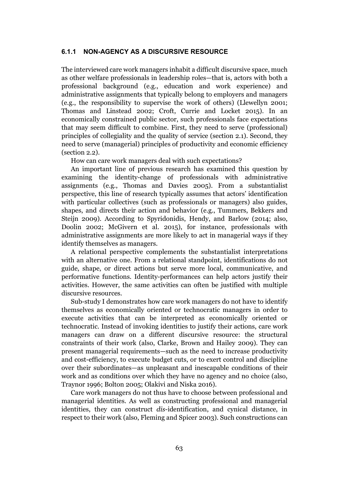#### 6.1.1 NON-AGENCY AS A DISCURSIVE RESOURCE

The interviewed care work managers inhabit a difficult discursive space, much as other welfare professionals in leadership roles—that is, actors with both a professional background (e.g., education and work experience) and administrative assignments that typically belong to employers and managers (e.g., the responsibility to supervise the work of others) (Llewellyn 2001; Thomas and Linstead 2002; Croft, Currie and Locket 2015). In an economically constrained public sector, such professionals face expectations that may seem difficult to combine. First, they need to serve (professional) principles of collegiality and the quality of service (section 2.1). Second, they need to serve (managerial) principles of productivity and economic efficiency (section 2.2).

How can care work managers deal with such expectations?

An important line of previous research has examined this question by examining the identity-change of professionals with administrative assignments (e.g., Thomas and Davies 2005). From a substantialist perspective, this line of research typically assumes that actors' identification with particular collectives (such as professionals or managers) also guides, shapes, and directs their action and behavior (e.g., Tummers, Bekkers and Steijn 2009). According to Spyridonidis, Hendy, and Barlow (2014; also, Doolin 2002; McGivern et al. 2015), for instance, professionals with administrative assignments are more likely to act in managerial ways if they identify themselves as managers.

A relational perspective complements the substantialist interpretations with an alternative one. From a relational standpoint, identifications do not guide, shape, or direct actions but serve more local, communicative, and performative functions. Identity-performances can help actors justify their activities. However, the same activities can often be justified with multiple discursive resources.

Sub-study I demonstrates how care work managers do not have to identify themselves as economically oriented or technocratic managers in order to execute activities that can be interpreted as economically oriented or technocratic. Instead of invoking identities to justify their actions, care work managers can draw on a different discursive resource: the structural constraints of their work (also, Clarke, Brown and Hailey 2009). They can present managerial requirements—such as the need to increase productivity and cost-efficiency, to execute budget cuts, or to exert control and discipline over their subordinates—as unpleasant and inescapable conditions of their work and as conditions over which they have no agency and no choice (also, Traynor 1996; Bolton 2005; Olakivi and Niska 2016).

Care work managers do not thus have to choose between professional and managerial identities. As well as constructing professional and managerial identities, they can construct *dis*-identification, and cynical distance, in respect to their work (also, Fleming and Spicer 2003). Such constructions can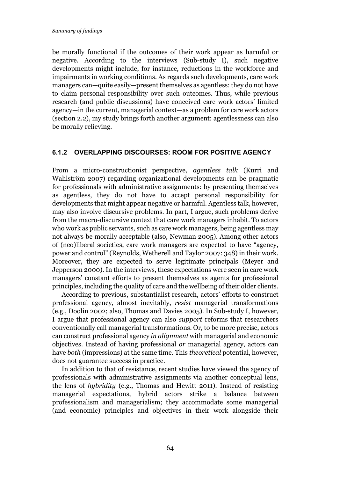be morally functional if the outcomes of their work appear as harmful or negative. According to the interviews (Sub-study I), such negative developments might include, for instance, reductions in the workforce and impairments in working conditions. As regards such developments, care work managers can—quite easily—present themselves as agentless: they do not have to claim personal responsibility over such outcomes. Thus, while previous research (and public discussions) have conceived care work actors' limited agency—in the current, managerial context—as a problem for care work actors (section 2.2), my study brings forth another argument: agentlessness can also be morally relieving.

#### 6.1.2 OVERLAPPING DISCOURSES: ROOM FOR POSITIVE AGENCY

From a micro-constructionist perspective, *agentless talk* (Kurri and Wahlström 2007) regarding organizational developments can be pragmatic for professionals with administrative assignments: by presenting themselves as agentless, they do not have to accept personal responsibility for developments that might appear negative or harmful. Agentless talk, however, may also involve discursive problems. In part, I argue, such problems derive from the macro-discursive context that care work managers inhabit. To actors who work as public servants, such as care work managers, being agentless may not always be morally acceptable (also, Newman 2005). Among other actors of (neo)liberal societies, care work managers are expected to have "agency, power and control" (Reynolds, Wetherell and Taylor 2007: 348) in their work. Moreover, they are expected to serve legitimate principals (Meyer and Jepperson 2000). In the interviews, these expectations were seen in care work managers' constant efforts to present themselves as agents for professional principles, including the quality of care and the wellbeing of their older clients.

According to previous, substantialist research, actors' efforts to construct professional agency, almost inevitably, *resist* managerial transformations (e.g., Doolin 2002; also, Thomas and Davies 2005). In Sub-study I, however, I argue that professional agency can also *support* reforms that researchers conventionally call managerial transformations. Or, to be more precise, actors can construct professional agency *in alignment* with managerial and economic objectives. Instead of having professional *or* managerial agency, actors can have *both* (impressions) at the same time. This *theoretical* potential, however, does not guarantee success in practice.

In addition to that of resistance, recent studies have viewed the agency of professionals with administrative assignments via another conceptual lens, the lens of *hybridity* (e.g., Thomas and Hewitt 2011). Instead of resisting managerial expectations, hybrid actors strike a balance between professionalism and managerialism; they accommodate some managerial (and economic) principles and objectives in their work alongside their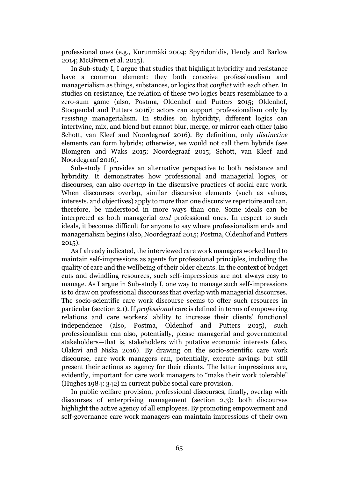professional ones (e.g., Kurunmäki 2004; Spyridonidis, Hendy and Barlow 2014; McGivern et al. 2015).

In Sub-study I, I argue that studies that highlight hybridity and resistance have a common element: they both conceive professionalism and managerialism as things, substances, or logics that *conflict* with each other. In studies on resistance, the relation of these two logics bears resemblance to a zero-sum game (also, Postma, Oldenhof and Putters 2015; Oldenhof, Stoopendal and Putters 2016): actors can support professionalism only by *resisting* managerialism. In studies on hybridity, different logics can intertwine, mix, and blend but cannot blur, merge, or mirror each other (also Schott, van Kleef and Noordegraaf 2016). By definition, only *distinctive* elements can form hybrids; otherwise, we would not call them hybrids (see Blomgren and Waks 2015; Noordegraaf 2015; Schott, van Kleef and Noordegraaf 2016).

Sub-study I provides an alternative perspective to both resistance and hybridity. It demonstrates how professional and managerial logics, or discourses, can also *overlap* in the discursive practices of social care work. When discourses overlap, similar discursive elements (such as values, interests, and objectives) apply to more than one discursive repertoire and can, therefore, be understood in more ways than one. Some ideals can be interpreted as both managerial *and* professional ones. In respect to such ideals, it becomes difficult for anyone to say where professionalism ends and managerialism begins (also, Noordegraaf 2015; Postma, Oldenhof and Putters 2015).

As I already indicated, the interviewed care work managers worked hard to maintain self-impressions as agents for professional principles, including the quality of care and the wellbeing of their older clients. In the context of budget cuts and dwindling resources, such self-impressions are not always easy to manage. As I argue in Sub-study I, one way to manage such self-impressions is to draw on professional discourses that overlap with managerial discourses. The socio-scientific care work discourse seems to offer such resources in particular (section 2.1). If *professional* care is defined in terms of empowering relations and care workers' ability to increase their clients' functional independence (also, Postma, Oldenhof and Putters 2015), such professionalism can also, potentially, please managerial and governmental stakeholders—that is, stakeholders with putative economic interests (also, Olakivi and Niska 2016). By drawing on the socio-scientific care work discourse, care work managers can, potentially, execute savings but still present their actions as agency for their clients. The latter impressions are, evidently, important for care work managers to "make their work tolerable" (Hughes 1984: 342) in current public social care provision.

In public welfare provision, professional discourses, finally, overlap with discourses of enterprising management (section 2.3): both discourses highlight the active agency of all employees. By promoting empowerment and self-governance care work managers can maintain impressions of their own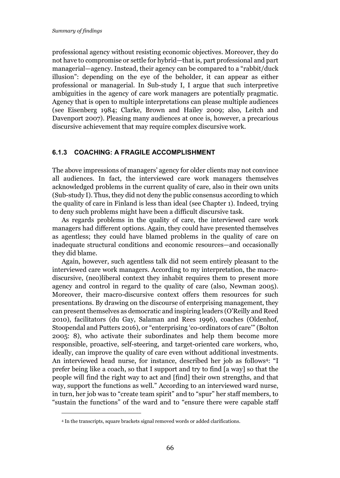professional agency without resisting economic objectives. Moreover, they do not have to compromise or settle for hybrid—that is, part professional and part managerial—agency. Instead, their agency can be compared to a "rabbit/duck illusion": depending on the eye of the beholder, it can appear as either professional or managerial. In Sub-study I, I argue that such interpretive ambiguities in the agency of care work managers are potentially pragmatic. Agency that is open to multiple interpretations can please multiple audiences (see Eisenberg 1984; Clarke, Brown and Hailey 2009; also, Leitch and Davenport 2007). Pleasing many audiences at once is, however, a precarious discursive achievement that may require complex discursive work.

#### 6.1.3 COACHING: A FRAGILE ACCOMPLISHMENT

The above impressions of managers' agency for older clients may not convince all audiences. In fact, the interviewed care work managers themselves acknowledged problems in the current quality of care, also in their own units (Sub-study I). Thus, they did not deny the public consensus according to which the quality of care in Finland is less than ideal (see Chapter 1). Indeed, trying to deny such problems might have been a difficult discursive task.

As regards problems in the quality of care, the interviewed care work managers had different options. Again, they could have presented themselves as agentless; they could have blamed problems in the quality of care on inadequate structural conditions and economic resources—and occasionally they did blame.

Again, however, such agentless talk did not seem entirely pleasant to the interviewed care work managers. According to my interpretation, the macrodiscursive, (neo)liberal context they inhabit requires them to present more agency and control in regard to the quality of care (also, Newman 2005). Moreover, their macro-discursive context offers them resources for such presentations. By drawing on the discourse of enterprising management, they can present themselves as democratic and inspiring leaders (O'Reilly and Reed 2010), facilitators (du Gay, Salaman and Rees 1996), coaches (Oldenhof, Stoopendal and Putters 2016), or "enterprising 'co-ordinators of care'" (Bolton 2005: 8), who activate their subordinates and help them become more responsible, proactive, self-steering, and target-oriented care workers, who, ideally, can improve the quality of care even without additional investments. An interviewed head nurse, for instance, described her job as follows4: "I prefer being like a coach, so that I support and try to find [a way] so that the people will find the right way to act and [find] their own strengths, and that way, support the functions as well." According to an interviewed ward nurse, in turn, her job was to "create team spirit" and to "spur" her staff members, to "sustain the functions" of the ward and to "ensure there were capable staff

1

<sup>4</sup> In the transcripts, square brackets signal removed words or added clarifications.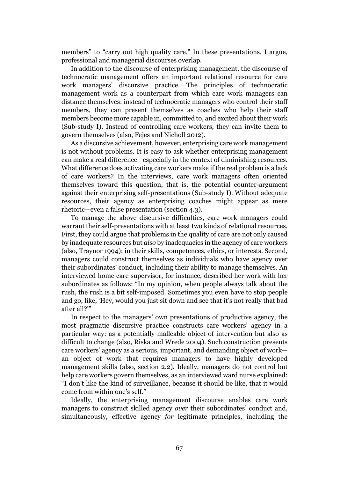members" to "carry out high quality care." In these presentations, I argue, professional and managerial discourses overlap.

In addition to the discourse of enterprising management, the discourse of technocratic management offers an important relational resource for care work managers' discursive practice. The principles of technocratic management work as a counterpart from which care work managers can distance themselves: instead of technocratic managers who control their staff members, they can present themselves as coaches who help their staff members become more capable in, committed to, and excited about their work (Sub-study I). Instead of controlling care workers, they can invite them to govern themselves (also, Fejes and Nicholl 2012).

As a discursive achievement, however, enterprising care work management is not without problems. It is easy to ask whether enterprising management can make a real difference—especially in the context of diminishing resources. What difference does activating care workers make if the real problem is a lack of care workers? In the interviews, care work managers often oriented themselves toward this question, that is, the potential counter-argument against their enterprising self-presentations (Sub-study I). Without adequate resources, their agency as enterprising coaches might appear as mere rhetoric—even a false presentation (section 4.3).

To manage the above discursive difficulties, care work managers could warrant their self-presentations with at least two kinds of relational resources. First, they could argue that problems in the quality of care are not only caused by inadequate resources but *also* by inadequacies in the agency of care workers (also, Traynor 1994): in their skills, competences, ethics, or interests. Second, managers could construct themselves as individuals who have agency over their subordinates' conduct, including their ability to manage themselves. An interviewed home care supervisor, for instance, described her work with her subordinates as follows: "In my opinion, when people always talk about the rush, the rush is a bit self-imposed. Sometimes you even have to stop people and go, like, 'Hey, would you just sit down and see that it's not really that bad after all?'"

In respect to the managers' own presentations of productive agency, the most pragmatic discursive practice constructs care workers' agency in a particular way: as a potentially malleable object of intervention but also as difficult to change (also, Riska and Wrede 2004). Such construction presents care workers' agency as a serious, important, and demanding object of work an object of work that requires managers to have highly developed management skills (also, section 2.2). Ideally, managers do not control but help care workers govern themselves, as an interviewed ward nurse explained: "I don't like the kind of surveillance, because it should be like, that it would come from within one's self."

Ideally, the enterprising management discourse enables care work managers to construct skilled agency *over* their subordinates' conduct and, simultaneously, effective agency *for* legitimate principles, including the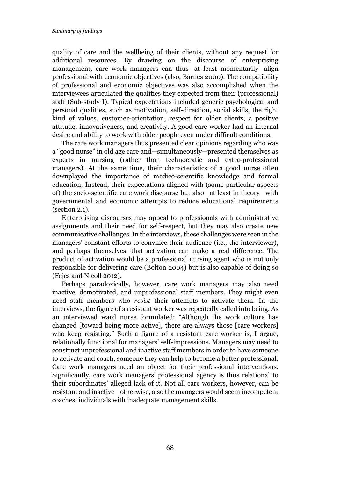quality of care and the wellbeing of their clients, without any request for additional resources. By drawing on the discourse of enterprising management, care work managers can thus—at least momentarily—align professional with economic objectives (also, Barnes 2000). The compatibility of professional and economic objectives was also accomplished when the interviewees articulated the qualities they expected from their (professional) staff (Sub-study I). Typical expectations included generic psychological and personal qualities, such as motivation, self-direction, social skills, the right kind of values, customer-orientation, respect for older clients, a positive attitude, innovativeness, and creativity. A good care worker had an internal desire and ability to work with older people even under difficult conditions.

The care work managers thus presented clear opinions regarding who was a "good nurse" in old age care and—simultaneously—presented themselves as experts in nursing (rather than technocratic and extra-professional managers). At the same time, their characteristics of a good nurse often downplayed the importance of medico-scientific knowledge and formal education. Instead, their expectations aligned with (some particular aspects of) the socio-scientific care work discourse but also—at least in theory—with governmental and economic attempts to reduce educational requirements (section 2.1).

Enterprising discourses may appeal to professionals with administrative assignments and their need for self-respect, but they may also create new communicative challenges. In the interviews, these challenges were seen in the managers' constant efforts to convince their audience (i.e., the interviewer), and perhaps themselves, that activation can make a real difference. The product of activation would be a professional nursing agent who is not only responsible for delivering care (Bolton 2004) but is also capable of doing so (Fejes and Nicoll 2012).

Perhaps paradoxically, however, care work managers may also need inactive, demotivated, and unprofessional staff members. They might even need staff members who *resist* their attempts to activate them. In the interviews, the figure of a resistant worker was repeatedly called into being. As an interviewed ward nurse formulated: "Although the work culture has changed [toward being more active], there are always those [care workers] who keep resisting." Such a figure of a resistant care worker is, I argue, relationally functional for managers' self-impressions. Managers may need to construct unprofessional and inactive staff members in order to have someone to activate and coach, someone they can help to become a better professional. Care work managers need an object for their professional interventions. Significantly, care work managers' professional agency is thus relational to their subordinates' alleged lack of it. Not all care workers, however, can be resistant and inactive—otherwise, also the managers would seem incompetent coaches, individuals with inadequate management skills.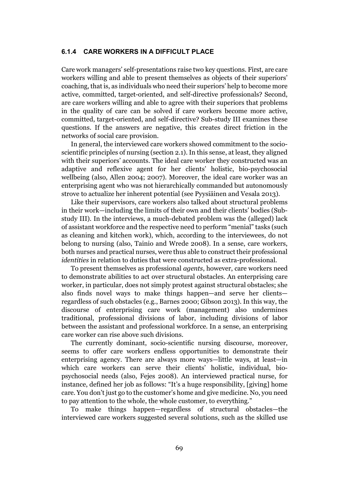#### 6.1.4 CARE WORKERS IN A DIFFICULT PLACE

Care work managers' self-presentations raise two key questions. First, are care workers willing and able to present themselves as objects of their superiors' coaching, that is, as individuals who need their superiors' help to become more active, committed, target-oriented, and self-directive professionals? Second, are care workers willing and able to agree with their superiors that problems in the quality of care can be solved if care workers become more active, committed, target-oriented, and self-directive? Sub-study III examines these questions. If the answers are negative, this creates direct friction in the networks of social care provision.

In general, the interviewed care workers showed commitment to the socioscientific principles of nursing (section 2.1). In this sense, at least, they aligned with their superiors' accounts. The ideal care worker they constructed was an adaptive and reflexive agent for her clients' holistic, bio-psychosocial wellbeing (also, Allen 2004; 2007). Moreover, the ideal care worker was an enterprising agent who was not hierarchically commanded but autonomously strove to actualize her inherent potential (see Pyysiäinen and Vesala 2013).

Like their supervisors, care workers also talked about structural problems in their work—including the limits of their own and their clients' bodies (Substudy III). In the interviews, a much-debated problem was the (alleged) lack of assistant workforce and the respective need to perform "menial" tasks (such as cleaning and kitchen work), which, according to the interviewees, do not belong to nursing (also, Tainio and Wrede 2008). In a sense, care workers, both nurses and practical nurses, were thus able to construct their professional *identities* in relation to duties that were constructed as extra-professional.

To present themselves as professional *agents*, however, care workers need to demonstrate abilities to act over structural obstacles. An enterprising care worker, in particular, does not simply protest against structural obstacles; she also finds novel ways to make things happen—and serve her clients regardless of such obstacles (e.g., Barnes 2000; Gibson 2013). In this way, the discourse of enterprising care work (management) also undermines traditional, professional divisions of labor, including divisions of labor between the assistant and professional workforce. In a sense, an enterprising care worker can rise above such divisions.

The currently dominant, socio-scientific nursing discourse, moreover, seems to offer care workers endless opportunities to demonstrate their enterprising agency. There are always more ways—little ways, at least—in which care workers can serve their clients' holistic, individual, biopsychosocial needs (also, Fejes 2008). An interviewed practical nurse, for instance, defined her job as follows: "It's a huge responsibility, [giving] home care. You don't just go to the customer's home and give medicine. No, you need to pay attention to the whole, the whole customer, to everything."

To make things happen—regardless of structural obstacles—the interviewed care workers suggested several solutions, such as the skilled use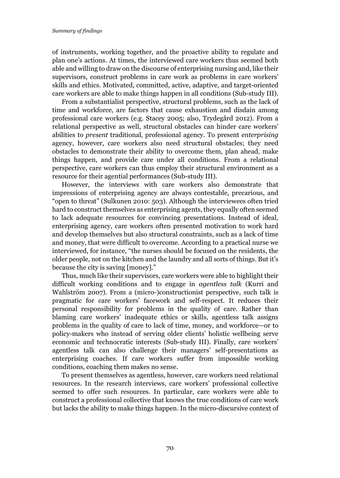of instruments, working together, and the proactive ability to regulate and plan one's actions. At times, the interviewed care workers thus seemed both able and willing to draw on the discourse of enterprising nursing and, like their supervisors, construct problems in care work as problems in care workers' skills and ethics. Motivated, committed, active, adaptive, and target-oriented care workers are able to make things happen in all conditions (Sub-study III).

From a substantialist perspective, structural problems, such as the lack of time and workforce, are factors that cause exhaustion and disdain among professional care workers (e.g. Stacey 2005; also, Trydegård 2012). From a relational perspective as well, structural obstacles can hinder care workers' abilities to *present* traditional, professional agency. To present *enterprising* agency, however, care workers also need structural obstacles; they need obstacles to demonstrate their ability to overcome them, plan ahead, make things happen, and provide care under all conditions. From a relational perspective, care workers can thus employ their structural environment as a resource for their agential performances (Sub-study III).

However, the interviews with care workers also demonstrate that impressions of enterprising agency are always contestable, precarious, and "open to threat" (Sulkunen 2010: 503). Although the interviewees often tried hard to construct themselves as enterprising agents, they equally often seemed to lack adequate resources for convincing presentations. Instead of ideal, enterprising agency, care workers often presented motivation to work hard and develop themselves but also structural constraints, such as a lack of time and money, that were difficult to overcome. According to a practical nurse we interviewed, for instance, "the nurses should be focused on the residents, the older people, not on the kitchen and the laundry and all sorts of things. But it's because the city is saving [money]."

Thus, much like their supervisors, care workers were able to highlight their difficult working conditions and to engage in *agentless talk* (Kurri and Wahlström 2007). From a (micro-)constructionist perspective, such talk is pragmatic for care workers' facework and self-respect. It reduces their personal responsibility for problems in the quality of care. Rather than blaming care workers' inadequate ethics or skills, agentless talk assigns problems in the quality of care to lack of time, money, and workforce—or to policy-makers who instead of serving older clients' holistic wellbeing serve economic and technocratic interests (Sub-study III). Finally, care workers' agentless talk can also challenge their managers' self-presentations as enterprising coaches. If care workers suffer from impossible working conditions, coaching them makes no sense.

To present themselves as agentless, however, care workers need relational resources. In the research interviews, care workers' professional collective seemed to offer such resources. In particular, care workers were able to construct a professional collective that knows the true conditions of care work but lacks the ability to make things happen. In the micro-discursive context of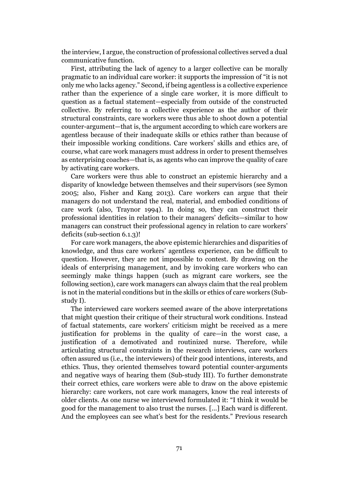the interview, I argue, the construction of professional collectives served a dual communicative function.

First, attributing the lack of agency to a larger collective can be morally pragmatic to an individual care worker: it supports the impression of "it is not only me who lacks agency." Second, if being agentless is a collective experience rather than the experience of a single care worker, it is more difficult to question as a factual statement—especially from outside of the constructed collective. By referring to a collective experience as the author of their structural constraints, care workers were thus able to shoot down a potential counter-argument—that is, the argument according to which care workers are agentless because of their inadequate skills or ethics rather than because of their impossible working conditions. Care workers' skills and ethics are, of course, what care work managers must address in order to present themselves as enterprising coaches—that is, as agents who can improve the quality of care by activating care workers.

Care workers were thus able to construct an epistemic hierarchy and a disparity of knowledge between themselves and their supervisors (see Symon 2005; also, Fisher and Kang 2013). Care workers can argue that their managers do not understand the real, material, and embodied conditions of care work (also, Traynor 1994). In doing so, they can construct their professional identities in relation to their managers' deficits—similar to how managers can construct their professional agency in relation to care workers' deficits (sub-section 6.1.3)!

For care work managers, the above epistemic hierarchies and disparities of knowledge, and thus care workers' agentless experience, can be difficult to question. However, they are not impossible to contest. By drawing on the ideals of enterprising management, and by invoking care workers who can seemingly make things happen (such as migrant care workers, see the following section), care work managers can always claim that the real problem is not in the material conditions but in the skills or ethics of care workers (Substudy I).

The interviewed care workers seemed aware of the above interpretations that might question their critique of their structural work conditions. Instead of factual statements, care workers' criticism might be received as a mere justification for problems in the quality of care—in the worst case, a justification of a demotivated and routinized nurse. Therefore, while articulating structural constraints in the research interviews, care workers often assured us (i.e., the interviewers) of their good intentions, interests, and ethics. Thus, they oriented themselves toward potential counter-arguments and negative ways of hearing them (Sub-study III). To further demonstrate their correct ethics, care workers were able to draw on the above epistemic hierarchy: care workers, not care work managers, know the real interests of older clients. As one nurse we interviewed formulated it: "I think it would be good for the management to also trust the nurses. [...] Each ward is different. And the employees can see what's best for the residents." Previous research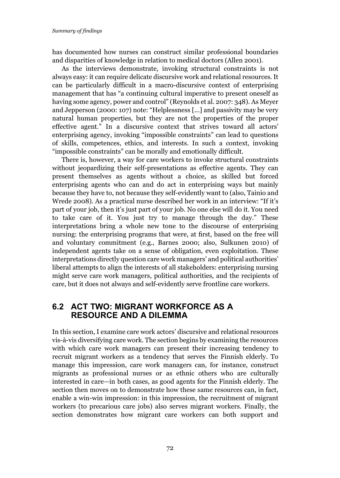has documented how nurses can construct similar professional boundaries and disparities of knowledge in relation to medical doctors (Allen 2001).

As the interviews demonstrate, invoking structural constraints is not always easy: it can require delicate discursive work and relational resources. It can be particularly difficult in a macro-discursive context of enterprising management that has "a continuing cultural imperative to present oneself as having some agency, power and control" (Reynolds et al. 2007: 348). As Meyer and Jepperson (2000: 107) note: "Helplessness [...] and passivity may be very natural human properties, but they are not the properties of the proper effective agent." In a discursive context that strives toward all actors' enterprising agency, invoking "impossible constraints" can lead to questions of skills, competences, ethics, and interests. In such a context, invoking "impossible constraints" can be morally and emotionally difficult.

There is, however, a way for care workers to invoke structural constraints without jeopardizing their self-presentations as effective agents. They can present themselves as agents without a choice, as skilled but forced enterprising agents who can and do act in enterprising ways but mainly because they have to, not because they self-evidently want to (also, Tainio and Wrede 2008). As a practical nurse described her work in an interview: "If it's part of your job, then it's just part of your job. No one else will do it. You need to take care of it. You just try to manage through the day." These interpretations bring a whole new tone to the discourse of enterprising nursing: the enterprising programs that were, at first, based on the free will and voluntary commitment (e.g., Barnes 2000; also, Sulkunen 2010) of independent agents take on a sense of obligation, even exploitation. These interpretations directly question care work managers' and political authorities' liberal attempts to align the interests of all stakeholders: enterprising nursing might serve care work managers, political authorities, and the recipients of care, but it does not always and self-evidently serve frontline care workers.

## 6.2 ACT TWO: MIGRANT WORKFORCE AS A RESOURCE AND A DILEMMA

In this section, I examine care work actors' discursive and relational resources vis-à-vis diversifying care work. The section begins by examining the resources with which care work managers can present their increasing tendency to recruit migrant workers as a tendency that serves the Finnish elderly. To manage this impression, care work managers can, for instance, construct migrants as professional nurses or as ethnic others who are culturally interested in care—in both cases, as good agents for the Finnish elderly. The section then moves on to demonstrate how these same resources can, in fact, enable a win-win impression: in this impression, the recruitment of migrant workers (to precarious care jobs) also serves migrant workers. Finally, the section demonstrates how migrant care workers can both support and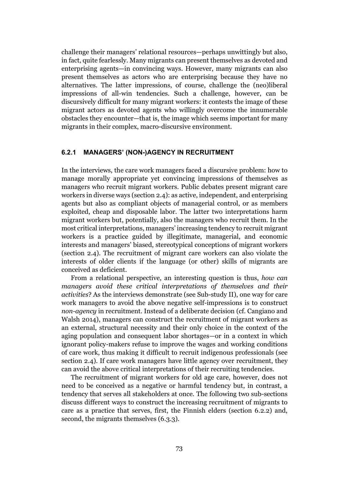challenge their managers' relational resources—perhaps unwittingly but also, in fact, quite fearlessly. Many migrants can present themselves as devoted and enterprising agents—in convincing ways. However, many migrants can also present themselves as actors who are enterprising because they have no alternatives. The latter impressions, of course, challenge the (neo)liberal impressions of all-win tendencies. Such a challenge, however, can be discursively difficult for many migrant workers: it contests the image of these migrant actors as devoted agents who willingly overcome the innumerable obstacles they encounter—that is, the image which seems important for many migrants in their complex, macro-discursive environment.

#### 6.2.1 MANAGERS' (NON-)AGENCY IN RECRUITMENT

In the interviews, the care work managers faced a discursive problem: how to manage morally appropriate yet convincing impressions of themselves as managers who recruit migrant workers. Public debates present migrant care workers in diverse ways (section 2.4): as active, independent, and enterprising agents but also as compliant objects of managerial control, or as members exploited, cheap and disposable labor. The latter two interpretations harm migrant workers but, potentially, also the managers who recruit them. In the most critical interpretations, managers' increasing tendency to recruit migrant workers is a practice guided by illegitimate, managerial, and economic interests and managers' biased, stereotypical conceptions of migrant workers (section 2.4). The recruitment of migrant care workers can also violate the interests of older clients if the language (or other) skills of migrants are conceived as deficient.

From a relational perspective, an interesting question is thus, *how can managers avoid these critical interpretations of themselves and their activities*? As the interviews demonstrate (see Sub-study II), one way for care work managers to avoid the above negative self-impressions is to construct *non-agency* in recruitment. Instead of a deliberate decision (cf. Cangiano and Walsh 2014), managers can construct the recruitment of migrant workers as an external, structural necessity and their only choice in the context of the aging population and consequent labor shortages—or in a context in which ignorant policy-makers refuse to improve the wages and working conditions of care work, thus making it difficult to recruit indigenous professionals (see section 2.4). If care work managers have little agency over recruitment, they can avoid the above critical interpretations of their recruiting tendencies.

The recruitment of migrant workers for old age care, however, does not need to be conceived as a negative or harmful tendency but, in contrast, a tendency that serves all stakeholders at once. The following two sub-sections discuss different ways to construct the increasing recruitment of migrants to care as a practice that serves, first, the Finnish elders (section 6.2.2) and, second, the migrants themselves (6.3.3).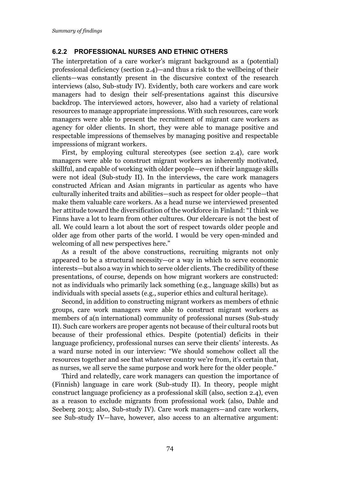#### 6.2.2 PROFESSIONAL NURSES AND ETHNIC OTHERS

The interpretation of a care worker's migrant background as a (potential) professional deficiency (section 2.4)—and thus a risk to the wellbeing of their clients—was constantly present in the discursive context of the research interviews (also, Sub-study IV). Evidently, both care workers and care work managers had to design their self-presentations against this discursive backdrop. The interviewed actors, however, also had a variety of relational resources to manage appropriate impressions. With such resources, care work managers were able to present the recruitment of migrant care workers as agency for older clients. In short, they were able to manage positive and respectable impressions of themselves by managing positive and respectable impressions of migrant workers.

First, by employing cultural stereotypes (see section 2.4), care work managers were able to construct migrant workers as inherently motivated, skillful, and capable of working with older people—even if their language skills were not ideal (Sub-study II). In the interviews, the care work managers constructed African and Asian migrants in particular as agents who have culturally inherited traits and abilities—such as respect for older people—that make them valuable care workers. As a head nurse we interviewed presented her attitude toward the diversification of the workforce in Finland: "I think we Finns have a lot to learn from other cultures. Our eldercare is not the best of all. We could learn a lot about the sort of respect towards older people and older age from other parts of the world. I would be very open-minded and welcoming of all new perspectives here."

As a result of the above constructions, recruiting migrants not only appeared to be a structural necessity—or a way in which to serve economic interests—but also a way in which to serve older clients. The credibility of these presentations, of course, depends on how migrant workers are constructed: not as individuals who primarily lack something (e.g., language skills) but as individuals with special assets (e.g., superior ethics and cultural heritage).

Second, in addition to constructing migrant workers as members of ethnic groups, care work managers were able to construct migrant workers as members of a(n international) community of professional nurses (Sub-study II). Such care workers are proper agents not because of their cultural roots but because of their professional ethics. Despite (potential) deficits in their language proficiency, professional nurses can serve their clients' interests. As a ward nurse noted in our interview: "We should somehow collect all the resources together and see that whatever country we're from, it's certain that, as nurses, we all serve the same purpose and work here for the older people."

Third and relatedly, care work managers can question the importance of (Finnish) language in care work (Sub-study II). In theory, people might construct language proficiency as a professional skill (also, section 2.4), even as a reason to exclude migrants from professional work (also, Dahle and Seeberg 2013; also, Sub-study IV). Care work managers—and care workers, see Sub-study IV—have, however, also access to an alternative argument: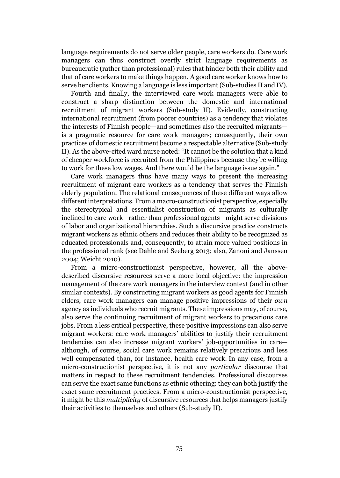language requirements do not serve older people, care workers do. Care work managers can thus construct overtly strict language requirements as bureaucratic (rather than professional) rules that hinder both their ability and that of care workers to make things happen. A good care worker knows how to serve her clients. Knowing a language is less important (Sub-studies II and IV).

Fourth and finally, the interviewed care work managers were able to construct a sharp distinction between the domestic and international recruitment of migrant workers (Sub-study II). Evidently, constructing international recruitment (from poorer countries) as a tendency that violates the interests of Finnish people—and sometimes also the recruited migrants is a pragmatic resource for care work managers; consequently, their own practices of domestic recruitment become a respectable alternative (Sub-study II). As the above-cited ward nurse noted: "It cannot be the solution that a kind of cheaper workforce is recruited from the Philippines because they're willing to work for these low wages. And there would be the language issue again."

Care work managers thus have many ways to present the increasing recruitment of migrant care workers as a tendency that serves the Finnish elderly population. The relational consequences of these different ways allow different interpretations. From a macro-constructionist perspective, especially the stereotypical and essentialist construction of migrants as culturally inclined to care work—rather than professional agents—might serve divisions of labor and organizational hierarchies. Such a discursive practice constructs migrant workers as ethnic others and reduces their ability to be recognized as educated professionals and, consequently, to attain more valued positions in the professional rank (see Dahle and Seeberg 2013; also, Zanoni and Janssen 2004; Weicht 2010).

From a micro-constructionist perspective, however, all the abovedescribed discursive resources serve a more local objective: the impression management of the care work managers in the interview context (and in other similar contexts). By constructing migrant workers as good agents for Finnish elders, care work managers can manage positive impressions of their *own* agency as individuals who recruit migrants. These impressions may, of course, also serve the continuing recruitment of migrant workers to precarious care jobs. From a less critical perspective, these positive impressions can also serve migrant workers: care work managers' abilities to justify their recruitment tendencies can also increase migrant workers' job-opportunities in care although, of course, social care work remains relatively precarious and less well compensated than, for instance, health care work. In any case, from a micro-constructionist perspective, it is not any *particular* discourse that matters in respect to these recruitment tendencies. Professional discourses can serve the exact same functions as ethnic othering: they can both justify the exact same recruitment practices. From a micro-constructionist perspective, it might be this *multiplicity* of discursive resources that helps managers justify their activities to themselves and others (Sub-study II).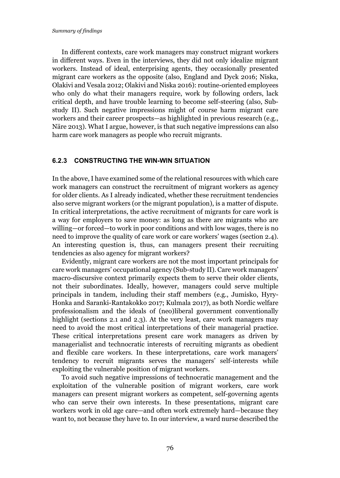In different contexts, care work managers may construct migrant workers in different ways. Even in the interviews, they did not only idealize migrant workers. Instead of ideal, enterprising agents, they occasionally presented migrant care workers as the opposite (also, England and Dyck 2016; Niska, Olakivi and Vesala 2012; Olakivi and Niska 2016): routine-oriented employees who only do what their managers require, work by following orders, lack critical depth, and have trouble learning to become self-steering (also, Substudy II). Such negative impressions might of course harm migrant care workers and their career prospects—as highlighted in previous research (e.g., Näre 2013). What I argue, however, is that such negative impressions can also harm care work managers as people who recruit migrants.

#### 6.2.3 CONSTRUCTING THE WIN-WIN SITUATION

In the above, I have examined some of the relational resources with which care work managers can construct the recruitment of migrant workers as agency for older clients. As I already indicated, whether these recruitment tendencies also serve migrant workers (or the migrant population), is a matter of dispute. In critical interpretations, the active recruitment of migrants for care work is a way for employers to save money: as long as there are migrants who are willing—or forced—to work in poor conditions and with low wages, there is no need to improve the quality of care work or care workers' wages (section 2.4). An interesting question is, thus, can managers present their recruiting tendencies as also agency for migrant workers?

Evidently, migrant care workers are not the most important principals for care work managers' occupational agency (Sub-study II). Care work managers' macro-discursive context primarily expects them to serve their older clients, not their subordinates. Ideally, however, managers could serve multiple principals in tandem, including their staff members (e.g., Jumisko, Hyry-Honka and Saranki-Rantakokko 2017; Kulmala 2017), as both Nordic welfare professionalism and the ideals of (neo)liberal government conventionally highlight (sections 2.1 and 2.3). At the very least, care work managers may need to avoid the most critical interpretations of their managerial practice. These critical interpretations present care work managers as driven by managerialist and technocratic interests of recruiting migrants as obedient and flexible care workers. In these interpretations, care work managers' tendency to recruit migrants serves the managers' self-interests while exploiting the vulnerable position of migrant workers.

To avoid such negative impressions of technocratic management and the exploitation of the vulnerable position of migrant workers, care work managers can present migrant workers as competent, self-governing agents who can serve their own interests. In these presentations, migrant care workers work in old age care—and often work extremely hard—because they want to, not because they have to. In our interview, a ward nurse described the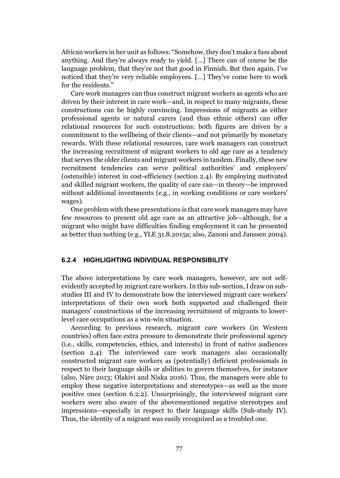African workers in her unit as follows: "Somehow, they don't make a fuss about anything. And they're always ready to yield. […] There can of course be the language problem, that they're not that good in Finnish. But then again, I've noticed that they're very reliable employees. […] They've come here to work for the residents."

Care work managers can thus construct migrant workers as agents who are driven by their interest in care work—and, in respect to many migrants, these constructions can be highly convincing. Impressions of migrants as either professional agents or natural carers (and thus ethnic others) can offer relational resources for such constructions: both figures are driven by a commitment to the wellbeing of their clients—and not primarily by monetary rewards. With these relational resources, care work managers can construct the increasing recruitment of migrant workers to old age care as a tendency that serves the older clients and migrant workers in tandem. Finally, these new recruitment tendencies can serve political authorities' and employers' (ostensible) interest in cost-efficiency (section 2.4). By employing motivated and skilled migrant workers, the quality of care can—in theory—be improved without additional investments (e.g., in working conditions or care workers' wages).

One problem with these presentations is that care work managers may have few resources to present old age care as an attractive job—although, for a migrant who might have difficulties finding employment it can be presented as better than nothing (e.g., YLE 31.8.2015a; also, Zanoni and Janssen 2004).

#### 6.2.4 HIGHLIGHTING INDIVIDUAL RESPONSIBILITY

The above interpretations by care work managers, however, are not selfevidently accepted by migrant care workers. In this sub-section, I draw on substudies III and IV to demonstrate how the interviewed migrant care workers' interpretations of their own work both supported and challenged their managers' constructions of the increasing recruitment of migrants to lowerlevel care occupations as a win-win situation.

According to previous research, migrant care workers (in Western countries) often face extra pressure to demonstrate their professional agency (i.e., skills, competencies, ethics, and interests) in front of native audiences (section 2.4). The interviewed care work managers also occasionally constructed migrant care workers as (potentially) deficient professionals in respect to their language skills or abilities to govern themselves, for instance (also, Näre 2013; Olakivi and Niska 2016). Thus, the managers were able to employ these negative interpretations and stereotypes—as well as the more positive ones (section 6.2.2). Unsurprisingly, the interviewed migrant care workers were also aware of the abovementioned negative stereotypes and impressions—especially in respect to their language skills (Sub-study IV). Thus, the identity of a migrant was easily recognized as a troubled one.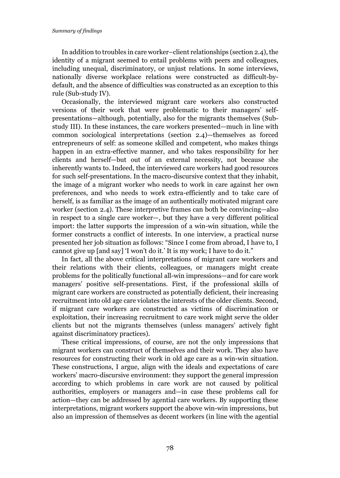In addition to troubles in care worker–client relationships (section 2.4), the identity of a migrant seemed to entail problems with peers and colleagues, including unequal, discriminatory, or unjust relations. In some interviews, nationally diverse workplace relations were constructed as difficult-bydefault, and the absence of difficulties was constructed as an exception to this rule (Sub-study IV).

Occasionally, the interviewed migrant care workers also constructed versions of their work that were problematic to their managers' selfpresentations—although, potentially, also for the migrants themselves (Substudy III). In these instances, the care workers presented—much in line with common sociological interpretations (section 2.4)—themselves as forced entrepreneurs of self: as someone skilled and competent, who makes things happen in an extra-effective manner, and who takes responsibility for her clients and herself—but out of an external necessity, not because she inherently wants to. Indeed, the interviewed care workers had good resources for such self-presentations. In the macro-discursive context that they inhabit, the image of a migrant worker who needs to work in care against her own preferences, and who needs to work extra-efficiently and to take care of herself, is as familiar as the image of an authentically motivated migrant care worker (section 2.4). These interpretive frames can both be convincing—also in respect to a single care worker—, but they have a very different political import: the latter supports the impression of a win-win situation, while the former constructs a conflict of interests. In one interview, a practical nurse presented her job situation as follows: "Since I come from abroad, I have to, I cannot give up [and say] 'I won't do it.' It is my work; I have to do it."

In fact, all the above critical interpretations of migrant care workers and their relations with their clients, colleagues, or managers might create problems for the politically functional all-win impressions—and for care work managers' positive self-presentations. First, if the professional skills of migrant care workers are constructed as potentially deficient, their increasing recruitment into old age care violates the interests of the older clients. Second, if migrant care workers are constructed as victims of discrimination or exploitation, their increasing recruitment to care work might serve the older clients but not the migrants themselves (unless managers' actively fight against discriminatory practices).

These critical impressions, of course, are not the only impressions that migrant workers can construct of themselves and their work. They also have resources for constructing their work in old age care as a win-win situation. These constructions, I argue, align with the ideals and expectations of care workers' macro-discursive environment: they support the general impression according to which problems in care work are not caused by political authorities, employers or managers and—in case these problems call for action—they can be addressed by agential care workers. By supporting these interpretations, migrant workers support the above win-win impressions, but also an impression of themselves as decent workers (in line with the agential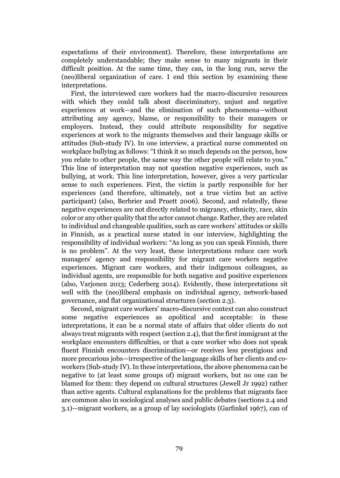expectations of their environment). Therefore, these interpretations are completely understandable; they make sense to many migrants in their difficult position. At the same time, they can, in the long run, serve the (neo)liberal organization of care. I end this section by examining these interpretations.

First, the interviewed care workers had the macro-discursive resources with which they could talk about discriminatory, unjust and negative experiences at work—and the elimination of such phenomena—without attributing any agency, blame, or responsibility to their managers or employers. Instead, they could attribute responsibility for negative experiences at work to the migrants themselves and their language skills or attitudes (Sub-study IV). In one interview, a practical nurse commented on workplace bullying as follows: "I think it so much depends on the person, how you relate to other people, the same way the other people will relate to you." This line of interpretation may not question negative experiences, such as bullying, at work. This line interpretation, however, gives a very particular sense to such experiences. First, the victim is partly responsible for her experiences (and therefore, ultimately, not a true victim but an active participant) (also, Berbrier and Pruett 2006). Second, and relatedly, these negative experiences are not directly related to migrancy, ethnicity, race, skin color or any other quality that the actor cannot change. Rather, they are related to individual and changeable qualities, such as care workers' attitudes or skills in Finnish, as a practical nurse stated in our interview, highlighting the responsibility of individual workers: "As long as you can speak Finnish, there is no problem". At the very least, these interpretations reduce care work managers' agency and responsibility for migrant care workers negative experiences. Migrant care workers, and their indigenous colleagues, as individual agents, are responsible for both negative and positive experiences (also, Varjonen 2013; Cederberg 2014). Evidently, these interpretations sit well with the (neo)liberal emphasis on individual agency, network-based governance, and flat organizational structures (section 2.3).

Second, migrant care workers' macro-discursive context can also construct some negative experiences as *a*political and acceptable: in these interpretations, it can be a normal state of affairs that older clients do not always treat migrants with respect (section 2.4), that the first immigrant at the workplace encounters difficulties, or that a care worker who does not speak fluent Finnish encounters discrimination—or receives less prestigious and more precarious jobs—irrespective of the language skills of her clients and coworkers (Sub-study IV). In these interpretations, the above phenomena can be negative to (at least some groups of) migrant workers, but no one can be blamed for them: they depend on cultural structures (Jewell Jr 1992) rather than active agents. Cultural explanations for the problems that migrants face are common also in sociological analyses and public debates (sections 2.4 and 3.1)—migrant workers, as a group of lay sociologists (Garfinkel 1967), can of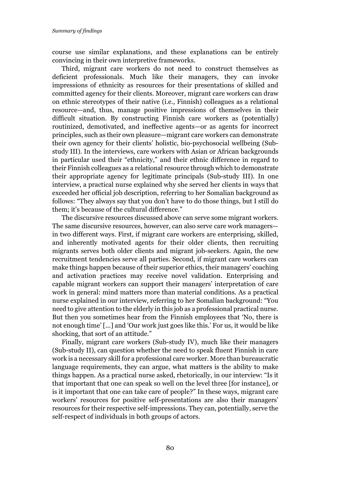course use similar explanations, and these explanations can be entirely convincing in their own interpretive frameworks.

Third, migrant care workers do not need to construct themselves as deficient professionals. Much like their managers, they can invoke impressions of ethnicity as resources for their presentations of skilled and committed agency for their clients. Moreover, migrant care workers can draw on ethnic stereotypes of their native (i.e., Finnish) colleagues as a relational resource—and, thus, manage positive impressions of themselves in their difficult situation. By constructing Finnish care workers as (potentially) routinized, demotivated, and ineffective agents—or as agents for incorrect principles, such as their own pleasure—migrant care workers can demonstrate their own agency for their clients' holistic, bio-psychosocial wellbeing (Substudy III). In the interviews, care workers with Asian or African backgrounds in particular used their "ethnicity," and their ethnic difference in regard to their Finnish colleagues as a relational resource through which to demonstrate their appropriate agency for legitimate principals (Sub-study III). In one interview, a practical nurse explained why she served her clients in ways that exceeded her official job description, referring to her Somalian background as follows: "They always say that you don't have to do those things, but I still do them; it's because of the cultural difference."

The discursive resources discussed above can serve some migrant workers. The same discursive resources, however, can also serve care work managers in two different ways. First, if migrant care workers are enterprising, skilled, and inherently motivated agents for their older clients, then recruiting migrants serves both older clients and migrant job-seekers. Again, the new recruitment tendencies serve all parties. Second, if migrant care workers can make things happen because of their superior ethics, their managers' coaching and activation practices may receive novel validation. Enterprising and capable migrant workers can support their managers' interpretation of care work in general: mind matters more than material conditions. As a practical nurse explained in our interview, referring to her Somalian background: "You need to give attention to the elderly in this job as a professional practical nurse. But then you sometimes hear from the Finnish employees that 'No, there is not enough time' [...] and 'Our work just goes like this.' For us, it would be like shocking, that sort of an attitude."

Finally, migrant care workers (Sub-study IV), much like their managers (Sub-study II), can question whether the need to speak fluent Finnish in care work is a necessary skill for a professional care worker. More than bureaucratic language requirements, they can argue, what matters is the ability to make things happen. As a practical nurse asked, rhetorically, in our interview: "Is it that important that one can speak so well on the level three [for instance], or is it important that one can take care of people?" In these ways, migrant care workers' resources for positive self-presentations are also their managers' resources for their respective self-impressions. They can, potentially, serve the self-respect of individuals in both groups of actors.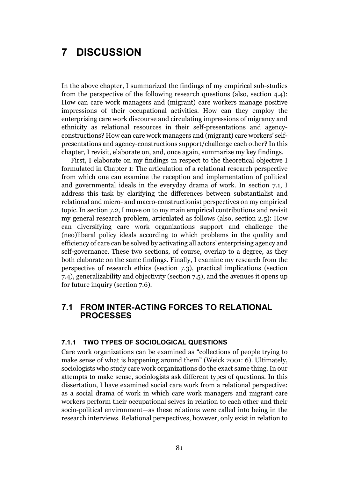# 7 DISCUSSION

In the above chapter, I summarized the findings of my empirical sub-studies from the perspective of the following research questions (also, section 4.4): How can care work managers and (migrant) care workers manage positive impressions of their occupational activities. How can they employ the enterprising care work discourse and circulating impressions of migrancy and ethnicity as relational resources in their self-presentations and agencyconstructions? How can care work managers and (migrant) care workers' selfpresentations and agency-constructions support/challenge each other? In this chapter, I revisit, elaborate on, and, once again, summarize my key findings.

First, I elaborate on my findings in respect to the theoretical objective I formulated in Chapter 1: The articulation of a relational research perspective from which one can examine the reception and implementation of political and governmental ideals in the everyday drama of work. In section 7.1, I address this task by clarifying the differences between substantialist and relational and micro- and macro-constructionist perspectives on my empirical topic. In section 7.2, I move on to my main empirical contributions and revisit my general research problem, articulated as follows (also, section 2.5): How can diversifying care work organizations support and challenge the (neo)liberal policy ideals according to which problems in the quality and efficiency of care can be solved by activating all actors' enterprising agency and self-governance. These two sections, of course, overlap to a degree, as they both elaborate on the same findings. Finally, I examine my research from the perspective of research ethics (section 7.3), practical implications (section 7.4), generalizability and objectivity (section 7.5), and the avenues it opens up for future inquiry (section 7.6).

## 7.1 FROM INTER-ACTING FORCES TO RELATIONAL PROCESSES

#### 7.1.1 TWO TYPES OF SOCIOLOGICAL QUESTIONS

Care work organizations can be examined as "collections of people trying to make sense of what is happening around them" (Weick 2001: 6). Ultimately, sociologists who study care work organizations do the exact same thing. In our attempts to make sense, sociologists ask different types of questions. In this dissertation, I have examined social care work from a relational perspective: as a social drama of work in which care work managers and migrant care workers perform their occupational selves in relation to each other and their socio-political environment—as these relations were called into being in the research interviews. Relational perspectives, however, only exist in relation to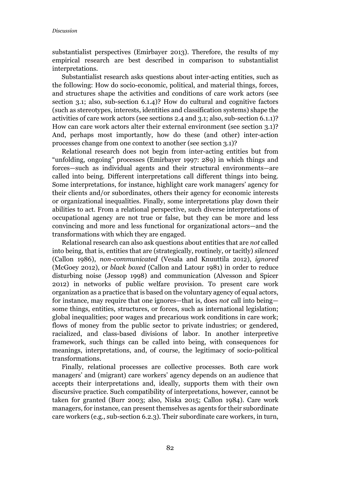substantialist perspectives (Emirbayer 2013). Therefore, the results of my empirical research are best described in comparison to substantialist interpretations.

Substantialist research asks questions about inter-acting entities, such as the following: How do socio-economic, political, and material things, forces, and structures shape the activities and conditions of care work actors (see section 3.1; also, sub-section 6.1.4)? How do cultural and cognitive factors (such as stereotypes, interests, identities and classification systems) shape the activities of care work actors (see sections 2.4 and 3.1; also, sub-section 6.1.1)? How can care work actors alter their external environment (see section 3.1)? And, perhaps most importantly, how do these (and other) inter-action processes change from one context to another (see section 3.1)?

Relational research does not begin from inter-acting entities but from "unfolding, ongoing" processes (Emirbayer 1997: 289) in which things and forces—such as individual agents and their structural environments—are called into being. Different interpretations call different things into being. Some interpretations, for instance, highlight care work managers' agency for their clients and/or subordinates, others their agency for economic interests or organizational inequalities. Finally, some interpretations play down their abilities to act. From a relational perspective, such diverse interpretations of occupational agency are not true or false, but they can be more and less convincing and more and less functional for organizational actors—and the transformations with which they are engaged.

Relational research can also ask questions about entities that are *not* called into being, that is, entities that are (strategically, routinely, or tacitly) *silenced* (Callon 1986), *non-communicated* (Vesala and Knuuttila 2012), *ignored* (McGoey 2012), or *black boxed* (Callon and Latour 1981) in order to reduce disturbing noise (Jessop 1998) and communication (Alvesson and Spicer 2012) in networks of public welfare provision. To present care work organization as a practice that is based on the voluntary agency of equal actors, for instance, may require that one ignores—that is, does *not* call into being some things, entities, structures, or forces, such as international legislation; global inequalities; poor wages and precarious work conditions in care work; flows of money from the public sector to private industries; or gendered, racialized, and class-based divisions of labor. In another interpretive framework, such things can be called into being, with consequences for meanings, interpretations, and, of course, the legitimacy of socio-political transformations.

Finally, relational processes are collective processes. Both care work managers' and (migrant) care workers' agency depends on an audience that accepts their interpretations and, ideally, supports them with their own discursive practice. Such compatibility of interpretations, however, cannot be taken for granted (Burr 2003; also, Niska 2015; Callon 1984). Care work managers, for instance, can present themselves as agents for their subordinate care workers (e.g., sub-section 6.2.3). Their subordinate care workers, in turn,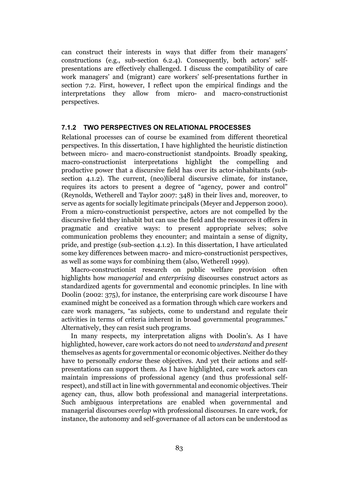can construct their interests in ways that differ from their managers' constructions (e.g., sub-section 6.2.4). Consequently, both actors' selfpresentations are effectively challenged. I discuss the compatibility of care work managers' and (migrant) care workers' self-presentations further in section 7.2. First, however, I reflect upon the empirical findings and the interpretations they allow from micro- and macro-constructionist perspectives.

#### 7.1.2 TWO PERSPECTIVES ON RELATIONAL PROCESSES

Relational processes can of course be examined from different theoretical perspectives. In this dissertation, I have highlighted the heuristic distinction between micro- and macro-constructionist standpoints. Broadly speaking, macro-constructionist interpretations highlight the compelling and productive power that a discursive field has over its actor-inhabitants (subsection 4.1.2). The current, (neo)liberal discursive climate, for instance, requires its actors to present a degree of "agency, power and control" (Reynolds, Wetherell and Taylor 2007: 348) in their lives and, moreover, to serve as agents for socially legitimate principals (Meyer and Jepperson 2000). From a micro-constructionist perspective, actors are not compelled by the discursive field they inhabit but can use the field and the resources it offers in pragmatic and creative ways: to present appropriate selves; solve communication problems they encounter; and maintain a sense of dignity, pride, and prestige (sub-section 4.1.2). In this dissertation, I have articulated some key differences between macro- and micro-constructionist perspectives, as well as some ways for combining them (also, Wetherell 1999).

Macro-constructionist research on public welfare provision often highlights how *managerial* and *enterprising* discourses construct actors as standardized agents for governmental and economic principles. In line with Doolin (2002: 375), for instance, the enterprising care work discourse I have examined might be conceived as a formation through which care workers and care work managers, "as subjects, come to understand and regulate their activities in terms of criteria inherent in broad governmental programmes." Alternatively, they can resist such programs.

In many respects, my interpretation aligns with Doolin's. As I have highlighted, however, care work actors do not need to *understand* and *present* themselves as agents for governmental or economic objectives. Neither do they have to personally *endorse* these objectives. And yet their actions and selfpresentations can support them. As I have highlighted, care work actors can maintain impressions of professional agency (and thus professional selfrespect), and still act in line with governmental and economic objectives. Their agency can, thus, allow both professional and managerial interpretations. Such ambiguous interpretations are enabled when governmental and managerial discourses *overlap* with professional discourses. In care work, for instance, the autonomy and self-governance of all actors can be understood as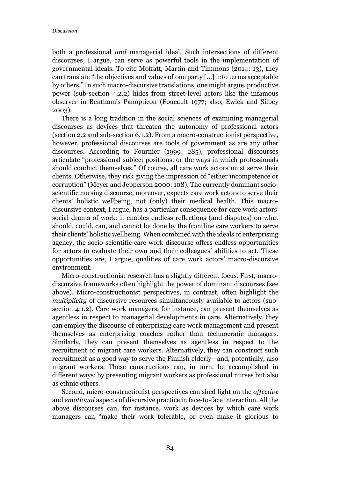both a professional *and* managerial ideal. Such intersections of different discourses, I argue, can serve as powerful tools in the implementation of governmental ideals. To cite Moffatt, Martin and Timmons (2014: 13), they can translate "the objectives and values of one party […] into terms acceptable by others." In such macro-discursive translations, one might argue, productive power (sub-section 4.2.2) hides from street-level actors like the infamous observer in Bentham's Panopticon (Foucault 1977; also, Ewick and Silbey 2003).

There is a long tradition in the social sciences of examining managerial discourses as devices that threaten the autonomy of professional actors (section 2.2 and sub-section 6.1.2). From a macro-constructionist perspective, however, professional discourses are tools of government as are any other discourses. According to Fournier (1999: 285), professional discourses articulate "professional subject positions, or the ways in which professionals should conduct themselves." Of course, all care work actors must serve their clients. Otherwise, they risk giving the impression of "either incompetence or corruption" (Meyer and Jepperson 2000: 108). The currently dominant socioscientific nursing discourse, moreover, expects care work actors to serve their clients' holistic wellbeing, not (only) their medical health. This macrodiscursive context, I argue, has a particular consequence for care work actors' social drama of work: it enables endless reflections (and disputes) on what should, could, can, and cannot be done by the frontline care workers to serve their clients' holistic wellbeing. When combined with the ideals of enterprising agency, the socio-scientific care work discourse offers endless opportunities for actors to evaluate their own and their colleagues' abilities to act. These opportunities are, I argue, qualities of care work actors' macro-discursive environment.

Micro-constructionist research has a slightly different focus. First, macrodiscursive frameworks often highlight the power of dominant discourses (see above). Micro-constructionist perspectives, in contrast, often highlight the *multiplicity* of discursive resources simultaneously available to actors (subsection 4.1.2). Care work managers, for instance, can present themselves as agentless in respect to managerial developments in care. Alternatively, they can employ the discourse of enterprising care work management and present themselves as enterprising coaches rather than technocratic managers. Similarly, they can present themselves as agentless in respect to the recruitment of migrant care workers. Alternatively, they can construct such recruitment as a good way to serve the Finnish elderly—and, potentially, also migrant workers. These constructions can, in turn, be accomplished in different ways: by presenting migrant workers as professional nurses but also as ethnic others.

Second, micro-constructionist perspectives can shed light on the *affective* and *emotional* aspects of discursive practice in face-to-face interaction. All the above discourses can, for instance, work as devices by which care work managers can "make their work tolerable, or even make it glorious to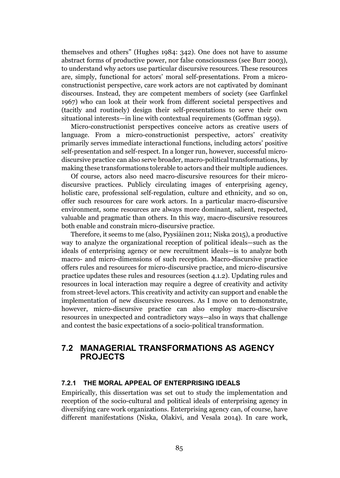themselves and others" (Hughes 1984: 342). One does not have to assume abstract forms of productive power, nor false consciousness (see Burr 2003), to understand why actors use particular discursive resources. These resources are, simply, functional for actors' moral self-presentations. From a microconstructionist perspective, care work actors are not captivated by dominant discourses. Instead, they are competent members of society (see Garfinkel 1967) who can look at their work from different societal perspectives and (tacitly and routinely) design their self-presentations to serve their own situational interests—in line with contextual requirements (Goffman 1959).

Micro-constructionist perspectives conceive actors as creative users of language. From a micro-constructionist perspective, actors' creativity primarily serves immediate interactional functions, including actors' positive self-presentation and self-respect. In a longer run, however, successful microdiscursive practice can also serve broader, macro-political transformations, by making these transformations tolerable to actors and their multiple audiences.

Of course, actors also need macro-discursive resources for their microdiscursive practices. Publicly circulating images of enterprising agency, holistic care, professional self-regulation, culture and ethnicity, and so on, offer such resources for care work actors. In a particular macro-discursive environment, some resources are always more dominant, salient, respected, valuable and pragmatic than others. In this way, macro-discursive resources both enable and constrain micro-discursive practice.

Therefore, it seems to me (also, Pyysiäinen 2011; Niska 2015), a productive way to analyze the organizational reception of political ideals—such as the ideals of enterprising agency or new recruitment ideals—is to analyze both macro- and micro-dimensions of such reception. Macro-discursive practice offers rules and resources for micro-discursive practice, and micro-discursive practice updates these rules and resources (section 4.1.2). Updating rules and resources in local interaction may require a degree of creativity and activity from street-level actors. This creativity and activity can support and enable the implementation of new discursive resources. As I move on to demonstrate, however, micro-discursive practice can also employ macro-discursive resources in unexpected and contradictory ways—also in ways that challenge and contest the basic expectations of a socio-political transformation.

## 7.2 MANAGERIAL TRANSFORMATIONS AS AGENCY PROJECTS

#### 7.2.1 THE MORAL APPEAL OF ENTERPRISING IDEALS

Empirically, this dissertation was set out to study the implementation and reception of the socio-cultural and political ideals of enterprising agency in diversifying care work organizations. Enterprising agency can, of course, have different manifestations (Niska, Olakivi, and Vesala 2014). In care work,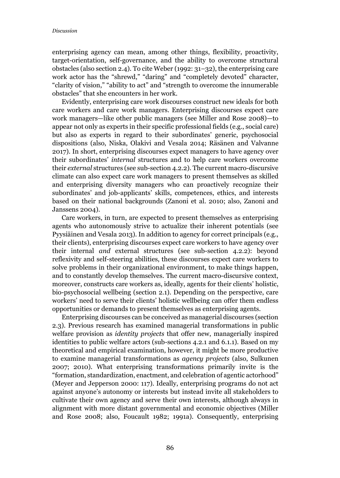enterprising agency can mean, among other things, flexibility, proactivity, target-orientation, self-governance, and the ability to overcome structural obstacles (also section 2.4). To cite Weber (1992: 31–32), the enterprising care work actor has the "shrewd," "daring" and "completely devoted" character, "clarity of vision," "ability to act" and "strength to overcome the innumerable obstacles" that she encounters in her work.

Evidently, enterprising care work discourses construct new ideals for both care workers and care work managers. Enterprising discourses expect care work managers—like other public managers (see Miller and Rose 2008)—to appear not only as experts in their specific professional fields (e.g., social care) but also as experts in regard to their subordinates' generic, psychosocial dispositions (also, Niska, Olakivi and Vesala 2014; Räsänen and Valvanne 2017). In short, enterprising discourses expect managers to have agency over their subordinates' *internal* structures and to help care workers overcome their *external* structures (see sub-section 4.2.2). The current macro-discursive climate can also expect care work managers to present themselves as skilled and enterprising diversity managers who can proactively recognize their subordinates' and job-applicants' skills, competences, ethics, and interests based on their national backgrounds (Zanoni et al. 2010; also, Zanoni and Janssens 2004).

Care workers, in turn, are expected to present themselves as enterprising agents who autonomously strive to actualize their inherent potentials (see Pyysiäinen and Vesala 2013). In addition to agency for correct principals (e.g., their clients), enterprising discourses expect care workers to have agency over their internal *and* external structures (see sub-section 4.2.2): beyond reflexivity and self-steering abilities, these discourses expect care workers to solve problems in their organizational environment, to make things happen, and to constantly develop themselves. The current macro-discursive context, moreover, constructs care workers as, ideally, agents for their clients' holistic, bio-psychosocial wellbeing (section 2.1). Depending on the perspective, care workers' need to serve their clients' holistic wellbeing can offer them endless opportunities or demands to present themselves as enterprising agents.

Enterprising discourses can be conceived as managerial discourses (section 2.3). Previous research has examined managerial transformations in public welfare provision as *identity projects* that offer new, managerially inspired identities to public welfare actors (sub-sections 4.2.1 and 6.1.1). Based on my theoretical and empirical examination, however, it might be more productive to examine managerial transformations as *agency projects* (also, Sulkunen 2007; 2010). What enterprising transformations primarily invite is the "formation, standardization, enactment, and celebration of agentic actorhood" (Meyer and Jepperson 2000: 117). Ideally, enterprising programs do not act against anyone's autonomy or interests but instead invite all stakeholders to cultivate their own agency and serve their own interests, although always in alignment with more distant governmental and economic objectives (Miller and Rose 2008; also, Foucault 1982; 1991a). Consequently, enterprising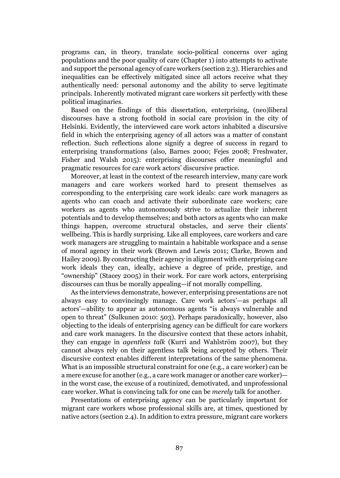programs can, in theory, translate socio-political concerns over aging populations and the poor quality of care (Chapter 1) into attempts to activate and support the personal agency of care workers (section 2.3). Hierarchies and inequalities can be effectively mitigated since all actors receive what they authentically need: personal autonomy and the ability to serve legitimate principals. Inherently motivated migrant care workers sit perfectly with these political imaginaries.

Based on the findings of this dissertation, enterprising, (neo)liberal discourses have a strong foothold in social care provision in the city of Helsinki. Evidently, the interviewed care work actors inhabited a discursive field in which the enterprising agency of all actors was a matter of constant reflection. Such reflections alone signify a degree of success in regard to enterprising transformations (also, Barnes 2000; Fejes 2008; Freshwater, Fisher and Walsh 2015): enterprising discourses offer meaningful and pragmatic resources for care work actors' discursive practice.

Moreover, at least in the context of the research interview, many care work managers and care workers worked hard to present themselves as corresponding to the enterprising care work ideals: care work managers as agents who can coach and activate their subordinate care workers; care workers as agents who autonomously strive to actualize their inherent potentials and to develop themselves; and both actors as agents who can make things happen, overcome structural obstacles, and serve their clients' wellbeing. This is hardly surprising. Like all employees, care workers and care work managers are struggling to maintain a habitable workspace and a sense of moral agency in their work (Brown and Lewis 2011; Clarke, Brown and Hailey 2009). By constructing their agency in alignment with enterprising care work ideals they can, ideally, achieve a degree of pride, prestige, and "ownership" (Stacey 2005) in their work. For care work actors, enterprising discourses can thus be morally appealing—if not morally compelling.

As the interviews demonstrate, however, enterprising presentations are not always easy to convincingly manage. Care work actors'—as perhaps all actors'—ability to appear as autonomous agents "is always vulnerable and open to threat" (Sulkunen 2010: 503). Perhaps paradoxically, however, also objecting to the ideals of enterprising agency can be difficult for care workers and care work managers. In the discursive context that these actors inhabit, they can engage in *agentless talk* (Kurri and Wahlström 2007), but they cannot always rely on their agentless talk being accepted by others. Their discursive context enables different interpretations of the same phenomena. What is an impossible structural constraint for one (e.g., a care worker) can be a mere excuse for another (e.g., a care work manager or another care worker) in the worst case, the excuse of a routinized, demotivated, and unprofessional care worker. What is convincing talk for one can be *merely* talk for another.

Presentations of enterprising agency can be particularly important for migrant care workers whose professional skills are, at times, questioned by native actors (section 2.4). In addition to extra pressure, migrant care workers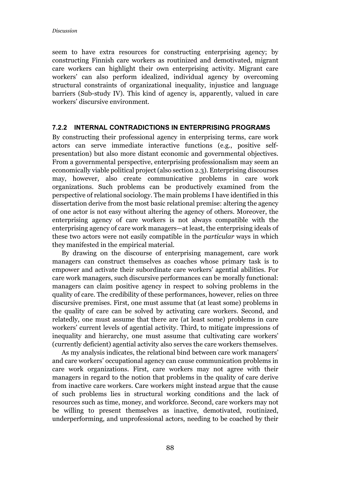seem to have extra resources for constructing enterprising agency; by constructing Finnish care workers as routinized and demotivated, migrant care workers can highlight their own enterprising activity. Migrant care workers' can also perform idealized, individual agency by overcoming structural constraints of organizational inequality, injustice and language barriers (Sub-study IV). This kind of agency is, apparently, valued in care workers' discursive environment.

#### 7.2.2 INTERNAL CONTRADICTIONS IN ENTERPRISING PROGRAMS

By constructing their professional agency in enterprising terms, care work actors can serve immediate interactive functions (e.g., positive selfpresentation) but also more distant economic and governmental objectives. From a governmental perspective, enterprising professionalism may seem an economically viable political project (also section 2.3). Enterprising discourses may, however, also create communicative problems in care work organizations. Such problems can be productively examined from the perspective of relational sociology. The main problems I have identified in this dissertation derive from the most basic relational premise: altering the agency of one actor is not easy without altering the agency of others. Moreover, the enterprising agency of care workers is not always compatible with the enterprising agency of care work managers—at least, the enterprising ideals of these two actors were not easily compatible in the *particular* ways in which they manifested in the empirical material.

By drawing on the discourse of enterprising management, care work managers can construct themselves as coaches whose primary task is to empower and activate their subordinate care workers' agential abilities. For care work managers, such discursive performances can be morally functional: managers can claim positive agency in respect to solving problems in the quality of care. The credibility of these performances, however, relies on three discursive premises. First, one must assume that (at least some) problems in the quality of care can be solved by activating care workers. Second, and relatedly, one must assume that there are (at least some) problems in care workers' current levels of agential activity. Third, to mitigate impressions of inequality and hierarchy, one must assume that cultivating care workers' (currently deficient) agential activity also serves the care workers themselves.

As my analysis indicates, the relational bind between care work managers' and care workers' occupational agency can cause communication problems in care work organizations. First, care workers may not agree with their managers in regard to the notion that problems in the quality of care derive from inactive care workers. Care workers might instead argue that the cause of such problems lies in structural working conditions and the lack of resources such as time, money, and workforce. Second, care workers may not be willing to present themselves as inactive, demotivated, routinized, underperforming, and unprofessional actors, needing to be coached by their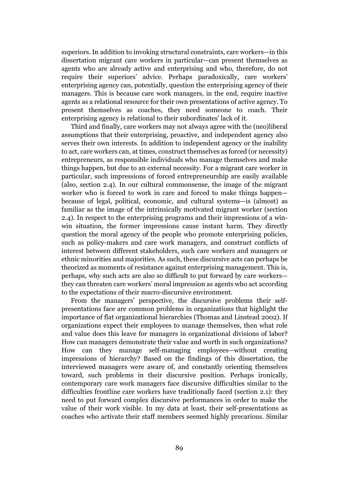superiors. In addition to invoking structural constraints, care workers—in this dissertation migrant care workers in particular—can present themselves as agents who are already active and enterprising and who, therefore, do not require their superiors' advice. Perhaps paradoxically, care workers' enterprising agency can, potentially, question the enterprising agency of their managers. This is because care work managers, in the end, require inactive agents as a relational resource for their own presentations of active agency. To present themselves as coaches, they need someone to coach. Their enterprising agency is relational to their subordinates' lack of it.

Third and finally, care workers may not always agree with the (neo)liberal assumptions that their enterprising, proactive, and independent agency also serves their own interests. In addition to independent agency or the inability to act, care workers can, at times, construct themselves as forced (or necessity) entrepreneurs, as responsible individuals who manage themselves and make things happen, but due to an external necessity. For a migrant care worker in particular, such impressions of forced entrepreneurship are easily available (also, section 2.4). In our cultural commonsense, the image of the migrant worker who is forced to work in care and forced to make things happen because of legal, political, economic, and cultural systems—is (almost) as familiar as the image of the intrinsically motivated migrant worker (section 2.4). In respect to the enterprising programs and their impressions of a winwin situation, the former impressions cause instant harm. They directly question the moral agency of the people who promote enterprising policies, such as policy-makers and care work managers, and construct conflicts of interest between different stakeholders, such care workers and managers or ethnic minorities and majorities. As such, these discursive acts can perhaps be theorized as moments of resistance against enterprising management. This is, perhaps, why such acts are also so difficult to put forward by care workers they can threaten care workers' moral impression as agents who act according to the expectations of their macro-discursive environment.

From the managers' perspective, the discursive problems their selfpresentations face are common problems in organizations that highlight the importance of flat organizational hierarchies (Thomas and Linstead 2002). If organizations expect their employees to manage themselves, then what role and value does this leave for managers in organizational divisions of labor? How can managers demonstrate their value and worth in such organizations? How can they manage self-managing employees—without creating impressions of hierarchy? Based on the findings of this dissertation, the interviewed managers were aware of, and constantly orienting themselves toward, such problems in their discursive position. Perhaps ironically, contemporary care work managers face discursive difficulties similar to the difficulties frontline care workers have traditionally faced (section 2.1): they need to put forward complex discursive performances in order to make the value of their work visible. In my data at least, their self-presentations as coaches who activate their staff members seemed highly precarious. Similar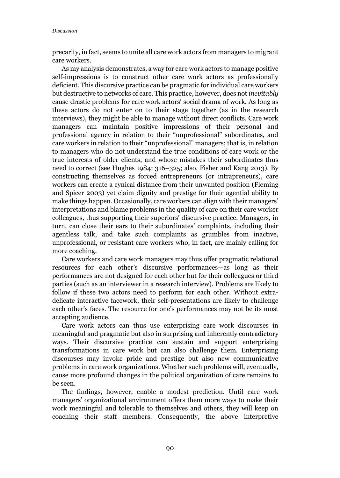precarity, in fact, seems to unite all care work actors from managers to migrant care workers.

As my analysis demonstrates, a way for care work actors to manage positive self-impressions is to construct other care work actors as professionally deficient. This discursive practice can be pragmatic for individual care workers but destructive to networks of care. This practice, however, does not *inevitably* cause drastic problems for care work actors' social drama of work. As long as these actors do not enter on to their stage together (as in the research interviews), they might be able to manage without direct conflicts. Care work managers can maintain positive impressions of their personal and professional agency in relation to their "unprofessional" subordinates, and care workers in relation to their "unprofessional" managers; that is, in relation to managers who do not understand the true conditions of care work or the true interests of older clients, and whose mistakes their subordinates thus need to correct (see Hughes 1984: 316–325; also, Fisher and Kang 2013). By constructing themselves as forced entrepreneurs (or intrapreneurs), care workers can create a cynical distance from their unwanted position (Fleming and Spicer 2003) yet claim dignity and prestige for their agential ability to make things happen. Occasionally, care workers can align with their managers' interpretations and blame problems in the quality of care on their care worker colleagues, thus supporting their superiors' discursive practice. Managers, in turn, can close their ears to their subordinates' complaints, including their agentless talk, and take such complaints as grumbles from inactive, unprofessional, or resistant care workers who, in fact, are mainly calling for more coaching.

Care workers and care work managers may thus offer pragmatic relational resources for each other's discursive performances—as long as their performances are not designed for each other but for their colleagues or third parties (such as an interviewer in a research interview). Problems are likely to follow if these two actors need to perform for each other. Without extradelicate interactive facework, their self-presentations are likely to challenge each other's faces. The resource for one's performances may not be its most accepting audience.

Care work actors can thus use enterprising care work discourses in meaningful and pragmatic but also in surprising and inherently contradictory ways. Their discursive practice can sustain and support enterprising transformations in care work but can also challenge them. Enterprising discourses may invoke pride and prestige but also new communicative problems in care work organizations. Whether such problems will, eventually, cause more profound changes in the political organization of care remains to be seen.

The findings, however, enable a modest prediction. Until care work managers' organizational environment offers them more ways to make their work meaningful and tolerable to themselves and others, they will keep on coaching their staff members. Consequently, the above interpretive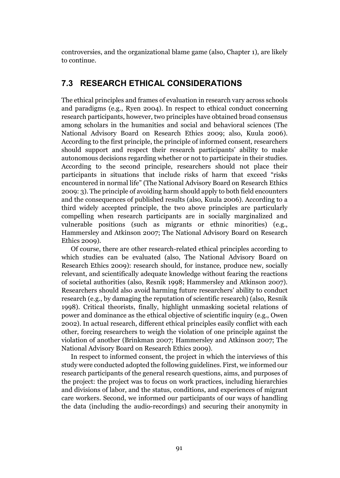controversies, and the organizational blame game (also, Chapter 1), are likely to continue.

## 7.3 RESEARCH ETHICAL CONSIDERATIONS

The ethical principles and frames of evaluation in research vary across schools and paradigms (e.g., Ryen 2004). In respect to ethical conduct concerning research participants, however, two principles have obtained broad consensus among scholars in the humanities and social and behavioral sciences (The National Advisory Board on Research Ethics 2009; also, Kuula 2006). According to the first principle, the principle of informed consent, researchers should support and respect their research participants' ability to make autonomous decisions regarding whether or not to participate in their studies. According to the second principle, researchers should not place their participants in situations that include risks of harm that exceed "risks encountered in normal life" (The National Advisory Board on Research Ethics 2009: 3). The principle of avoiding harm should apply to both field encounters and the consequences of published results (also, Kuula 2006). According to a third widely accepted principle, the two above principles are particularly compelling when research participants are in socially marginalized and vulnerable positions (such as migrants or ethnic minorities) (e.g., Hammersley and Atkinson 2007; The National Advisory Board on Research Ethics 2009).

Of course, there are other research-related ethical principles according to which studies can be evaluated (also, The National Advisory Board on Research Ethics 2009): research should, for instance, produce new, socially relevant, and scientifically adequate knowledge without fearing the reactions of societal authorities (also, Resnik 1998; Hammersley and Atkinson 2007). Researchers should also avoid harming future researchers' ability to conduct research (e.g., by damaging the reputation of scientific research) (also, Resnik 1998). Critical theorists, finally, highlight unmasking societal relations of power and dominance as the ethical objective of scientific inquiry (e.g., Owen 2002). In actual research, different ethical principles easily conflict with each other, forcing researchers to weigh the violation of one principle against the violation of another (Brinkman 2007; Hammersley and Atkinson 2007; The National Advisory Board on Research Ethics 2009).

In respect to informed consent, the project in which the interviews of this study were conducted adopted the following guidelines. First, we informed our research participants of the general research questions, aims, and purposes of the project: the project was to focus on work practices, including hierarchies and divisions of labor, and the status, conditions, and experiences of migrant care workers. Second, we informed our participants of our ways of handling the data (including the audio-recordings) and securing their anonymity in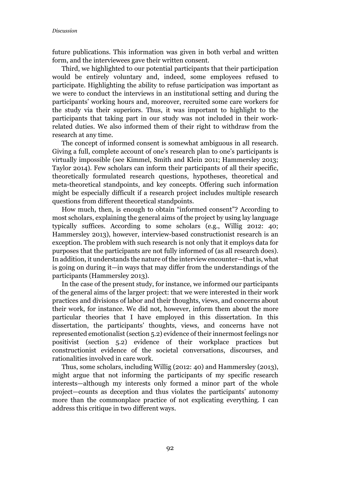future publications. This information was given in both verbal and written form, and the interviewees gave their written consent.

Third, we highlighted to our potential participants that their participation would be entirely voluntary and, indeed, some employees refused to participate. Highlighting the ability to refuse participation was important as we were to conduct the interviews in an institutional setting and during the participants' working hours and, moreover, recruited some care workers for the study via their superiors. Thus, it was important to highlight to the participants that taking part in our study was not included in their workrelated duties. We also informed them of their right to withdraw from the research at any time.

The concept of informed consent is somewhat ambiguous in all research. Giving a full, complete account of one's research plan to one's participants is virtually impossible (see Kimmel, Smith and Klein 2011; Hammersley 2013; Taylor 2014). Few scholars can inform their participants of all their specific, theoretically formulated research questions, hypotheses, theoretical and meta-theoretical standpoints, and key concepts. Offering such information might be especially difficult if a research project includes multiple research questions from different theoretical standpoints.

How much, then, is enough to obtain "informed consent"? According to most scholars, explaining the general aims of the project by using lay language typically suffices. According to some scholars (e.g., Willig 2012: 40; Hammersley 2013), however, interview-based constructionist research is an exception. The problem with such research is not only that it employs data for purposes that the participants are not fully informed of (as all research does). In addition, it understands the nature of the interview encounter—that is, what is going on during it—in ways that may differ from the understandings of the participants (Hammersley 2013).

In the case of the present study, for instance, we informed our participants of the general aims of the larger project: that we were interested in their work practices and divisions of labor and their thoughts, views, and concerns about their work, for instance. We did not, however, inform them about the more particular theories that I have employed in this dissertation. In this dissertation, the participants' thoughts, views, and concerns have not represented emotionalist (section 5.2) evidence of their innermost feelings nor positivist (section 5.2) evidence of their workplace practices but constructionist evidence of the societal conversations, discourses, and rationalities involved in care work.

Thus, some scholars, including Willig (2012: 40) and Hammersley (2013), might argue that not informing the participants of my specific research interests—although my interests only formed a minor part of the whole project—counts as deception and thus violates the participants' autonomy more than the commonplace practice of not explicating everything. I can address this critique in two different ways.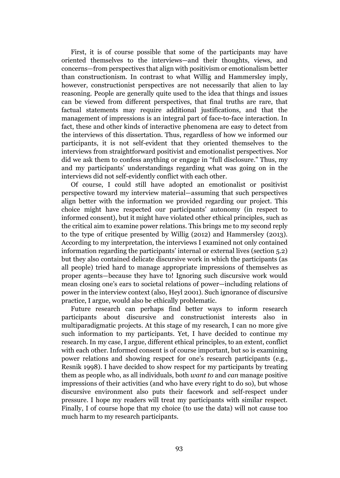First, it is of course possible that some of the participants may have oriented themselves to the interviews—and their thoughts, views, and concerns—from perspectives that align with positivism or emotionalism better than constructionism. In contrast to what Willig and Hammersley imply, however, constructionist perspectives are not necessarily that alien to lay reasoning. People are generally quite used to the idea that things and issues can be viewed from different perspectives, that final truths are rare, that factual statements may require additional justifications, and that the management of impressions is an integral part of face-to-face interaction. In fact, these and other kinds of interactive phenomena are easy to detect from the interviews of this dissertation. Thus, regardless of how we informed our participants, it is not self-evident that they oriented themselves to the interviews from straightforward positivist and emotionalist perspectives. Nor did we ask them to confess anything or engage in "full disclosure." Thus, my and my participants' understandings regarding what was going on in the interviews did not self-evidently conflict with each other.

Of course, I could still have adopted an emotionalist or positivist perspective toward my interview material—assuming that such perspectives align better with the information we provided regarding our project. This choice might have respected our participants' autonomy (in respect to informed consent), but it might have violated other ethical principles, such as the critical aim to examine power relations. This brings me to my second reply to the type of critique presented by Willig (2012) and Hammersley (2013). According to my interpretation, the interviews I examined not only contained information regarding the participants' internal or external lives (section 5.2) but they also contained delicate discursive work in which the participants (as all people) tried hard to manage appropriate impressions of themselves as proper agents—because they have to! Ignoring such discursive work would mean closing one's ears to societal relations of power—including relations of power in the interview context (also, Heyl 2001). Such ignorance of discursive practice, I argue, would also be ethically problematic.

Future research can perhaps find better ways to inform research participants about discursive and constructionist interests also in multiparadigmatic projects. At this stage of my research, I can no more give such information to my participants. Yet, I have decided to continue my research. In my case, I argue, different ethical principles, to an extent, conflict with each other. Informed consent is of course important, but so is examining power relations and showing respect for one's research participants (e.g., Resnik 1998). I have decided to show respect for my participants by treating them as people who, as all individuals, both *want to* and *can* manage positive impressions of their activities (and who have every right to do so), but whose discursive environment also puts their facework and self-respect under pressure. I hope my readers will treat my participants with similar respect. Finally, I of course hope that my choice (to use the data) will not cause too much harm to my research participants.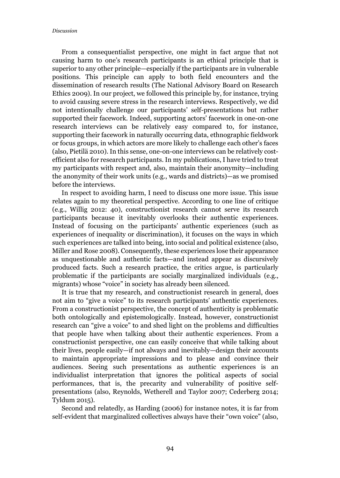From a consequentialist perspective, one might in fact argue that not causing harm to one's research participants is an ethical principle that is superior to any other principle—especially if the participants are in vulnerable positions. This principle can apply to both field encounters and the dissemination of research results (The National Advisory Board on Research Ethics 2009). In our project, we followed this principle by, for instance, trying to avoid causing severe stress in the research interviews. Respectively, we did not intentionally challenge our participants' self-presentations but rather supported their facework. Indeed, supporting actors' facework in one-on-one research interviews can be relatively easy compared to, for instance, supporting their facework in naturally occurring data, ethnographic fieldwork or focus groups, in which actors are more likely to challenge each other's faces (also, Pietilä 2010). In this sense, one-on-one interviews can be relatively costefficient also for research participants. In my publications, I have tried to treat my participants with respect and, also, maintain their anonymity—including the anonymity of their work units (e.g., wards and districts)—as we promised before the interviews.

In respect to avoiding harm, I need to discuss one more issue. This issue relates again to my theoretical perspective. According to one line of critique (e.g., Willig 2012: 40), constructionist research cannot serve its research participants because it inevitably overlooks their authentic experiences. Instead of focusing on the participants' authentic experiences (such as experiences of inequality or discrimination), it focuses on the ways in which such experiences are talked into being, into social and political existence (also, Miller and Rose 2008). Consequently, these experiences lose their appearance as unquestionable and authentic facts—and instead appear as discursively produced facts. Such a research practice, the critics argue, is particularly problematic if the participants are socially marginalized individuals (e.g., migrants) whose "voice" in society has already been silenced.

It is true that my research, and constructionist research in general, does not aim to "give a voice" to its research participants' authentic experiences. From a constructionist perspective, the concept of authenticity is problematic both ontologically and epistemologically. Instead, however, constructionist research can "give a voice" to and shed light on the problems and difficulties that people have when talking about their authentic experiences. From a constructionist perspective, one can easily conceive that while talking about their lives, people easily—if not always and inevitably—design their accounts to maintain appropriate impressions and to please and convince their audiences. Seeing such presentations as authentic experiences is an individualist interpretation that ignores the political aspects of social performances, that is, the precarity and vulnerability of positive selfpresentations (also, Reynolds, Wetherell and Taylor 2007; Cederberg 2014; Tyldum 2015).

Second and relatedly, as Harding (2006) for instance notes, it is far from self-evident that marginalized collectives always have their "own voice" (also,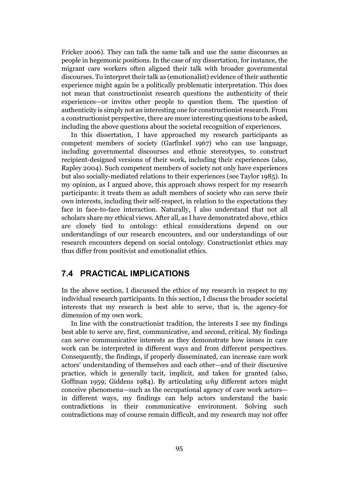Fricker 2006). They can talk the same talk and use the same discourses as people in hegemonic positions. In the case of my dissertation, for instance, the migrant care workers often aligned their talk with broader governmental discourses. To interpret their talk as (emotionalist) evidence of their authentic experience might again be a politically problematic interpretation. This does not mean that constructionist research questions the authenticity of their experiences—or invites other people to question them. The question of authenticity is simply not an interesting one for constructionist research. From a constructionist perspective, there are more interesting questions to be asked, including the above questions about the societal recognition of experiences.

In this dissertation, I have approached my research participants as competent members of society (Garfinkel 1967) who can use language, including governmental discourses and ethnic stereotypes, to construct recipient-designed versions of their work, including their experiences (also, Rapley 2004). Such competent members of society not only have experiences but also socially-mediated relations to their experiences (see Taylor 1985). In my opinion, as I argued above, this approach shows respect for my research participants: it treats them as adult members of society who can serve their own interests, including their self-respect, in relation to the expectations they face in face-to-face interaction. Naturally, I also understand that not all scholars share my ethical views. After all, as I have demonstrated above, ethics are closely tied to ontology: ethical considerations depend on our understandings of our research encounters, and our understandings of our research encounters depend on social ontology. Constructionist ethics may thus differ from positivist and emotionalist ethics.

### 7.4 PRACTICAL IMPLICATIONS

In the above section, I discussed the ethics of my research in respect to my individual research participants. In this section, I discuss the broader societal interests that my research is best able to serve, that is, the agency-for dimension of my own work.

In line with the constructionist tradition, the interests I see my findings best able to serve are, first, communicative, and second, critical. My findings can serve communicative interests as they demonstrate how issues in care work can be interpreted in different ways and from different perspectives. Consequently, the findings, if properly disseminated, can increase care work actors' understanding of themselves and each other—and of their discursive practice, which is generally tacit, implicit, and taken for granted (also, Goffman 1959; Giddens 1984). By articulating *why* different actors might conceive phenomena—such as the occupational agency of care work actors in different ways, my findings can help actors understand the basic contradictions in their communicative environment. Solving such contradictions may of course remain difficult, and my research may not offer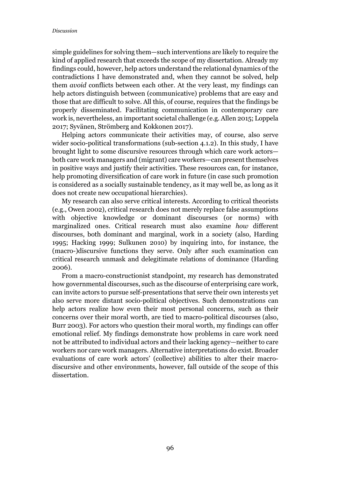simple guidelines for solving them—such interventions are likely to require the kind of applied research that exceeds the scope of my dissertation. Already my findings could, however, help actors understand the relational dynamics of the contradictions I have demonstrated and, when they cannot be solved, help them *avoid* conflicts between each other. At the very least, my findings can help actors distinguish between (communicative) problems that are easy and those that are difficult to solve. All this, of course, requires that the findings be properly disseminated. Facilitating communication in contemporary care work is, nevertheless, an important societal challenge (e.g. Allen 2015; Loppela 2017; Syvänen, Strömberg and Kokkonen 2017).

Helping actors communicate their activities may, of course, also serve wider socio-political transformations (sub-section 4.1.2). In this study, I have brought light to some discursive resources through which care work actors both care work managers and (migrant) care workers—can present themselves in positive ways and justify their activities. These resources can, for instance, help promoting diversification of care work in future (in case such promotion is considered as a socially sustainable tendency, as it may well be, as long as it does not create new occupational hierarchies).

My research can also serve critical interests. According to critical theorists (e.g., Owen 2002), critical research does not merely replace false assumptions with objective knowledge or dominant discourses (or norms) with marginalized ones. Critical research must also examine *how* different discourses, both dominant and marginal, work in a society (also, Harding 1995; Hacking 1999; Sulkunen 2010) by inquiring into, for instance, the (macro-)discursive functions they serve. Only after such examination can critical research unmask and delegitimate relations of dominance (Harding 2006).

From a macro-constructionist standpoint, my research has demonstrated how governmental discourses, such as the discourse of enterprising care work, can invite actors to pursue self-presentations that serve their own interests yet also serve more distant socio-political objectives. Such demonstrations can help actors realize how even their most personal concerns, such as their concerns over their moral worth, are tied to macro-political discourses (also, Burr 2003). For actors who question their moral worth, my findings can offer emotional relief. My findings demonstrate how problems in care work need not be attributed to individual actors and their lacking agency—neither to care workers nor care work managers. Alternative interpretations do exist. Broader evaluations of care work actors' (collective) abilities to alter their macrodiscursive and other environments, however, fall outside of the scope of this dissertation.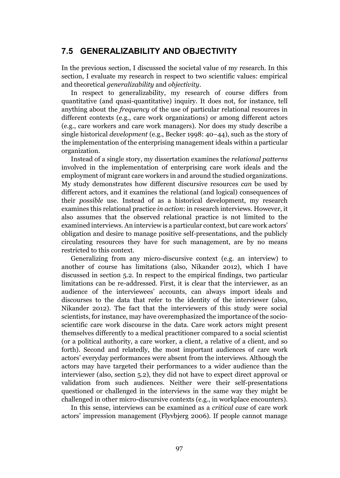## 7.5 GENERALIZABILITY AND OBJECTIVITY

In the previous section, I discussed the societal value of my research. In this section, I evaluate my research in respect to two scientific values: empirical and theoretical *generalizability* and *objectivity*.

In respect to generalizability, my research of course differs from quantitative (and quasi-quantitative) inquiry. It does not, for instance, tell anything about the *frequency* of the use of particular relational resources in different contexts (e.g., care work organizations) or among different actors (e.g., care workers and care work managers). Nor does my study describe a single historical *development* (e.g., Becker 1998: 40–44), such as the story of the implementation of the enterprising management ideals within a particular organization.

Instead of a single story, my dissertation examines the *relational patterns* involved in the implementation of enterprising care work ideals and the employment of migrant care workers in and around the studied organizations. My study demonstrates how different discursive resources *can* be used by different actors, and it examines the relational (and logical) consequences of their *possible* use. Instead of as a historical development, my research examines this relational practice *in action*: in research interviews. However, it also assumes that the observed relational practice is not limited to the examined interviews. An interview is a particular context, but care work actors' obligation and desire to manage positive self-presentations, and the publicly circulating resources they have for such management, are by no means restricted to this context.

Generalizing from any micro-discursive context (e.g. an interview) to another of course has limitations (also, Nikander 2012), which I have discussed in section 5.2. In respect to the empirical findings, two particular limitations can be re-addressed. First, it is clear that the interviewer, as an audience of the interviewees' accounts, can always import ideals and discourses to the data that refer to the identity of the interviewer (also, Nikander 2012). The fact that the interviewers of this study were social scientists, for instance, may have overemphasized the importance of the socioscientific care work discourse in the data. Care work actors might present themselves differently to a medical practitioner compared to a social scientist (or a political authority, a care worker, a client, a relative of a client, and so forth). Second and relatedly, the most important audiences of care work actors' everyday performances were absent from the interviews. Although the actors may have targeted their performances to a wider audience than the interviewer (also, section 5.2), they did not have to expect direct approval or validation from such audiences. Neither were their self-presentations questioned or challenged in the interviews in the same way they might be challenged in other micro-discursive contexts (e.g., in workplace encounters).

In this sense, interviews can be examined as a *critical case* of care work actors' impression management (Flyvbjerg 2006). If people cannot manage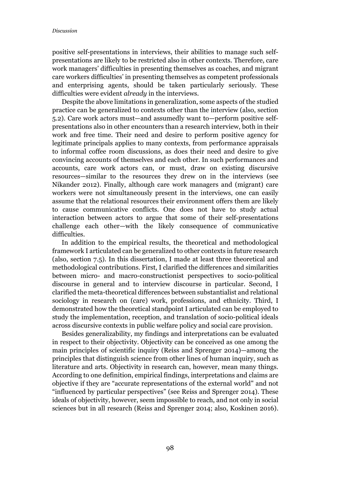positive self-presentations in interviews, their abilities to manage such selfpresentations are likely to be restricted also in other contexts. Therefore, care work managers' difficulties in presenting themselves as coaches, and migrant care workers difficulties' in presenting themselves as competent professionals and enterprising agents, should be taken particularly seriously. These difficulties were evident *already* in the interviews.

Despite the above limitations in generalization, some aspects of the studied practice can be generalized to contexts other than the interview (also, section 5.2). Care work actors must—and assumedly want to—perform positive selfpresentations also in other encounters than a research interview, both in their work and free time. Their need and desire to perform positive agency for legitimate principals applies to many contexts, from performance appraisals to informal coffee room discussions, as does their need and desire to give convincing accounts of themselves and each other. In such performances and accounts, care work actors can, or must, draw on existing discursive resources—similar to the resources they drew on in the interviews (see Nikander 2012). Finally, although care work managers and (migrant) care workers were not simultaneously present in the interviews, one can easily assume that the relational resources their environment offers them are likely to cause communicative conflicts. One does not have to study actual interaction between actors to argue that some of their self-presentations challenge each other—with the likely consequence of communicative difficulties.

In addition to the empirical results, the theoretical and methodological framework I articulated can be generalized to other contexts in future research (also, section 7.5). In this dissertation, I made at least three theoretical and methodological contributions. First, I clarified the differences and similarities between micro- and macro-constructionist perspectives to socio-political discourse in general and to interview discourse in particular. Second, I clarified the meta-theoretical differences between substantialist and relational sociology in research on (care) work, professions, and ethnicity. Third, I demonstrated how the theoretical standpoint I articulated can be employed to study the implementation, reception, and translation of socio-political ideals across discursive contexts in public welfare policy and social care provision.

Besides generalizability, my findings and interpretations can be evaluated in respect to their objectivity. Objectivity can be conceived as one among the main principles of scientific inquiry (Reiss and Sprenger 2014)—among the principles that distinguish science from other lines of human inquiry, such as literature and arts. Objectivity in research can, however, mean many things. According to one definition, empirical findings, interpretations and claims are objective if they are "accurate representations of the external world" and not "influenced by particular perspectives" (see Reiss and Sprenger 2014). These ideals of objectivity, however, seem impossible to reach, and not only in social sciences but in all research (Reiss and Sprenger 2014; also, Koskinen 2016).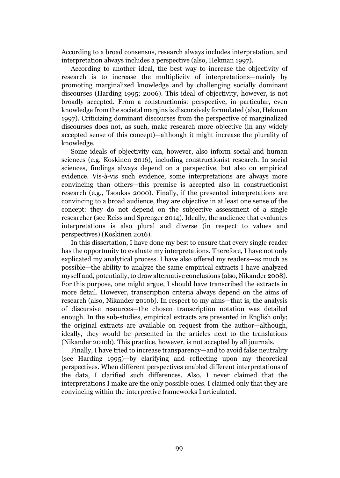According to a broad consensus, research always includes interpretation, and interpretation always includes a perspective (also, Hekman 1997).

According to another ideal, the best way to increase the objectivity of research is to increase the multiplicity of interpretations—mainly by promoting marginalized knowledge and by challenging socially dominant discourses (Harding 1995; 2006). This ideal of objectivity, however, is not broadly accepted. From a constructionist perspective, in particular, even knowledge from the societal margins is discursively formulated (also, Hekman 1997). Criticizing dominant discourses from the perspective of marginalized discourses does not, as such, make research more objective (in any widely accepted sense of this concept)—although it might increase the plurality of knowledge.

Some ideals of objectivity can, however, also inform social and human sciences (e.g. Koskinen 2016), including constructionist research. In social sciences, findings always depend on a perspective, but also on empirical evidence. Vis-à-vis such evidence, some interpretations are always more convincing than others—this premise is accepted also in constructionist research (e.g., Tsoukas 2000). Finally, if the presented interpretations are convincing to a broad audience, they are objective in at least one sense of the concept: they do not depend on the subjective assessment of a single researcher (see Reiss and Sprenger 2014). Ideally, the audience that evaluates interpretations is also plural and diverse (in respect to values and perspectives) (Koskinen 2016).

In this dissertation, I have done my best to ensure that every single reader has the opportunity to evaluate my interpretations. Therefore, I have not only explicated my analytical process. I have also offered my readers—as much as possible—the ability to analyze the same empirical extracts I have analyzed myself and, potentially, to draw alternative conclusions (also, Nikander 2008). For this purpose, one might argue, I should have transcribed the extracts in more detail. However, transcription criteria always depend on the aims of research (also, Nikander 2010b). In respect to my aims—that is, the analysis of discursive resources—the chosen transcription notation was detailed enough. In the sub-studies, empirical extracts are presented in English only; the original extracts are available on request from the author—although, ideally, they would be presented in the articles next to the translations (Nikander 2010b). This practice, however, is not accepted by all journals.

Finally, I have tried to increase transparency—and to avoid false neutrality (see Harding 1995)—by clarifying and reflecting upon my theoretical perspectives. When different perspectives enabled different interpretations of the data, I clarified such differences. Also, I never claimed that the interpretations I make are the only possible ones. I claimed only that they are convincing within the interpretive frameworks I articulated.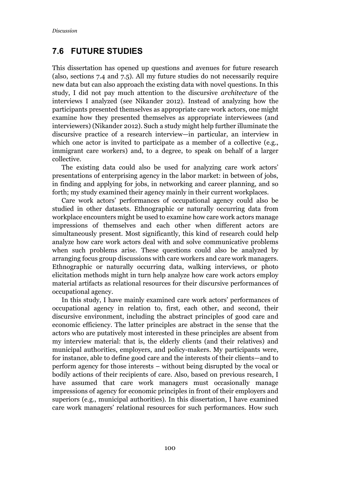## 7.6 FUTURE STUDIES

This dissertation has opened up questions and avenues for future research (also, sections 7.4 and 7.5). All my future studies do not necessarily require new data but can also approach the existing data with novel questions. In this study, I did not pay much attention to the discursive *architecture* of the interviews I analyzed (see Nikander 2012). Instead of analyzing how the participants presented themselves as appropriate care work actors, one might examine how they presented themselves as appropriate interviewees (and interviewers) (Nikander 2012). Such a study might help further illuminate the discursive practice of a research interview—in particular, an interview in which one actor is invited to participate as a member of a collective (e.g., immigrant care workers) and, to a degree, to speak on behalf of a larger collective.

The existing data could also be used for analyzing care work actors' presentations of enterprising agency in the labor market: in between of jobs, in finding and applying for jobs, in networking and career planning, and so forth; my study examined their agency mainly in their current workplaces.

Care work actors' performances of occupational agency could also be studied in other datasets. Ethnographic or naturally occurring data from workplace encounters might be used to examine how care work actors manage impressions of themselves and each other when different actors are simultaneously present. Most significantly, this kind of research could help analyze how care work actors deal with and solve communicative problems when such problems arise. These questions could also be analyzed by arranging focus group discussions with care workers and care work managers. Ethnographic or naturally occurring data, walking interviews, or photo elicitation methods might in turn help analyze how care work actors employ material artifacts as relational resources for their discursive performances of occupational agency.

In this study, I have mainly examined care work actors' performances of occupational agency in relation to, first, each other, and second, their discursive environment, including the abstract principles of good care and economic efficiency. The latter principles are abstract in the sense that the actors who are putatively most interested in these principles are absent from my interview material: that is, the elderly clients (and their relatives) and municipal authorities, employers, and policy-makers. My participants were, for instance, able to define good care and the interests of their clients—and to perform agency for those interests – without being disrupted by the vocal or bodily actions of their recipients of care. Also, based on previous research, I have assumed that care work managers must occasionally manage impressions of agency for economic principles in front of their employers and superiors (e.g., municipal authorities). In this dissertation, I have examined care work managers' relational resources for such performances. How such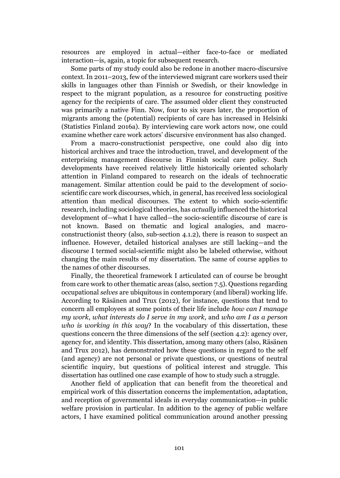resources are employed in actual—either face-to-face or mediated interaction—is, again, a topic for subsequent research.

Some parts of my study could also be redone in another macro-discursive context. In 2011–2013, few of the interviewed migrant care workers used their skills in languages other than Finnish or Swedish, or their knowledge in respect to the migrant population, as a resource for constructing positive agency for the recipients of care. The assumed older client they constructed was primarily a native Finn. Now, four to six years later, the proportion of migrants among the (potential) recipients of care has increased in Helsinki (Statistics Finland 2016a). By interviewing care work actors now, one could examine whether care work actors' discursive environment has also changed.

From a macro-constructionist perspective, one could also dig into historical archives and trace the introduction, travel, and development of the enterprising management discourse in Finnish social care policy. Such developments have received relatively little historically oriented scholarly attention in Finland compared to research on the ideals of technocratic management. Similar attention could be paid to the development of socioscientific care work discourses, which, in general, has received less sociological attention than medical discourses. The extent to which socio-scientific research, including sociological theories, has *actually* influenced the historical development of—what I have called—the socio-scientific discourse of care is not known. Based on thematic and logical analogies, and macroconstructionist theory (also, sub-section 4.1.2), there is reason to suspect an influence. However, detailed historical analyses are still lacking—and the discourse I termed social-scientific might also be labeled otherwise, without changing the main results of my dissertation. The same of course applies to the names of other discourses.

Finally, the theoretical framework I articulated can of course be brought from care work to other thematic areas (also, section 7.5). Questions regarding occupational *selves* are ubiquitous in contemporary (and liberal) working life. According to Räsänen and Trux (2012), for instance, questions that tend to concern all employees at some points of their life include *how can I manage my work*, *what interests do I serve in my work*, and *who am I as a person who is working in this way*? In the vocabulary of this dissertation, these questions concern the three dimensions of the self (section 4.2): agency over, agency for, and identity. This dissertation, among many others (also, Räsänen and Trux 2012), has demonstrated how these questions in regard to the self (and agency) are not personal or private questions, or questions of neutral scientific inquiry, but questions of political interest and struggle. This dissertation has outlined one case example of how to study such a struggle.

Another field of application that can benefit from the theoretical and empirical work of this dissertation concerns the implementation, adaptation, and reception of governmental ideals in everyday communication—in public welfare provision in particular. In addition to the agency of public welfare actors, I have examined political communication around another pressing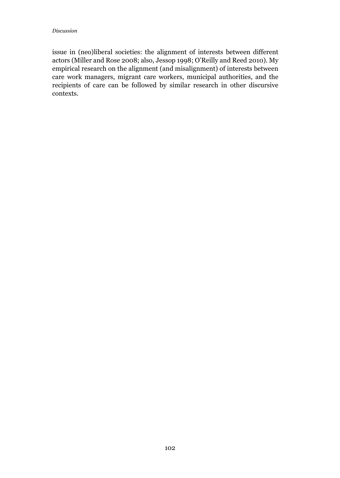issue in (neo)liberal societies: the alignment of interests between different actors (Miller and Rose 2008; also, Jessop 1998; O'Reilly and Reed 2010). My empirical research on the alignment (and misalignment) of interests between care work managers, migrant care workers, municipal authorities, and the recipients of care can be followed by similar research in other discursive contexts.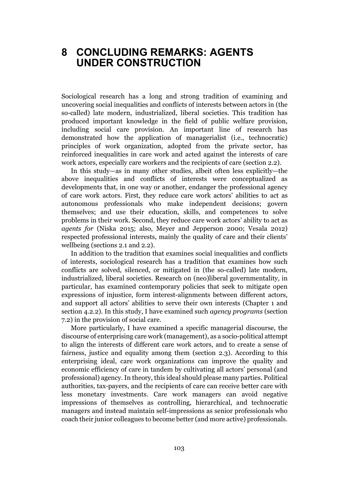## 8 CONCLUDING REMARKS: AGENTS UNDER CONSTRUCTION

Sociological research has a long and strong tradition of examining and uncovering social inequalities and conflicts of interests between actors in (the so-called) late modern, industrialized, liberal societies. This tradition has produced important knowledge in the field of public welfare provision, including social care provision. An important line of research has demonstrated how the application of managerialist (i.e., technocratic) principles of work organization, adopted from the private sector, has reinforced inequalities in care work and acted against the interests of care work actors, especially care workers and the recipients of care (section 2.2).

In this study—as in many other studies, albeit often less explicitly—the above inequalities and conflicts of interests were conceptualized as developments that, in one way or another, endanger the professional agency of care work actors. First, they reduce care work actors' abilities to act as autonomous professionals who make independent decisions; govern themselves; and use their education, skills, and competences to solve problems in their work. Second, they reduce care work actors' ability to act as *agents for* (Niska 2015; also, Meyer and Jepperson 2000; Vesala 2012) respected professional interests, mainly the quality of care and their clients' wellbeing (sections 2.1 and 2.2).

In addition to the tradition that examines social inequalities and conflicts of interests, sociological research has a tradition that examines how such conflicts are solved, silenced, or mitigated in (the so-called) late modern, industrialized, liberal societies. Research on (neo)liberal governmentality, in particular, has examined contemporary policies that seek to mitigate open expressions of injustice, form interest-alignments between different actors, and support all actors' abilities to serve their own interests (Chapter 1 and section 4.2.2). In this study, I have examined such *agency programs* (section 7.2) in the provision of social care.

More particularly, I have examined a specific managerial discourse, the discourse of enterprising care work (management), as a socio-political attempt to align the interests of different care work actors, and to create a sense of fairness, justice and equality among them (section 2.3). According to this enterprising ideal, care work organizations can improve the quality and economic efficiency of care in tandem by cultivating all actors' personal (and professional) agency. In theory, this ideal should please many parties. Political authorities, tax-payers, and the recipients of care can receive better care with less monetary investments. Care work managers can avoid negative impressions of themselves as controlling, hierarchical, and technocratic managers and instead maintain self-impressions as senior professionals who coach their junior colleagues to become better (and more active) professionals.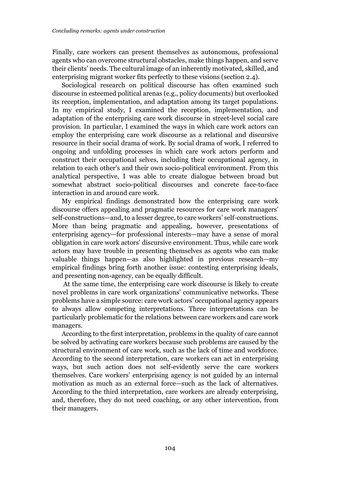Finally, care workers can present themselves as autonomous, professional agents who can overcome structural obstacles, make things happen, and serve their clients' needs. The cultural image of an inherently motivated, skilled, and enterprising migrant worker fits perfectly to these visions (section 2.4).

Sociological research on political discourse has often examined such discourse in esteemed political arenas (e.g., policy documents) but overlooked its reception, implementation, and adaptation among its target populations. In my empirical study, I examined the reception, implementation, and adaptation of the enterprising care work discourse in street-level social care provision. In particular, I examined the ways in which care work actors can employ the enterprising care work discourse as a relational and discursive resource in their social drama of work. By social drama of work, I referred to ongoing and unfolding processes in which care work actors perform and construct their occupational selves, including their occupational agency, in relation to each other's and their own socio-political environment. From this analytical perspective, I was able to create dialogue between broad but somewhat abstract socio-political discourses and concrete face-to-face interaction in and around care work.

My empirical findings demonstrated how the enterprising care work discourse offers appealing and pragmatic resources for care work managers' self-constructions—and, to a lesser degree, to care workers' self-constructions. More than being pragmatic and appealing, however, presentations of enterprising agency—for professional interests—may have a sense of moral obligation in care work actors' discursive environment. Thus, while care work actors may have trouble in presenting themselves as agents who can make valuable things happen—as also highlighted in previous research—my empirical findings bring forth another issue: contesting enterprising ideals, and presenting non-agency, can be equally difficult.

 At the same time, the enterprising care work discourse is likely to create novel problems in care work organizations' communicative networks. These problems have a simple source: care work actors' occupational agency appears to always allow competing interpretations. Three interpretations can be particularly problematic for the relations between care workers and care work managers.

According to the first interpretation, problems in the quality of care cannot be solved by activating care workers because such problems are caused by the structural environment of care work, such as the lack of time and workforce. According to the second interpretation, care workers can act in enterprising ways, but such action does not self-evidently serve the care workers themselves. Care workers' enterprising agency is not guided by an internal motivation as much as an external force—such as the lack of alternatives. According to the third interpretation, care workers are already enterprising, and, therefore, they do not need coaching, or any other intervention, from their managers.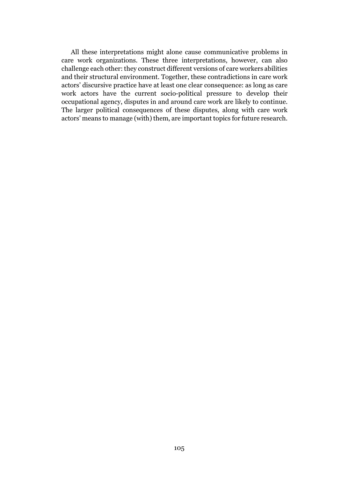All these interpretations might alone cause communicative problems in care work organizations. These three interpretations, however, can also challenge each other: they construct different versions of care workers abilities and their structural environment. Together, these contradictions in care work actors' discursive practice have at least one clear consequence: as long as care work actors have the current socio-political pressure to develop their occupational agency, disputes in and around care work are likely to continue. The larger political consequences of these disputes, along with care work actors' means to manage (with) them, are important topics for future research.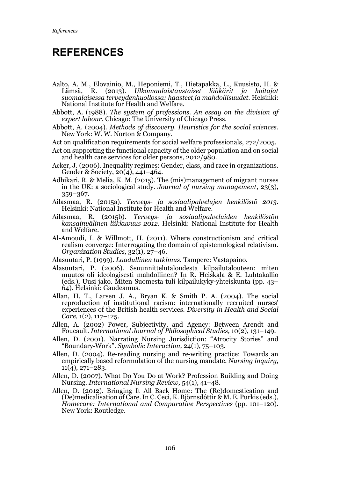# REFERENCES

- Aalto, A. M., Elovainio, M., Heponiemi, T., Hietapakka, L., Kuusisto, H. & Lämsä, R. (2013). *Ulkomaalaistaustaiset lääkärit ja hoitajat suomalaisessa terveydenhuollossa: haasteet ja mahdollisuudet.* Helsinki: National Institute for Health and Welfare.
- Abbott, A. (1988). *The system of professions. An essay on the division of expert labour.* Chicago: The University of Chicago Press.
- Abbott, A. (2004). *Methods of discovery. Heuristics for the social sciences.*  New York: W. W. Norton & Company.
- Act on qualification requirements for social welfare professionals, 272/2005.
- Act on supporting the functional capacity of the older population and on social and health care services for older persons, 2012/980.
- Acker, J. (2006). Inequality regimes: Gender, class, and race in organizations. Gender & Society, 20(4), 441–464.
- Adhikari, R. & Melia, K. M. (2015). The (mis)management of migrant nurses in the UK: a sociological study. *Journal of nursing management*, 23(3), 359–367.
- Ailasmaa, R. (2015a). *Terveys- ja sosiaalipalvelujen henkilöstö 2013*. Helsinki: National Institute for Health and Welfare.
- Ailasmaa, R. (2015b). *Terveys- ja sosiaalipalveluiden henkilöstön kansainvälinen liikkuvuus 2012*. Helsinki: National Institute for Health and Welfare.
- Al-Amoudi, I. & Willmott, H. (2011). Where constructionism and critical realism converge: Interrogating the domain of epistemological relativism. *Organization Studies,* 32(1), 27–46.
- Alasuutari, P. (1999). *Laadullinen tutkimus.* Tampere: Vastapaino.
- Alasuutari, P. (2006). Ssuunnittelutaloudesta kilpailutalouteen: miten muutos oli ideologisesti mahdollinen? In R. Heiskala & E. Luhtakallio (eds.), Uusi jako. Miten Suomesta tuli kilpailukyky-yhteiskunta (pp. 43– 64). Helsinki: Gaudeamus.
- Allan, H. T., Larsen J. A., Bryan K. & Smith P. A. (2004). The social reproduction of institutional racism: internationally recruited nurses' experiences of the British health services. *Diversity in Health and Social Care,* 1(2), 117–125.
- Allen, A. (2002) Power, Subjectivity, and Agency: Between Arendt and Foucault. *International Journal of Philosophical Studies,* 10(2), 131–149.
- Allen, D. (2001). Narrating Nursing Jurisdiction: "Atrocity Stories" and "Boundary‐Work". *Symbolic Interaction,* 24(1), 75–103.
- Allen, D. (2004). Re-reading nursing and re-writing practice: Towards an empirically based reformulation of the nursing mandate. *Nursing inquiry,*  $11(4)$ ,  $271-283$ .
- Allen, D. (2007). What Do You Do at Work? Profession Building and Doing Nursing. *International Nursing Review,* 54(1), 41–48.
- Allen, D. (2012). Bringing It All Back Home: The (Re)domestication and (De)medicalisation of Care. In C. Ceci, K. Björnsdóttir & M. E. Purkis (eds.), *Homecare: International and Comparative Perspectives* (pp. 101–120). New York: Routledge.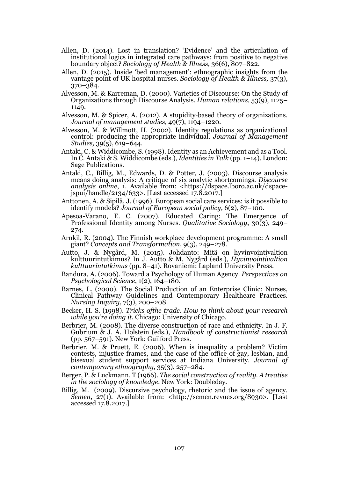- Allen, D. (2014). Lost in translation? 'Evidence' and the articulation of institutional logics in integrated care pathways: from positive to negative boundary object? *Sociology of Health & Illness,* 36(6), 807–822.
- Allen, D. (2015). Inside 'bed management': ethnographic insights from the vantage point of UK hospital nurses. *Sociology of Health & Illness,* 37(3), 370–384.
- Alvesson, M. & Karreman, D. (2000). Varieties of Discourse: On the Study of Organizations through Discourse Analysis. *Human relations,* 53(9), 1125– 1149.
- Alvesson, M. & Spicer, A. (2012). A stupidity‐based theory of organizations. *Journal of management studies,* 49(7), 1194–1220.
- Alvesson, M. & Willmott, H. (2002). Identity regulations as organizational control: producing the appropriate individual. *Journal of Management Studies,* 39(5), 619–644.
- Antaki, C. & Widdicombe, S. (1998). Identity as an Achievement and as a Tool. In C. Antaki & S. Widdicombe (eds.), *Identities in Talk* (pp. 1–14). London: Sage Publications.
- Antaki, C., Billig, M., Edwards, D. & Potter, J. (2003). Discourse analysis means doing analysis: A critique of six analytic shortcomings. *Discourse analysis online*, 1. Available from: <https://dspace.lboro.ac.uk/dspacejspui/handle/2134/633>. [Last accessed 17.8.2017.]
- Anttonen, A. & Sipilä, J. (1996). European social care services: is it possible to identify models? *Journal of European social policy,* 6(2), 87–100.
- Apesoa-Varano, E. C. (2007). Educated Caring: The Emergence of Professional Identity among Nurses. *Qualitative Sociology*, 30(3), 249– 274.
- Arnkil, R. (2004). The Finnish workplace development programme: A small giant? *Concepts and Transformation,* 9(3), 249–278.
- Autto, J. & Nygård, M. (2015). Johdanto: Mitä on hyvinvointivaltion kulttuurintutkimus? In J. Autto & M. Nygård (eds.), *Hyvinvointivaltion kulttuurintutkimus* (pp. 8–41). Rovaniemi: Lapland University Press.
- Bandura, A. (2006). Toward a Psychology of Human Agency. *Perspectives on Psychological Science*, 1(2), 164–180.
- Barnes, L. (2000). The Social Production of an Enterprise Clinic: Nurses, Clinical Pathway Guidelines and Contemporary Healthcare Practices. *Nursing Inquiry*, 7(3), 200–208.
- Becker, H. S. (1998). *Tricks ofthe trade. How to think about your research while you're doing it.* Chicago: University of Chicago.
- Berbrier, M. (2008). The diverse construction of race and ethnicity. In J. F. Gubrium & J. A. Holstein (eds.), *Handbook of constructionist research* (pp. 567–591). New York: Guilford Press.
- Berbrier, M. & Pruett, E. (2006). When is inequality a problem? Victim contests, injustice frames, and the case of the office of gay, lesbian, and bisexual student support services at Indiana University. *Journal of contemporary ethnography,* 35(3), 257–284.
- Berger, P. & Luckmann. T (1966). *The social construction of reality. A treatise in the sociology of knowledge*. New York: Doubleday.
- Billig, M. (2009). Discursive psychology, rhetoric and the issue of agency. *Semen, 27(1).* Available from: <http://semen.revues.org/8930>. [Last] accessed 17.8.2017.]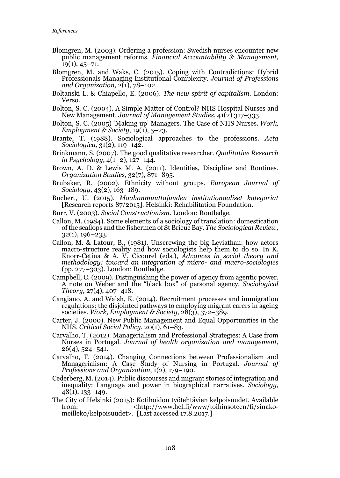- Blomgren, M. (2003). Ordering a profession: Swedish nurses encounter new public management reforms. *Financial Accountability & Management,*  $19(1), 45-71.$
- Blomgren, M. and Waks, C. (2015). Coping with Contradictions: Hybrid Professionals Managing Institutional Complexity. *Journal of Professions and Organization,* 2(1), 78–102.
- Boltanski L. & Chiapello, E. (2006). *The new spirit of capitalism.* London: Verso.
- Bolton, S. C. (2004). A Simple Matter of Control? NHS Hospital Nurses and New Management. *Journal of Management Studies*, 41(2) 317–333.
- Bolton, S. C. (2005) 'Making up' Managers. The Case of NHS Nurses. *Work, Employment & Society*, 19(1), 5–23.
- Brante, T. (1988). Sociological approaches to the professions. *Acta Sociologica,* 31(2), 119–142.
- Brinkmann, S. (2007). The good qualitative researcher. *Qualitative Research in Psychology,* 4(1–2), 127–144.
- Brown, A. D. & Lewis M. A. (2011). Identities, Discipline and Routines. *Organization Studies,* 32(7), 871–895.
- Brubaker, R. (2002). Ethnicity without groups. *European Journal of Sociology,* 43(2), 163–189.
- Buchert, U. (2015). *Maahanmuuttajuuden institutionaaliset kategoriat*  [Research reports 87/2015]*.* Helsinki: Rehabilitation Foundation.
- Burr, V. (2003). *Social Constructionism.* London: Routledge.
- Callon, M. (1984). Some elements of a sociology of translation: domestication of the scallops and the fishermen of St Brieuc Bay. *The Sociological Review,* 32(1), 196–233.
- Callon, M. & Latour, B., (1981). Unscrewing the big Leviathan: how actors macro-structure reality and how sociologists help them to do so. In K. Knorr-Cetina & A. V. Cicourel (eds.), *Advances in social theory and methodology: toward an integration of micro- and macro-sociologies*  $(pp. 277-303)$ . London: Routledge.
- Campbell, C. (2009). Distinguishing the power of agency from agentic power. A note on Weber and the "black box" of personal agency. *Sociological Theory,* 27(4), 407–418.
- Cangiano, A. and Walsh, K. (2014). Recruitment processes and immigration regulations: the disjointed pathways to employing migrant carers in ageing societies. *Work, Employment & Society,* 28(3), 372–389.
- Carter, J. (2000). New Public Management and Equal Opportunities in the NHS. *Critical Social Policy*, 20(1), 61–83.
- Carvalho, T. (2012). Managerialism and Professional Strategies: A Case from Nurses in Portugal. *Journal of health organization and management*, 26(4), 524–541.
- Carvalho, T. (2014). Changing Connections between Professionalism and Managerialism: A Case Study of Nursing in Portugal. *Journal of Professions and Organization*, 1(2), 179–190.
- Cederberg, M. (2014). Public discourses and migrant stories of integration and inequality: Language and power in biographical narratives. *Sociology,* 48(1), 133–149.
- The City of Helsinki (2015): Kotihoidon työtehtävien kelpoisuudet. Available from: <http://www.hel.fi/www/toihinsoteen/fi/sinakomeilleko/kelpoisuudet>. [Last accessed 17.8.2017.]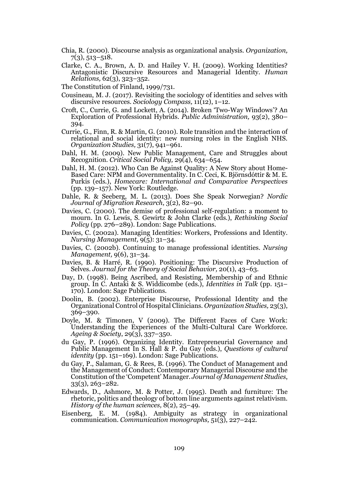- Chia, R. (2000). Discourse analysis as organizational analysis. *Organization,*  $7(3), 513 - 518.$
- Clarke, C. A., Brown, A. D. and Hailey V. H. (2009). Working Identities? Antagonistic Discursive Resources and Managerial Identity. *Human Relations,* 62(3), 323–352.
- The Constitution of Finland, 1999/731.
- Cousineau, M. J. (2017). Revisiting the sociology of identities and selves with discursive resources. *Sociology Compass,* 11(12), 1–12.
- Croft, C., Currie, G. and Lockett, A. (2014). Broken 'Two-Way Windows'? An Exploration of Professional Hybrids. *Public Administration,* 93(2), 380– 394.
- Currie, G., Finn, R. & Martin, G. (2010). Role transition and the interaction of relational and social identity: new nursing roles in the English NHS. *Organization Studies,* 31(7), 941–961.
- Dahl, H. M. (2009). New Public Management, Care and Struggles about Recognition. *Critical Social Policy,* 29(4), 634–654.
- Dahl, H. M. (2012). Who Can Be Against Quality: A New Story about Home-Based Care: NPM and Governmentality. In C. Ceci, K. Björnsdóttir & M. E. Purkis (eds.), *Homecare: International and Comparative Perspectives* (pp. 139–157). New York: Routledge.
- Dahle, R. & Seeberg, M. L. (2013). Does She Speak Norwegian? *Nordic Journal of Migration Research*, 3(2), 82–90.
- Davies, C. (2000). The demise of professional self-regulation: a moment to mourn. In G. Lewis, S. Gewirtz & John Clarke (eds.), *Rethinking Social Policy* (pp. 276–289). London: Sage Publications.
- Davies, C. (2002a). Managing Identities: Workers, Professions and Identity. *Nursing Management,* 9(5): 31–34.
- Davies, C. (2002b). Continuing to manage professional identities. *Nursing Management,* 9(6), 31–34.
- Davies, B. & Harré, R. (1990). Positioning: The Discursive Production of Selves. *Journal for the Theory of Social Behavior,* 20(1), 43–63.
- Day, D. (1998). Being Ascribed, and Resisting, Membership of and Ethnic group. In C. Antaki & S. Widdicombe (eds.), *Identities in Talk* (pp. 151– 170). London: Sage Publications.
- Doolin, B. (2002). Enterprise Discourse, Professional Identity and the Organizational Control of Hospital Clinicians. *Organization Studies,* 23(3), 369–390.
- Doyle, M. & Timonen, V (2009). The Different Faces of Care Work: Understanding the Experiences of the Multi-Cultural Care Workforce. *Ageing & Society*, 29(3), 337–350.
- du Gay, P. (1996). Organizing Identity. Entrepreneurial Governance and Public Management In S. Hall & P. du Gay (eds.), *Questions of cultural identity* (pp. 151–169). London: Sage Publications.
- du Gay, P., Salaman, G. & Rees, B. (1996). The Conduct of Management and the Management of Conduct: Contemporary Managerial Discourse and the Constitution of the 'Competent' Manager. *Journal of Management Studies*, 33(3), 263–282.
- Edwards, D., Ashmore, M. & Potter, J. (1995). Death and furniture: The rhetoric, politics and theology of bottom line arguments against relativism. *History of the human sciences,* 8(2), 25–49.
- Eisenberg, E. M. (1984). Ambiguity as strategy in organizational communication. *Communication monographs,* 51(3), 227–242.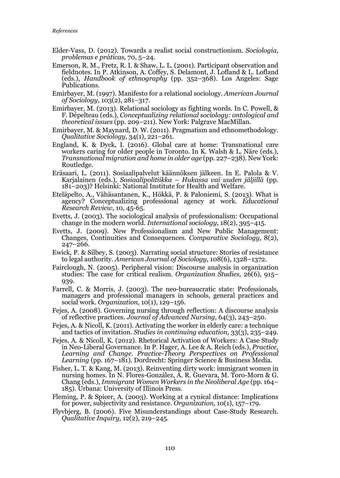- Elder-Vass, D. (2012). Towards a realist social constructionism. *Sociologia, problemas e práticas,* 70, 5–24.
- Emerson, R. M., Fretz, R. I. & Shaw, L. L. (2001). Participant observation and fieldnotes. In P. Atkinson, A. Coffey, S. Delamont, J. Lofland & L. Lofland (eds.), *Handbook of ethnography* (pp. 352–368). Los Angeles: Sage Publications.
- Emirbayer, M. (1997). Manifesto for a relational sociology. *American Journal of Sociology*, 103(2), 281–317.
- Emirbayer, M. (2013). Relational sociology as fighting words. In C. Powell, & F. Dépelteau (eds.), *Conceptualizing relational sociology: ontological and theoretical issues* (pp. 209–211). New York: Palgrave MacMillan.
- Emirbayer, M. & Maynard, D. W. (2011). Pragmatism and ethnomethodology. *Qualitative Sociology,* 34(1), 221–261.
- England, K. & Dyck, I. (2016). Global care at home: Transnational care workers caring for older people in Toronto. In K. Walsh & L. Näre (eds.), *Transnational migration and home in older age* (pp. 227–238). New York: Routledge.
- Eräsaari, L. (2011). Sosiaalipalvelut käännöksen jälkeen. In E. Palola & V. Karjalainen (eds.), *Sosiaalipolitiikka – Hukassa vai uuden jäljillä* (pp. 181–203)? Helsinki: National Institute for Health and Welfare.
- Eteläpelto, A., Vähäsantanen, K., Hökkä, P. & Paloniemi, S. (2013). What is agency? Conceptualizing professional agency at work. *Educational Research Review*, 10, 45-65.
- Evetts, J. (2003). The sociological analysis of professionalism: Occupational change in the modern world. *International sociology*, 18(2), 395–415.
- Evetts, J. (2009). New Professionalism and New Public Management: Changes, Continuities and Consequences. *Comparative Sociology,* 8(2), 247–266.
- Ewick, P. & Silbey, S. (2003). Narrating social structure: Stories of resistance to legal authority. *American Journal of Sociology,* 108(6), 1328–1372.
- Fairclough, N. (2005). Peripheral vision: Discourse analysis in organization studies: The case for critical realism. *Organization Studies,* 26(6), 915– 939.
- Farrell, C. & Morris, J. (2003). The neo-bureaucratic state: Professionals, managers and professional managers in schools, general practices and social work. *Organization,* 10(1), 129–156.
- Fejes, A. (2008). Governing nursing through reflection: A discourse analysis of reflective practices. *Journal of Advanced Nursing,* 64(3), 243–250.
- Fejes, A. & Nicoll, K. (2011). Activating the worker in elderly care: a technique and tactics of invitation. *Studies in continuing education,* 33(3), 235–249.
- Fejes, A. & Nicoll, K. (2012). Rhetorical Activation of Workers: A Case Study in Neo-Liberal Governance. In P. Hager, A. Lee & A. Reich (eds.), *Practice, Learning and Change. Practice-Theory Perspectives on Professional Learning* (pp. 167–181). Dordrecht: Springer Science & Business Media.
- Fisher, L. T. & Kang, M. (2013). Reinventing dirty work: immigrant women in nursing homes. In N. Flores-González, A. R. Guevara, M. Toro-Morn & G. Chang (eds.), *Immigrant Women Workers in the Neoliberal Age* (pp. 164– 185). Urbana: University of Illinois Press.
- Fleming, P. & Spicer, A. (2003). Working at a cynical distance: Implications for power, subjectivity and resistance. *Organization,* 10(1), 157–179.
- Flyvbjerg, B. (2006). Five Misunderstandings about Case-Study Research. *Qualitative Inquiry,* 12(2), 219–245.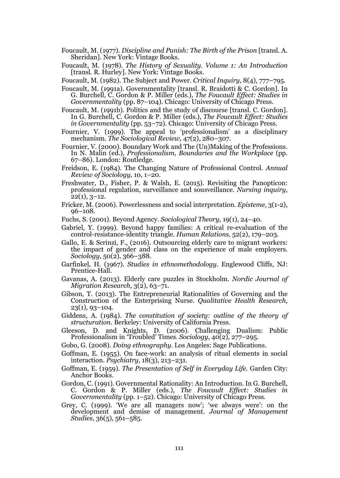- Foucault, M. (1977). *Discipline and Punish: The Birth of the Prison* [transl. A. Sheridan]*.* New York: Vintage Books.
- Foucault, M. (1978). *The History of Sexuality. Volume 1: An Introduction*  [transl. R. Hurley]*.* New York: Vintage Books.

Foucault, M. (1982). The Subject and Power. *Critical Inquiry,* 8(4), 777–795.

- Foucault, M. (1991a). Governmentality [transl. R. Braidotti & C. Gordon]. In G. Burchell, C. Gordon & P. Miller (eds.), *The Foucault Effect: Studies in Governmentality* (pp. 87–104). Chicago: University of Chicago Press.
- Foucault, M. (1991b). Politics and the study of discourse [transl. C. Gordon]. In G. Burchell, C. Gordon & P. Miller (eds.), *The Foucault Effect: Studies in Governmentality* (pp. 53–72). Chicago: University of Chicago Press.
- Fournier, V. (1999). The appeal to 'professionalism' as a disciplinary mechanism. *The Sociological Review,* 47(2), 280–307.
- Fournier, V. (2000). Boundary Work and The (Un)Making of the Professions. In N. Malin (ed.), *Professionalism, Boundaries and the Workplace* (pp. 67–86). London: Routledge.
- Freidson, E. (1984). The Changing Nature of Professional Control. *Annual Review of Sociology,* 10, 1–20.
- Freshwater, D., Fisher, P. & Walsh, E. (2015). Revisiting the Panopticon: professional regulation, surveillance and sousveillance. *Nursing inquiry,*  $22(1), 3-12.$
- Fricker, M. (2006). Powerlessness and social interpretation. *Episteme,* 3(1-2), 96–108.
- Fuchs, S. (2001). Beyond Agency. *Sociological Theory,* 19(1), 24–40.
- Gabriel, Y. (1999). Beyond happy families: A critical re-evaluation of the control-resistance-identity triangle. *Human Relations,* 52(2), 179–203.
- Gallo, E. & Scrinzi, F., (2016). Outsourcing elderly care to migrant workers: the impact of gender and class on the experience of male employers. *Sociology,* 50(2), 366–388.
- Garfinkel, H. (1967). *Studies in ethnomethodology*. Englewood Cliffs, NJ: Prentice-Hall.
- Gavanas, A. (2013). Elderly care puzzles in Stockholm. *Nordic Journal of Migration Research,* 3(2), 63–71.
- Gibson, T. (2013). The Entrepreneurial Rationalities of Governing and the Construction of the Enterprising Nurse. *Qualitative Health Research,* 23(1), 93–104.
- Giddens, A. (1984). *The constitution of society: outline of the theory of structuration*. Berkeley: University of California Press.
- Gleeson, D. and Knights, D. (2006). Challenging Dualism: Public Professionalism in 'Troubled' Times. *Sociology,* 40(2), 277–295.
- Gobo, G. (2008). *Doing ethnography.* Los Angeles: Sage Publications.
- Goffman, E. (1955). On face-work: an analysis of ritual elements in social interaction. *Psychiatry,* 18(3), 213–231.
- Goffman, E. (1959). *The Presentation of Self in Everyday Life.* Garden City: Anchor Books.
- Gordon, C. (1991). Governmental Rationality: An Introduction. In G. Burchell, C. Gordon & P. Miller (eds.), *The Foucault Effect: Studies in Governmentality* (pp. 1–52). Chicago: University of Chicago Press.
- Grey, C. (1999). 'We are all managers now'; 'we always were': on the development and demise of management. *Journal of Management Studies,* 36(5), 561–585.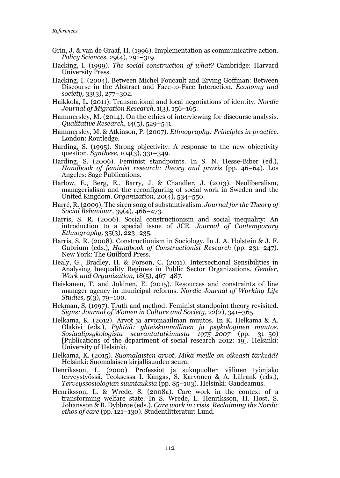- Grin, J. & van de Graaf, H. (1996). Implementation as communicative action. *Policy Sciences,* 29(4), 291–319.
- Hacking, I. (1999). *The social construction of what?* Cambridge: Harvard University Press.
- Hacking, I. (2004). Between Michel Foucault and Erving Goffman: Between Discourse in the Abstract and Face-to-Face Interaction. *Economy and society,* 33(3), 277–302.
- Haikkola, L. (2011). Transnational and local negotiations of identity. *Nordic Journal of Migration Research,* 1(3), 156–165.
- Hammersley, M. (2014). On the ethics of interviewing for discourse analysis. *Qualitative Research,* 14(5), 529–541.
- Hammersley, M. & Atkinson, P. (2007). *Ethnography: Principles in practice.* London: Routledge.
- Harding, S. (1995). Strong objectivity: A response to the new objectivity question. *Synthese,* 104(3), 331–349.
- Harding, S. (2006). Feminist standpoints. In S. N. Hesse-Biber (ed.), *Handbook of feminist research: theory and praxis* (pp. 46–64). Los Angeles: Sage Publications.
- Harlow, E., Berg, E., Barry, J. & Chandler, J. (2013). Neoliberalism, managerialism and the reconfiguring of social work in Sweden and the United Kingdom. *Organization,* 20(4), 534–550.
- Harré, R. (2009). The siren song of substantivalism. *Journal for the Theory of Social Behaviour,* 39(4), 466–473.
- Harris, S. R. (2006). Social constructionism and social inequality: An introduction to a special issue of JCE. *Journal of Contemporary Ethnography,* 35(3), 223–235.
- Harris, S. R. (2008). Constructionism in Sociology. In J. A. Holstein & J. F. Gubrium (eds.), *Handbook of Constructionist Research* (pp. 231–247). New York: The Guilford Press.
- Healy, G., Bradley, H. & Forson, C. (2011). Intersectional Sensibilities in Analysing Inequality Regimes in Public Sector Organizations. *Gender, Work and Organization,* 18(5), 467–487.
- Heiskanen, T. and Jokinen, E. (2015). Resources and constraints of line manager agency in municipal reforms. *Nordic Journal of Working Life Studies,* 5(3), 79–100.
- Hekman, S. (1997). Truth and method: Feminist standpoint theory revisited. *Signs: Journal of Women in Culture and Society,* 22(2), 341–365.
- Helkama, K. (2012). Arvot ja arvomaailman muutos. In K. Helkama & A. Olakivi (eds.), *Pyhtää: yhteiskunnallinen ja psykologinen muutos. Sosiaalipsykologista seurantatutkimusta 1975–2007* (pp. 31–50) [Publications of the department of social research 2012: 19]. Helsinki: University of Helsinki.
- Helkama, K. (2015). *Suomalaisten arvot. Mikä meille on oikeasti tärkeää*? Helsinki: Suomalaisen kirjallisuuden seura.
- Henriksson, L. (2000). Professiot ja sukupuolten välinen työnjako terveystyössä. Teoksessa I. Kangas, S. Karvonen & A. Lillrank (eds.), *Terveyssosiologian suuntauksia* (pp. 85–103). Helsinki: Gaudeamus.
- Henriksson, L. & Wrede, S. (2008a). Care work in the context of a transforming welfare state. In S. Wrede, L. Henriksson, H. Høst, S. Johansson & B. Dybbroe (eds.), *Care work in crisis. Reclaiming the Nordic ethos of care* (pp. 121–130). Studentlitteratur: Lund.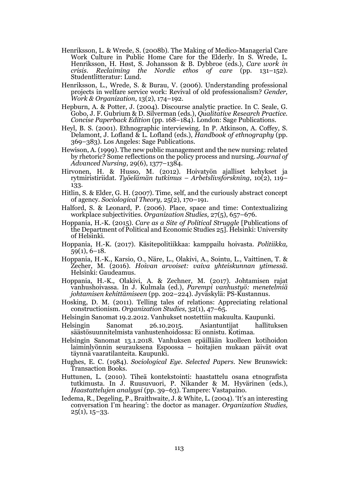- Henriksson, L. & Wrede, S. (2008b). The Making of Medico-Managerial Care Work Culture in Public Home Care for the Elderly. In S. Wrede, L. Henriksson, H. Høst, S. Johansson & B. Dybbroe (eds.), *Care work in crisis. Reclaiming the Nordic ethos of care* (pp. 131–152). Studentlitteratur: Lund.
- Henriksson, L., Wrede, S. & Burau, V. (2006). Understanding professional projects in welfare service work: Revival of old professionalism? *Gender, Work & Organization,* 13(2), 174–192.
- Hepburn, A. & Potter, J. (2004). Discourse analytic practice. In C. Seale, G. Gobo, J. F. Gubrium & D. Silverman (eds.), *Qualitative Research Practice. Concise Paperback Edition* (pp. 168–184). London: Sage Publications.
- Heyl, B. S. (2001). Ethnographic interviewing. In P. Atkinson, A. Coffey, S. Delamont, J. Lofland & L. Lofland (eds.), *Handbook of ethnography* (pp. 369–383). Los Angeles: Sage Publications.
- Hewison, A. (1999). The new public management and the new nursing: related by rhetoric? Some reflections on the policy process and nursing. *Journal of Advanced Nursing,* 29(6), 1377–1384.
- Hirvonen, H. & Husso, M. (2012). Hoivatyön ajalliset kehykset ja rytmiristiriidat. *Työelämän tutkimus – Arbetslivsforskning,* 10(2), 119– 133.
- Hitlin, S. & Elder, G. H. (2007). Time, self, and the curiously abstract concept of agency. *Sociological Theory,* 25(2), 170–191.
- Halford, S. & Leonard, P. (2006). Place, space and time: Contextualizing workplace subjectivities. *Organization Studies,* 27(5), 657–676.
- Hoppania, H.-K. (2015). *Care as a Site of Political Struggle* [Publications of the Department of Political and Economic Studies 25]. Helsinki: University of Helsinki.
- Hoppania, H.-K. (2017). Käsitepolitiikkaa: kamppailu hoivasta. *Politiikka,*  59(1), 6–18.
- Hoppania, H.-K., Karsio, O., Näre, L., Olakivi, A., Sointu, L., Vaittinen, T. & Zecher, M. (2016). *Hoivan arvoiset: vaiva yhteiskunnan ytimessä.* Helsinki: Gaudeamus.
- Hoppania, H.-K., Olakivi, A. & Zechner, M. (2017). Johtamisen rajat vanhushoivassa. In J. Kulmala (ed.), *Parempi vanhustyö: menetelmiä johtamisen kehittämiseen* (pp. 202–224). Jyväskylä: PS-Kustannus.
- Hosking, D. M. (2011). Telling tales of relations: Appreciating relational constructionism. *Organization Studies,* 32(1), 47–65.
- Helsingin Sanomat 19.2.2012. Vanhukset nostettiin makuulta. Kaupunki*.*
- Helsingin Sanomat 26.10.2015. Asiantuntijat hallituksen säästösuunnitelmista vanhustenhoidossa: Ei onnistu. Kotimaa*.*
- Helsingin Sanomat 13.1.2018. Vanhuksen epäillään kuolleen kotihoidon laiminlyönnin seurauksena Espoossa – hoitajien mukaan päivät ovat täynnä vaaratilanteita. Kaupunki.
- Hughes, E. C. (1984). *Sociological Eye. Selected Papers.* New Brunswick: Transaction Books.
- Huttunen, L. (2010). Tiheä kontekstointi: haastattelu osana etnografista tutkimusta. In J. Ruusuvuori, P. Nikander & M. Hyvärinen (eds.), *Haastattelujen analyysi* (pp. 39–63). Tampere: Vastapaino.
- Iedema, R., Degeling, P., Braithwaite, J. & White, L. (2004). 'It's an interesting conversation I'm hearing': the doctor as manager. *Organization Studies,*  $25(1), 15-33.$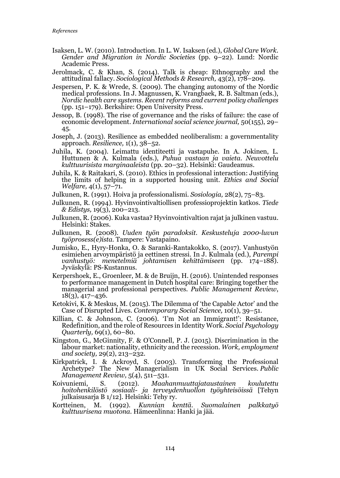- Isaksen, L. W. (2010). Introduction. In L. W. Isaksen (ed.), *Global Care Work. Gender and Migration in Nordic Societies* (pp. 9–22). Lund: Nordic Academic Press.
- Jerolmack, C. & Khan, S. (2014). Talk is cheap: Ethnography and the attitudinal fallacy. *Sociological Methods & Research,* 43(2), 178–209.
- Jespersen, P. K. & Wrede, S. (2009). The changing autonomy of the Nordic medical professions. In J. Magnussen, K. Vrangbaek, R. B. Saltman (eds.), *Nordic health care systems. Recent reforms and current policy challenges* (pp. 151–179). Berkshire: Open University Press.
- Jessop, B. (1998). The rise of governance and the risks of failure: the case of economic development. *International social science journal,* 50(155), 29– 45.
- Joseph, J. (2013). Resilience as embedded neoliberalism: a governmentality approach. *Resilience,* 1(1), 38–52.
- Juhila, K. (2004). Leimattu identiteetti ja vastapuhe. In A. Jokinen, L. Huttunen & A. Kulmala (eds.), *Puhua vastaan ja vaieta. Neuvottelu kulttuurisista marginaaleista* (pp. 20–32). Helsinki: Gaudeamus.
- Juhila, K. & Raitakari, S. (2010). Ethics in professional interaction: Justifying the limits of helping in a supported housing unit. *Ethics and Social Welfare,* 4(1), 57–71.
- Julkunen, R. (1991). Hoiva ja professionalismi. *Sosiologia,* 28(2), 75–83.
- Julkunen, R. (1994). Hyvinvointivaltiollisen professioprojektin katkos. *Tiede & Edistys,* 19(3), 200–213.
- Julkunen, R. (2006). Kuka vastaa? Hyvinvointivaltion rajat ja julkinen vastuu. Helsinki: Stakes.
- Julkunen, R. (2008). *Uuden työn paradoksit. Keskusteluja 2000-luvun työprosess(e)ista.* Tampere: Vastapaino.
- Jumisko, E., Hyry-Honka, O. & Saranki-Rantakokko, S. (2017). Vanhustyön esimiehen arvoympäristö ja eettinen stressi. In J. Kulmala (ed.), *Parempi vanhustyö: menetelmiä johtamisen kehittämiseen* (pp. 174–188). Jyväskylä: PS-Kustannus.
- Kerpershoek, E., Groenleer, M. & de Bruijn, H. (2016). Unintended responses to performance management in Dutch hospital care: Bringing together the managerial and professional perspectives. *Public Management Review*, 18(3), 417–436.
- Ketokivi, K. & Meskus, M. (2015). The Dilemma of 'the Capable Actor' and the Case of Disrupted Lives. *Contemporary Social Science,* 10(1), 39–51.
- Killian, C. & Johnson, C. (2006). 'I'm Not an Immigrant!': Resistance, Redefinition, and the role of Resources in Identity Work. *Social Psychology Quarterly,* 69(1), 60–80.
- Kingston, G., McGinnity, F. & O'Connell, P. J. (2015). Discrimination in the labour market: nationality, ethnicity and the recession. *Work, employment and society,* 29(2), 213–232.
- Kirkpatrick, I. & Ackroyd, S. (2003). Transforming the Professional Archetype? The New Managerialism in UK Social Services. *Public Management Review,* 5(4), 511–531.
- Koivuniemi, S. (2012). *Maahanmuuttajataustainen koulutettu hoitohenkilöstö sosiaali- ja terveydenhuollon työyhteisöissä* [Tehyn julkaisusarja B 1/12]. Helsinki: Tehy ry.
- Kortteinen, M. (1992). *Kunnian kenttä. Suomalainen palkkatyö kulttuurisena muotona.* Hämeenlinna: Hanki ja jää.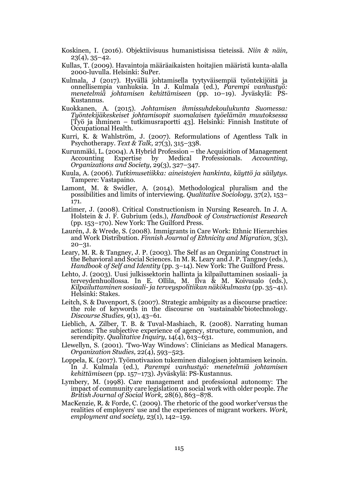- Koskinen, I. (2016). Objektiivisuus humanistisissa tieteissä. *Niin & näin,*  $23(4)$ ,  $35-42$ .
- Kullas, T. (2009). Havaintoja määräaikaisten hoitajien määristä kunta-alalla 2000-luvulla. Helsinki: SuPer.
- Kulmala, J (2017). Hyvällä johtamisella tyytyväisempiä työntekijöitä ja onnellisempia vanhuksia. In J. Kulmala (ed.), *Parempi vanhustyö: menetelmiä johtamisen kehittämiseen* (pp. 10–19). Jyväskylä: PS-Kustannus.
- Kuokkanen, A. (2015). *Johtamisen ihmissuhdekoulukunta Suomessa: Työntekijäkeskeiset johtamisopit suomalaisen työelämän muutoksessa*  [Työ ja ihminen – tutkimusraportti 43]*.* Helsinki: Finnish Institute of Occupational Health.
- Kurri, K. & Wahlström, J. (2007). Reformulations of Agentless Talk in Psychotherapy. *Text & Talk,* 27(3), 315–338.
- Kurunmäki, L. (2004). A Hybrid Profession the Acquisition of Management<br>Accounting Expertise by Medical Professionals. Accounting, Medical Professionals. *Organizations and Society,* 29(3), 327–347.
- Kuula, A. (2006). *Tutkimusetiikka: aineistojen hankinta, käyttö ja säilytys.* Tampere: Vastapaino.
- Lamont, M. & Swidler, A. (2014). Methodological pluralism and the possibilities and limits of interviewing. *Qualitative Sociology,* 37(2), 153– 171.
- Latimer, J. (2008). Critical Constructionism in Nursing Research. In J. A. Holstein & J. F. Gubrium (eds.), *Handbook of Constructionist Research*  (pp. 153–170). New York: The Guilford Press.
- Laurén, J. & Wrede, S. (2008). Immigrants in Care Work: Ethnic Hierarchies and Work Distribution. *Finnish Journal of Ethnicity and Migration,* 3(3), 20–31.
- Leary, M. R. & Tangney, J. P. (2003). The Self as an Organizing Construct in the Behavioral and Social Sciences. In M. R. Leary and J. P. Tangney (eds.), *Handbook of Self and Identity* (pp. 3–14). New York: The Guilford Press.
- Lehto, J. (2003). Uusi julkissektorin hallinta ja kilpailuttaminen sosiaali- ja terveydenhuollossa. In E. Ollila, M. Ilva & M. Koivusalo (eds.), *Kilpailuttaminen sosiaali- ja terveyspolitiikan näkökulmasta* (pp. 35–41). Helsinki: Stakes.
- Leitch, S. & Davenport, S. (2007). Strategic ambiguity as a discourse practice: the role of keywords in the discourse on 'sustainable'biotechnology. *Discourse Studies,* 9(1), 43–61.
- Lieblich, A. Zilber, T. B. & Tuval-Mashiach, R. (2008). Narrating human actions: The subjective experience of agency, structure, communion, and serendipity. *Qualitative Inquiry,* 14(4), 613–631.
- Llewellyn, S. (2001). 'Two-Way Windows': Clinicians as Medical Managers. *Organization Studies,* 22(4), 593–523.
- Loppela, K. (2017). Työmotivaaion tukeminen dialogisen johtamisen keinoin. In J. Kulmala (ed.), *Parempi vanhustyö: menetelmiä johtamisen kehittämiseen* (pp. 157–173). Jyväskylä: PS-Kustannus.
- Lymbery, M. (1998). Care management and professional autonomy: The impact of community care legislation on social work with older people. *The British Journal of Social Work,* 28(6), 863–878.
- MacKenzie, R. & Forde, C. (2009). The rhetoric of the good worker'versus the realities of employers' use and the experiences of migrant workers. *Work, employment and society,* 23(1), 142–159.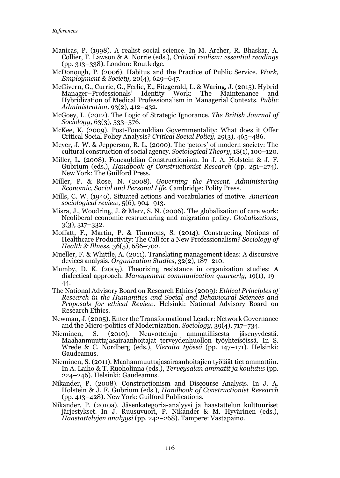- Manicas, P. (1998). A realist social science. In M. Archer, R. Bhaskar, A. Collier, T. Lawson & A. Norrie (eds.), *Critical realism: essential readings* (pp. 313–338). London: Routledge.
- McDonough, P. (2006). Habitus and the Practice of Public Service. *Work, Employment & Society,* 20(4), 629–647.
- McGivern, G., Currie, G., Ferlie, E., Fitzgerald, L. & Waring, J. (2015). Hybrid Manager–Professionals' Identity Work: The Maintenance and Hybridization of Medical Professionalism in Managerial Contexts. *Public Administration,* 93(2), 412–432.
- McGoey, L. (2012). The Logic of Strategic Ignorance. *The British Journal of Sociology,* 63(3), 533–576.
- McKee, K. (2009). Post-Foucauldian Governmentality: What does it Offer Critical Social Policy Analysis? *Critical Social Policy,* 29(3), 465–486.
- Meyer, J. W. & Jepperson, R. L. (2000). The 'actors' of modern society: The cultural construction of social agency. *Sociological Theory,* 18(1), 100–120.
- Miller, L. (2008). Foucauldian Constructionism. In J. A. Holstein & J. F. Gubrium (eds.), *Handbook of Constructionist Research* (pp. 251–274). New York: The Guilford Press.
- Miller, P. & Rose, N. (2008). *Governing the Present. Administering Economic, Social and Personal Life.* Cambridge: Polity Press.
- Mills, C. W. (1940). Situated actions and vocabularies of motive. *American sociological review,* 5(6), 904–913.
- Misra, J., Woodring, J. & Merz, S. N. (2006). The globalization of care work: Neoliberal economic restructuring and migration policy. *Globalizations,* 3(3), 317–332.
- Moffatt, F., Martin, P. & Timmons, S. (2014). Constructing Notions of Healthcare Productivity: The Call for a New Professionalism? *Sociology of Health & Illness*, 36(5), 686–702.
- Mueller, F. & Whittle, A. (2011). Translating management ideas: A discursive devices analysis. *Organization Studies*, 32(2), 187–210.
- Mumby, D. K. (2005). Theorizing resistance in organization studies: A dialectical approach. *Management communication quarterly,* 19(1), 19– 44.
- The National Advisory Board on Research Ethics (2009): *Ethical Principles of Research in the Humanities and Social and Behavioural Sciences and Proposals for ethical Review.* Helsinki: National Advisory Board on Research Ethics.
- Newman, J. (2005). Enter the Transformational Leader: Network Governance and the Micro-politics of Modernization. *Sociology,* 39(4), 717–734.
- Nieminen, S. (2010). Neuvotteluja ammatillisesta jäsenyydestä. Maahanmuuttajasairaanhoitajat terveydenhuollon työyhteisöissä. In S. Wrede & C. Nordberg (eds.), *Vieraita työssä* (pp. 147–171)*.* Helsinki: Gaudeamus.
- Nieminen, S. (2011). Maahanmuuttajasairaanhoitajien työläät tiet ammattiin. In A. Laiho & T. Ruoholinna (eds.), *Terveysalan ammatit ja koulutus* (pp. 224–246). Helsinki: Gaudeamus.
- Nikander, P. (2008). Constructionism and Discourse Analysis. In J. A. Holstein & J. F. Gubrium (eds.), *Handbook of Constructionist Research*  (pp. 413–428). New York: Guilford Publications.
- Nikander, P. (2010a). Jäsenkategoria-analyysi ja haastattelun kulttuuriset järjestykset. In J. Ruusuvuori, P. Nikander & M. Hyvärinen (eds.), *Haastattelujen analyysi* (pp. 242–268). Tampere: Vastapaino.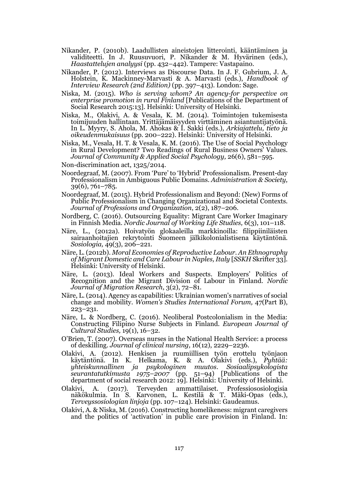- Nikander, P. (2010b). Laadullisten aineistojen litterointi, kääntäminen ja validiteetti. In J. Ruusuvuori, P. Nikander & M. Hyvärinen (eds.), *Haastattelujen analyysi* (pp. 432–442). Tampere: Vastapaino.
- Nikander, P. (2012). Interviews as Discourse Data. In J. F. Gubrium, J. A. Holstein, K. Mackinney-Marvasti & A. Marvasti (eds.), *Handbook of Interview Research (2nd Edition)* (pp. 397–413). London: Sage.
- Niska, M. (2015). *Who is serving whom? An agency-for perspective on enterprise promotion in rural Finland* [Publications of the Department of Social Research 2015:13]*.* Helsinki: University of Helsinki.
- Niska, M., Olakivi, A. & Vesala, K. M. (2014). Toimintojen tukemisesta toimijuuden hallintaan. Yrittäjämäisyyden virttäminen asiantuntijatyönä. In L. Myyry, S. Ahola, M. Ahokas & I. Sakki (eds.), *Arkiajattelu, tieto ja oikeudenmukaisuus* (pp. 200–222). Helsinki: University of Helsinki.
- Niska, M., Vesala, H. T. & Vesala, K. M. (2016). The Use of Social Psychology in Rural Development? Two Readings of Rural Business Owners' Values. *Journal of Community & Applied Social Psychology,* 26(6), 581–595.
- Non-discrimination act, 1325/2014.
- Noordegraaf, M. (2007). From 'Pure' to 'Hybrid' Professionalism. Present-day Professionalism in Ambiguous Public Domains. *Administration & Society,* 39(6), 761–785.
- Noordegraaf, M. (2015). Hybrid Professionalism and Beyond: (New) Forms of Public Professionalism in Changing Organizational and Societal Contexts. *Journal of Professions and Organization*, 2(2), 187–206.
- Nordberg, C. (2016). Outsourcing Equality: Migrant Care Worker Imaginary in Finnish Media. *Nordic Journal of Working Life Studies,* 6(3), 101–118.
- Näre, L., (2012a). Hoivatyön glokaaleilla markkinoilla: filippiiniläisten sairaanhoitajien rekrytointi Suomeen jälkikolonialistisena käytäntönä. *Sosiologia,* 49(3), 206–221.
- Näre, L. (2012b). *Moral Economies of Reproductive Labour. An Ethnography of Migrant Domestic and Care Labour in Naples, Italy* [*SSKH* Skrifter 33]. Helsinki: University of Helsinki.
- Näre, L. (2013). Ideal Workers and Suspects. Employers' Politics of Recognition and the Migrant Division of Labour in Finland. *Nordic Journal of Migration Research*, 3(2), 72–81.
- Näre, L. (2014). Agency as capabilities: Ukrainian women's narratives of social change and mobility. *Women's Studies International Forum,* 47(Part B), 223–231.
- Näre, L. & Nordberg, C. (2016). Neoliberal Postcolonialism in the Media: Constructing Filipino Nurse Subjects in Finland. *European Journal* o*f Cultural Studies,* 19(1), 16–32.
- O'Brien, T. (2007). Overseas nurses in the National Health Service: a process of deskilling. *Journal of clinical nursing,* 16(12), 2229–2236.
- Olakivi, A. (2012). Henkisen ja ruumiillisen työn erottelu työnjaon käytäntönä. In K. Helkama, K. & A. Olakivi (eds.), *Pyhtää: yhteiskunnallinen ja psykologinen muutos. Sosiaalipsykologista seurantatutkimusta 1975–2007* (pp. 51–94) [Publications of the department of social research 2012: 19]*.* Helsinki: University of Helsinki.
- Olakivi, A. (2017). Terveyden ammattilaiset. Professiososiologisia näkökulmia. In S. Karvonen, L. Kestilä & T. Mäki-Opas (eds.), *Terveyssosiologian linjoja* (pp. 107–124). Helsinki: Gaudeamus.
- Olakivi, A. & Niska, M. (2016). Constructing homelikeness: migrant caregivers and the politics of 'activation' in public care provision in Finland. In: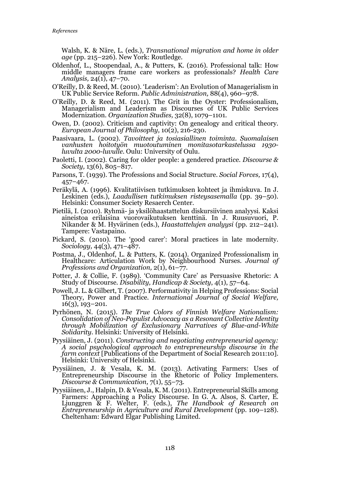Walsh, K. & Näre, L. (eds.), *Transnational migration and home in older age* (pp. 215–226). New York: Routledge.

- Oldenhof, L., Stoopendaal, A., & Putters, K. (2016). Professional talk: How middle managers frame care workers as professionals? *Health Care Analysis,* 24(1), 47–70.
- O'Reilly, D. & Reed, M. (2010). 'Leaderism': An Evolution of Managerialism in UK Public Service Reform. *Public Administration,* 88(4), 960–978.
- O'Reilly, D. & Reed, M. (2011). The Grit in the Oyster: Professionalism, Managerialism and Leaderism as Discourses of UK Public Services Modernization. *Organization Studies,* 32(8), 1079–1101.
- Owen, D. (2002). Criticism and captivity: On genealogy and critical theory. *European Journal of Philosophy,* 10(2), 216-230.
- Paasivaara, L. (2002). *Tavoitteet ja tosiasiallinen toiminta. Suomalaisen vanhusten hoitotyön muotoutuminen monitasotarkastelussa 1930 luvulta 2000-luvulle.* Oulu: University of Oulu.
- Paoletti, I. (2002). Caring for older people: a gendered practice. *Discourse & Society,* 13(6), 805–817.
- Parsons, T. (1939). The Professions and Social Structure. *Social Forces,* 17(4), 457–467.
- Peräkylä, A. (1996). Kvalitatiivisen tutkimuksen kohteet ja ihmiskuva. In J. Leskinen (eds.), *Laadullisen tutkimuksen risteysasemalla* (pp. 39–50)*.* Helsinki: Consumer Society Resaerch Center.
- Pietilä, I. (2010). Ryhmä- ja yksilöhaastattelun diskursiivinen analyysi. Kaksi aineistoa erilaisina vuorovaikutuksen kenttinä. In J. Ruusuvuori, P. Nikander & M. Hyvärinen (eds.), *Haastattelujen analyysi* (pp. 212–241). Tampere: Vastapaino.
- Pickard, S. (2010). The 'good carer': Moral practices in late modernity. *Sociology,* 44(3), 471–487.
- Postma, J., Oldenhof, L. & Putters, K. (2014). Organized Professionalism in Healthcare: Articulation Work by Neighbourhood Nurses. *Journal of Professions and Organization,* 2(1), 61–77.
- Potter, J. & Collie, F. (1989). 'Community Care' as Persuasive Rhetoric: A Study of Discourse. *Disability, Handicap & Society*, 4(1), 57–64.
- Powell, J. L. & Gilbert, T. (2007). Performativity in Helping Professions: Social Theory, Power and Practice. *International Journal of Social Welfare,* 16(3), 193–201.
- Pyrhönen, N. (2015). *The True Colors of Finnish Welfare Nationalism: Consolidation of Neo-Populist Advocacy as a Resonant Collective Identity through Mobilization of Exclusionary Narratives of Blue-and-White Solidarity.* Helsinki: University of Helsinki.
- Pyysiäinen, J. (2011). *Constructing and negotiating entrepreneurial agency: A social psychological approach to entrepreneurship discourse in the farm context* [Publications of the Department of Social Research 2011:10]*.* Helsinki: University of Helsinki.
- Pyysiäinen, J. & Vesala, K. M. (2013). Activating Farmers: Uses of Entrepreneurship Discourse in the Rhetoric of Policy Implementers. *Discourse & Communication,* 7(1), 55–73.
- Pyysiäinen, J., Halpin, D. & Vesala, K. M. (2011). Entrepreneurial Skills among Farmers: Approaching a Policy Discourse. In G. A. Alsos, S. Carter, E. Ljunggren & F. Welter, F. (eds.), *The Handbook of Research on Entrepreneurship in Agriculture and Rural Development* (pp. 109–128)*.* Cheltenham: Edward Elgar Publishing Limited.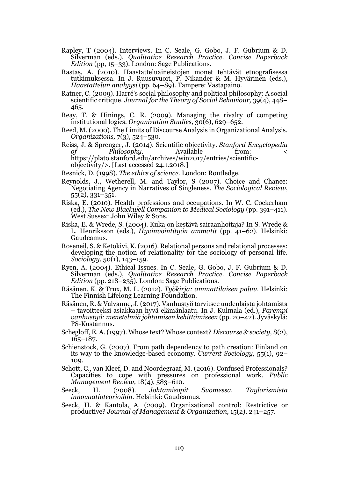- Rapley, T (2004). Interviews. In C. Seale, G. Gobo, J. F. Gubrium & D. Silverman (eds.), *Qualitative Research Practice. Concise Paperback Edition* (pp, 15–33)*.* London: Sage Publications.
- Rastas, A. (2010). Haastatteluaineistojen monet tehtävät etnografisessa tutkimuksessa. In J. Ruusuvuori, P. Nikander & M. Hyvärinen (eds.), *Haastattelun analyysi* (pp. 64–89)*.* Tampere: Vastapaino.
- Ratner, C. (2009). Harré's social philosophy and political philosophy: A social scientific critique. *Journal for the Theory of Social Behaviour,* 39(4), 448– 465.
- Reay, T. & Hinings, C. R. (2009). Managing the rivalry of competing institutional logics. *Organization Studies,* 30(6), 629–652.
- Reed, M. (2000). The Limits of Discourse Analysis in Organizational Analysis. *Organizations,* 7(3), 524–530.
- Reiss, J. & Sprenger, J. (2014). Scientific objectivity. *Stanford Encyclopedia of Philosophy.* Available from: < https://plato.stanford.edu/archives/win2017/entries/scientificobjectivity/>. [Last accessed 24.1.2018.]

Resnick, D. (1998). *The ethics of science.* London: Routledge.

- Reynolds, J., Wetherell, M. and Taylor, S (2007). Choice and Chance: Negotiating Agency in Narratives of Singleness. *The Sociological Review*, 55(2), 331–351.
- Riska, E. (2010). Health professions and occupations. In W. C. Cockerham (ed.), *The New Blackwell Companion to Medical Sociology* (pp. 391–411). West Sussex: John Wiley & Sons.
- Riska, E. & Wrede, S. (2004). Kuka on kestävä sairaanhoitaja? In S. Wrede & L. Henriksson (eds.), *Hyvinvointityön ammatit* (pp. 41–62). Helsinki: Gaudeamus.
- Roseneil, S. & Ketokivi, K. (2016). Relational persons and relational processes: developing the notion of relationality for the sociology of personal life. *Sociology,* 50(1), 143–159.
- Ryen, A. (2004). Ethical Issues. In C. Seale, G. Gobo, J. F. Gubrium & D. Silverman (eds.), *Qualitative Research Practice. Concise Paperback Edition* (pp. 218–235)*.* London: Sage Publications.
- Räsänen, K. & Trux, M. L. (2012). *Työkirja: ammattilaisen paluu.* Helsinki: The Finnish Lifelong Learning Foundation.
- Räsänen, R. & Valvanne, J. (2017). Vanhustyö tarvitsee uudenlaista johtamista – tavoitteeksi asiakkaan hyvä elämänlaatu. In J. Kulmala (ed.), *Parempi vanhustyö: menetelmiä johtamisen kehittämiseen* (pp. 20–42). Jyväskylä: PS-Kustannus.
- Schegloff, E. A. (1997). Whose text? Whose context? *Discourse & society,* 8(2), 165–187.
- Schienstock, G. (2007). From path dependency to path creation: Finland on its way to the knowledge-based economy. *Current Sociology,* 55(1), 92– 109.
- Schott, C., van Kleef, D. and Noordegraaf, M. (2016). Confused Professionals? Capacities to cope with pressures on professional work. *Public Management Review,* 18(4), 583–610.
- Seeck, H. (2008). *Johtamisopit Suomessa. Taylorismista innovaatioteorioihin.* Helsinki: Gaudeamus.
- Seeck, H. & Kantola, A. (2009). Organizational control: Restrictive or productive? *Journal of Management & Organization,* 15(2), 241–257.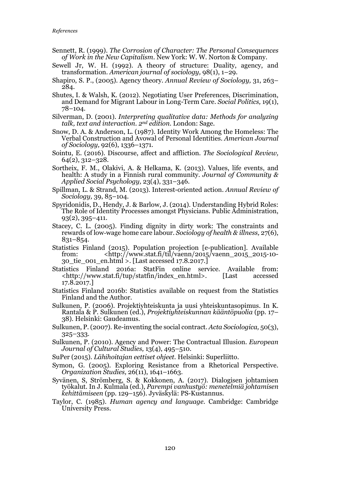- Sennett, R. (1999). *The Corrosion of Character: The Personal Consequences of Work in the New Capitalism*. New York: W. W. Norton & Company.
- Sewell Jr, W. H. (1992). A theory of structure: Duality, agency, and transformation. *American journal of sociology,* 98(1), 1–29.
- Shapiro, S. P., (2005). Agency theory. *Annual Review of Sociology,* 31, 263– 284.
- Shutes, I. & Walsh, K. (2012). Negotiating User Preferences, Discrimination, and Demand for Migrant Labour in Long-Term Care. *Social Politics,* 19(1), 78–104.
- Silverman, D. (2001). *Interpreting qualitative data: Methods for analyzing talk, text and interaction. 2nd edition.* London: Sage.
- Snow, D. A. & Anderson, L. (1987). Identity Work Among the Homeless: The Verbal Construction and Avowal of Personal Identities. *American Journal of Sociology,* 92(6), 1336–1371.
- Sointu, E. (2016). Discourse, affect and affliction. *The Sociological Review,* 64(2), 312–328.
- Sortheix, F. M., Olakivi, A. & Helkama, K. (2013). Values, life events, and health: A study in a Finnish rural community. *Journal of Community & Applied Social Psychology,* 23(4), 331–346.
- Spillman, L. & Strand, M. (2013). Interest-oriented action. *Annual Review of Sociology,* 39, 85–104.
- Spyridonidis, D., Hendy, J. & Barlow, J. (2014). Understanding Hybrid Roles: The Role of Identity Processes amongst Physicians. Public Administration, 93(2), 395–411.
- Stacey, C. L. (2005). Finding dignity in dirty work: The constraints and rewards of low‐wage home care labour. *Sociology of health & illness,* 27(6), 831–854.
- Statistics Finland (2015). Population projection [e-publication]. Available from: <http://www.stat.fi/til/vaenn/2015/vaenn\_2015\_2015-10- 30 tie  $\alpha$ 001 en.html >. [Last accessed 17.8.2017.]
- Statistics Finland 2016a: StatFin online service. Available from: <http://www.stat.fi/tup/statfin/index\_en.html>. [Last accessed 17.8.2017.]
- Statistics Finland 2016b: Statistics available on request from the Statistics Finland and the Author.
- Sulkunen, P. (2006). Projektiyhteiskunta ja uusi yhteiskuntasopimus. In K. Rantala & P. Sulkunen (ed.), *Projektiyhteiskunnan kääntöpuolia* (pp. 17– 38). Helsinki: Gaudeamus.
- Sulkunen, P. (2007). Re-inventing the social contract. *Acta Sociologica,* 50(3), 325–333.
- Sulkunen, P. (2010). Agency and Power: The Contractual Illusion. *European Journal of Cultural Studies,* 13(4), 495–510.
- SuPer (2015). *Lähihoitajan eettiset ohjeet.* Helsinki: Superliitto.
- Symon, G. (2005). Exploring Resistance from a Rhetorical Perspective. *Organization Studies,* 26(11), 1641–1663.
- Syvänen, S, Strömberg, S. & Kokkonen, A. (2017). Dialogisen johtamisen työkalut. In J. Kulmala (ed.), *Parempi vanhustyö: menetelmiä johtamisen kehittämiseen* (pp. 129–156). Jyväskylä: PS-Kustannus.
- Taylor, C. (1985). *Human agency and language.* Cambridge: Cambridge University Press.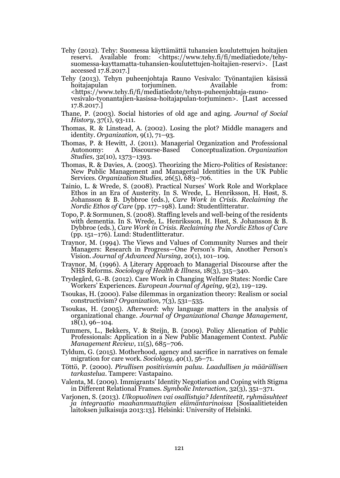- Tehy (2012). Tehy: Suomessa käyttämättä tuhansien koulutettujen hoitajien reservi. Available from: <https://www.tehy.fi/fi/mediatiedote/tehysuomessa-kayttamatta-tuhansien-koulutettujen-hoitajien-reservi>. [Last accessed 17.8.2017.]
- Tehy (2013). Tehyn puheenjohtaja Rauno Vesivalo: Työnantajien käsissä hoitajapulan torjuminen. Available from: <https://www.tehy.fi/fi/mediatiedote/tehyn-puheenjohtaja-raunovesivalo-tyonantajien-kasissa-hoitajapulan-torjuminen>. [Last accessed 17.8.2017.]
- Thane, P. (2003). Social histories of old age and aging. *Journal of Social History,* 37(1), 93-111.
- Thomas, R. & Linstead, A. (2002). Losing the plot? Middle managers and identity. *Organization,* 9(1), 71–93.
- Thomas, P. & Hewitt, J. (2011). Managerial Organization and Professional A Discourse-Based Conceptualization. *Organization Studies,* 32(10), 1373–1393.
- Thomas, R. & Davies, A. (2005). Theorizing the Micro-Politics of Resistance: New Public Management and Managerial Identities in the UK Public Services. *Organization Studies,* 26(5), 683–706.
- Tainio, L. & Wrede, S. (2008). Practical Nurses' Work Role and Workplace Ethos in an Era of Austerity. In S. Wrede, L. Henriksson, H. Høst, S. Johansson & B. Dybbroe (eds.), *Care Work in Crisis. Reclaiming the Nordic Ethos of Care* (pp. 177–198). Lund: Studentlitteratur.
- Topo, P. & Sormunen, S. (2008). Staffing levels and well-being of the residents with dementia. In S. Wrede, L. Henriksson, H. Høst, S. Johansson & B. Dybbroe (eds.), *Care Work in Crisis. Reclaiming the Nordic Ethos of Care*  (pp. 151–176). Lund: Studentlitteratur.
- Traynor, M. (1994). The Views and Values of Community Nurses and their Managers: Research in Progress—One Person's Pain, Another Person's Vision. *Journal of Advanced Nursing,* 20(1), 101–109.
- Traynor, M. (1996). A Literary Approach to Managerial Discourse after the NHS Reforms. *Sociology of Health & Illness,* 18(3), 315–340.
- Trydegård, G.-B. (2012). Care Work in Changing Welfare States: Nordic Care Workers' Experiences. *European Journal of Ageing,* 9(2), 119–129.
- Tsoukas, H. (2000). False dilemmas in organization theory: Realism or social constructivism? *Organization,* 7(3), 531–535.
- Tsoukas, H. (2005). Afterword: why language matters in the analysis of organizational change. *Journal of Organizational Change Management,* 18(1), 96–104.
- Tummers, L., Bekkers, V. & Steijn, B. (2009). Policy Alienation of Public Professionals: Application in a New Public Management Context. *Public Management Review,* 11(5), 685–706.
- Tyldum, G. (2015). Motherhood, agency and sacrifice in narratives on female migration for care work. *Sociology,* 40(1), 56–71.
- Töttö, P. (2000). *Pirullisen positivismin paluu. Laadullisen ja määrällisen tarkastelua.* Tampere: Vastapaino.
- Valenta, M. (2009). Immigrants' Identity Negotiation and Coping with Stigma in Different Relational Frames. *Symbolic Interaction,* 32(3), 351–371.
- Varjonen, S. (2013). *Ulkopuolinen vai osallistuja? Identiteetit, ryhmäsuhteet ja integraatio maahanmuuttajien elämäntarinoissa* [Sosiaalitieteiden laitoksen julkaisuja 2013:13]*.* Helsinki: University of Helsinki.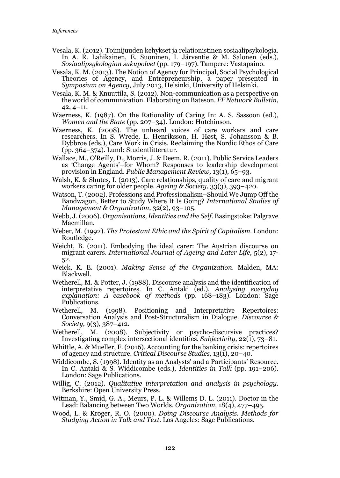- Vesala, K. (2012). Toimijuuden kehykset ja relationistinen sosiaalipsykologia. In A. R. Lahikainen, E. Suoninen, I. Järventie & M. Salonen (eds.), *Sosiaalipsykologian sukupolvet* (pp. 179–197)*.* Tampere: Vastapaino.
- Vesala, K. M. (2013). The Notion of Agency for Principal, Social Psychological Theories of Agency, and Entrepreneurship, a paper presented in *Symposium on Agency*, July 2013, Helsinki, University of Helsinki.
- Vesala, K. M. & Knuuttila, S. (2012). Non-communication as a perspective on the world of communication. Elaborating on Bateson. *FF Network Bulletin*, 42, 4–11.
- Waerness, K. (1987). On the Rationality of Caring In: A. S. Sassoon (ed.), *Women and the State* (pp. 207–34). London: Hutchinson.
- Waerness, K. (2008). The unheard voices of care workers and care researchers. In S. Wrede, L. Henriksson, H. Høst, S. Johansson & B. Dybbroe (eds.), Care Work in Crisis. Reclaiming the Nordic Ethos of Care (pp. 364–374). Lund: Studentlitteratur.
- Wallace, M., O'Reilly, D., Morris, J. & Deem, R. (2011). Public Service Leaders as 'Change Agents'–for Whom? Responses to leadership development provision in England. *Public Management Review,* 13(1), 65–93.
- Walsh, K. & Shutes, I. (2013). Care relationships, quality of care and migrant workers caring for older people. *Ageing & Society,* 33(3), 393–420.
- Watson, T. (2002). Professions and Professionalism–Should We Jump Off the Bandwagon, Better to Study Where It Is Going? *International Studies of Management & Organization,* 32(2), 93–105.
- Webb, J. (2006). *Organisations, Identities and the Self.* Basingstoke: Palgrave Macmillan.
- Weber, M. (1992). *The Protestant Ethic and the Spirit of Capitalism.* London: Routledge.
- Weicht, B. (2011). Embodying the ideal carer: The Austrian discourse on migrant carers. *International Journal of Ageing and Later Life,* 5(2), 17- 52.
- Weick, K. E. (2001). *Making Sense of the Organization.* Malden, MA: Blackwell.
- Wetherell, M. & Potter, J. (1988). Discourse analysis and the identification of interpretative repertoires. In C. Antaki (ed.), *Analysing everyday explanation: A casebook of methods* (pp. 168–183)*.* London: Sage Publications.
- Wetherell, M. (1998). Positioning and Interpretative Repertoires: Conversation Analysis and Post-Structuralism in Dialogue. *Discourse & Society,* 9(3), 387–412.
- Wetherell, M. (2008). Subjectivity or psycho-discursive practices? Investigating complex intersectional identities. *Subjectivity,* 22(1), 73–81.
- Whittle, A. & Mueller, F. (2016). Accounting for the banking crisis: repertoires of agency and structure. *Critical Discourse Studies,* 13(1), 20–40.
- Widdicombe, S. (1998). Identity as an Analysts' and a Participants' Resource. In C. Antaki & S. Widdicombe (eds.), *Identities in Talk* (pp. 191–206). London: Sage Publications.
- Willig, C. (2012). *Qualitative interpretation and analysis in psychology.* Berkshire: Open University Press.
- Witman, Y., Smid, G. A., Meurs, P. L. & Willems D. L. (2011). Doctor in the Lead: Balancing between Two Worlds. *Organization,* 18(4), 477–495.
- Wood, L. & Kroger, R. O. (2000). *Doing Discourse Analysis. Methods for Studying Action in Talk and Text*. Los Angeles: Sage Publications.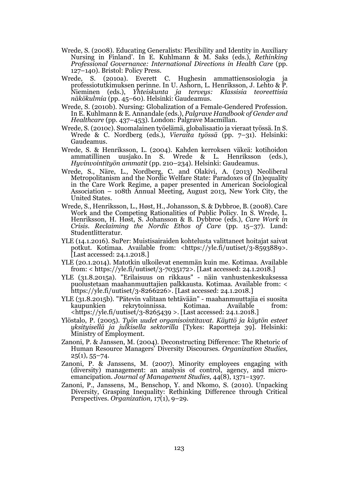- Wrede, S. (2008). Educating Generalists: Flexibility and Identity in Auxiliary Nursing in Finland'. In E. Kuhlmann & M. Saks (eds.), *Rethinking Professional Governance: International Directions in Health Care* (pp. 127–140). Bristol: Policy Press.
- Wrede, S. (2010a). Everett C. Hughesin ammattiensosiologia ja professiotutkimuksen perinne. In U. Ashorn, L. Henriksson, J. Lehto & P. Nieminen (eds.), *Yhteiskunta ja terveys: Klassisia teoreettisia näkökulmia* (pp. 45–60)*.* Helsinki: Gaudeamus.
- Wrede, S. (2010b). Nursing: Globalization of a Female-Gendered Profession. In E. Kuhlmann & E. Annandale (eds.), *Palgrave Handbook of Gender and Healthcare* (pp. 437–453). London: Palgrave Macmillan.
- Wrede, S. (2010c). Suomalainen työelämä, globalisaatio ja vieraat työssä. In S. Wrede & C. Nordberg (eds.), *Vieraita työssä* (pp. 7–31). Helsinki: Gaudeamus.
- Wrede, S. & Henriksson, L. (2004). Kahden kerroksen väkeä: kotihoidon ammatillinen uusjako. In S. Wrede & L. Henriksson (eds.), ammatillinen uusjako. In S. Wrede & L. *Hyvinvointityön ammatit* (pp. 210–234). Helsinki: Gaudeamus.
- Wrede, S., Näre, L., Nordberg, C. and Olakivi, A. (2013) Neoliberal Metropolitanism and the Nordic Welfare State: Paradoxes of (In)equality in the Care Work Regime, a paper presented in American Sociological Association – 108th Annual Meeting, August 2013, New York City, the United States.
- Wrede, S., Henriksson, L., Høst, H., Johansson, S. & Dybbroe, B. (2008). Care Work and the Competing Rationalities of Public Policy. In S. Wrede, L. Henriksson, H. Høst, S. Johansson & B. Dybbroe (eds.), *Care Work in Crisis. Reclaiming the Nordic Ethos of Care* (pp. 15–37). Lund: Studentlitteratur.
- YLE (14.1.2016). SuPer: Muistisairaiden kohtelusta valittaneet hoitajat saivat potkut. Kotimaa. Available from: <https://yle.fi/uutiset/3-8593889>. [Last accessed: 24.1.2018.]
- YLE (20.1.2014). Matotkin ulkoilevat enemmän kuin me. Kotimaa. Available from: < https://yle.fi/uutiset/3-7035172>. [Last accessed: 24.1.2018.]
- YLE (31.8.2015a). "Erilaisuus on rikkaus" näin vanhustenkeskuksessa puolustetaan maahanmuuttajien palkkausta. Kotimaa. Available from: < https://yle.fi/uutiset/3-8266226>. [Last accessed: 24.1.2018.]
- YLE (31.8.2015b). "Pätevin valitaan tehtävään" maahanmuuttajia ei suosita rekrytoinnissa. Kotimaa. Available from: <https://yle.fi/uutiset/3-8265439 >. [Last accessed: 24.1.2018.]
- Ylöstalo, P. (2005). *Työn uudet organisointitavat. Käyttö ja käytön esteet yksityisellä ja julkisella sektorilla* [Tykes: Raportteja 39]*.* Helsinki: Ministry of Employment.
- Zanoni, P. & Janssen, M. (2004). Deconstructing Difference: The Rhetoric of Human Resource Managers' Diversity Discourses. *Organization Studies,*  $25(1), 55-74.$
- Zanoni, P. & Janssens, M. (2007). Minority employees engaging with emancipation. *Journal of Management Studies*, 44(8), 1371–1397.
- Zanoni, P., Janssens, M., Benschop, Y. and Nkomo, S. (2010). Unpacking Diversity, Grasping Inequality: Rethinking Difference through Critical Perspectives. *Organization,* 17(1), 9–29.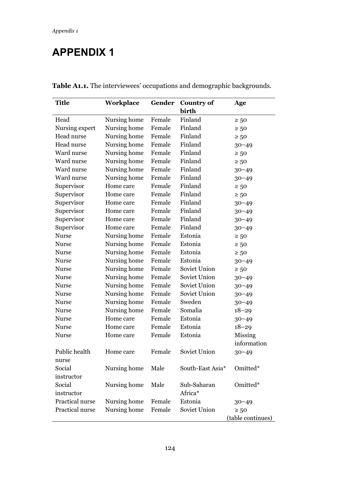# APPENDIX 1

| Title           | Workplace    | Gender | <b>Country of</b> | Age               |
|-----------------|--------------|--------|-------------------|-------------------|
|                 |              |        | birth             |                   |
| Head            | Nursing home | Female | Finland           | $\geq 50$         |
| Nursing expert  | Nursing home | Female | Finland           | $\geq 50$         |
| Head nurse      | Nursing home | Female | Finland           | $\geq 50$         |
| Head nurse      | Nursing home | Female | Finland           | $30 - 49$         |
| Ward nurse      | Nursing home | Female | Finland           | $\geq 50$         |
| Ward nurse      | Nursing home | Female | Finland           | $\geq 50$         |
| Ward nurse      | Nursing home | Female | Finland           | $30 - 49$         |
| Ward nurse      | Nursing home | Female | Finland           | $30 - 49$         |
| Supervisor      | Home care    | Female | Finland           | $\geq 50$         |
| Supervisor      | Home care    | Female | Finland           | $\geq 50$         |
| Supervisor      | Home care    | Female | Finland           | $30 - 49$         |
| Supervisor      | Home care    | Female | Finland           | $30 - 49$         |
| Supervisor      | Home care    | Female | Finland           | $30 - 49$         |
| Supervisor      | Home care    | Female | Finland           | $30 - 49$         |
| <b>Nurse</b>    | Nursing home | Female | Estonia           | $\geq 50$         |
| <b>Nurse</b>    | Nursing home | Female | Estonia           | $\geq 50$         |
| Nurse           | Nursing home | Female | Estonia           | $\geq 50$         |
| Nurse           | Nursing home | Female | Estonia           | $30 - 49$         |
| <b>Nurse</b>    | Nursing home | Female | Soviet Union      | $\geq 50$         |
| <b>Nurse</b>    | Nursing home | Female | Soviet Union      | $30 - 49$         |
| <b>Nurse</b>    | Nursing home | Female | Soviet Union      | $30 - 49$         |
| <b>Nurse</b>    | Nursing home | Female | Soviet Union      | $30 - 49$         |
| Nurse           | Nursing home | Female | Sweden            | $30 - 49$         |
| Nurse           | Nursing home | Female | Somalia           | $18 - 29$         |
| Nurse           | Home care    | Female | Estonia           | $30 - 49$         |
| <b>Nurse</b>    | Home care    | Female | Estonia           | $18 - 29$         |
| <b>Nurse</b>    | Home care    | Female | Estonia           | Missing           |
|                 |              |        |                   | information       |
| Public health   | Home care    | Female | Soviet Union      | $30 - 49$         |
| nurse           |              |        |                   |                   |
| Social          | Nursing home | Male   | South-East Asia*  | Omitted*          |
| instructor      |              |        |                   |                   |
| Social          | Nursing home | Male   | Sub-Saharan       | Omitted*          |
| instructor      |              |        | Africa*           |                   |
| Practical nurse | Nursing home | Female | Estonia           | $30 - 49$         |
| Practical nurse | Nursing home | Female | Soviet Union      | $\geq 50$         |
|                 |              |        |                   | (table continues) |

Table A1.1. The interviewees' occupations and demographic backgrounds.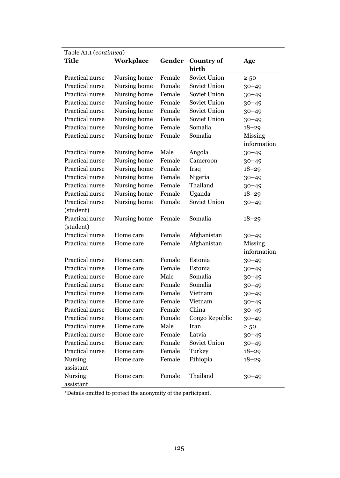| Table A1.1 (continued) |              |        |                   |             |  |  |
|------------------------|--------------|--------|-------------------|-------------|--|--|
| <b>Title</b>           | Workplace    | Gender | <b>Country of</b> | Age         |  |  |
|                        |              |        | birth             |             |  |  |
| Practical nurse        | Nursing home | Female | Soviet Union      | $\geq 50$   |  |  |
| Practical nurse        | Nursing home | Female | Soviet Union      | $30 - 49$   |  |  |
| Practical nurse        | Nursing home | Female | Soviet Union      | $30 - 49$   |  |  |
| Practical nurse        | Nursing home | Female | Soviet Union      | $30 - 49$   |  |  |
| Practical nurse        | Nursing home | Female | Soviet Union      | $30 - 49$   |  |  |
| Practical nurse        | Nursing home | Female | Soviet Union      | $30 - 49$   |  |  |
| Practical nurse        | Nursing home | Female | Somalia           | $18 - 29$   |  |  |
| Practical nurse        | Nursing home | Female | Somalia           | Missing     |  |  |
|                        |              |        |                   | information |  |  |
| Practical nurse        | Nursing home | Male   | Angola            | $30 - 49$   |  |  |
| Practical nurse        | Nursing home | Female | Cameroon          | $30 - 49$   |  |  |
| Practical nurse        | Nursing home | Female | Iraq              | $18 - 29$   |  |  |
| Practical nurse        | Nursing home | Female | Nigeria           | $30 - 49$   |  |  |
| Practical nurse        | Nursing home | Female | Thailand          | $30 - 49$   |  |  |
| Practical nurse        | Nursing home | Female | Uganda            | $18 - 29$   |  |  |
| Practical nurse        | Nursing home | Female | Soviet Union      | $30 - 49$   |  |  |
| (student)              |              |        |                   |             |  |  |
| Practical nurse        | Nursing home | Female | Somalia           | 18–29       |  |  |
| (student)              |              |        |                   |             |  |  |
| Practical nurse        | Home care    | Female | Afghanistan       | $30 - 49$   |  |  |
| Practical nurse        | Home care    | Female | Afghanistan       | Missing     |  |  |
|                        |              |        |                   | information |  |  |
| Practical nurse        | Home care    | Female | Estonia           | $30 - 49$   |  |  |
| Practical nurse        | Home care    | Female | Estonia           | $30 - 49$   |  |  |
| Practical nurse        | Home care    | Male   | Somalia           | $30 - 49$   |  |  |
| Practical nurse        | Home care    | Female | Somalia           | $30 - 49$   |  |  |
| Practical nurse        | Home care    | Female | Vietnam           | $30 - 49$   |  |  |
| Practical nurse        | Home care    | Female | Vietnam           | $30 - 49$   |  |  |
| Practical nurse        | Home care    | Female | China             | $30 - 49$   |  |  |
| Practical nurse        | Home care    | Female | Congo Republic    | $30 - 49$   |  |  |
| Practical nurse        | Home care    | Male   | Iran              | $\geq 50$   |  |  |
| Practical nurse        | Home care    | Female | Latvia            | $30 - 49$   |  |  |
| Practical nurse        | Home care    | Female | Soviet Union      | $30 - 49$   |  |  |
| Practical nurse        | Home care    | Female | Turkey            | $18 - 29$   |  |  |
| Nursing                | Home care    | Female | Ethiopia          | $18 - 29$   |  |  |
| assistant              |              |        |                   |             |  |  |
| Nursing                | Home care    | Female | Thailand          | $30 - 49$   |  |  |
| assistant              |              |        |                   |             |  |  |

\*Details omitted to protect the anonymity of the participant.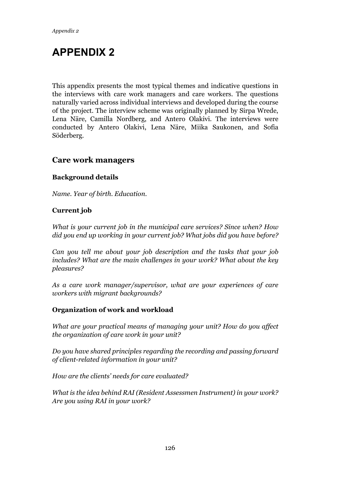## APPENDIX 2

This appendix presents the most typical themes and indicative questions in the interviews with care work managers and care workers. The questions naturally varied across individual interviews and developed during the course of the project. The interview scheme was originally planned by Sirpa Wrede, Lena Näre, Camilla Nordberg, and Antero Olakivi. The interviews were conducted by Antero Olakivi, Lena Näre, Miika Saukonen, and Sofia Söderberg.

## Care work managers

## Background details

*Name. Year of birth. Education.* 

## Current job

*What is your current job in the municipal care services? Since when? How did you end up working in your current job? What jobs did you have before?* 

*Can you tell me about your job description and the tasks that your job includes? What are the main challenges in your work? What about the key pleasures?* 

*As a care work manager/supervisor, what are your experiences of care workers with migrant backgrounds?* 

#### Organization of work and workload

*What are your practical means of managing your unit? How do you affect the organization of care work in your unit?* 

*Do you have shared principles regarding the recording and passing forward of client-related information in your unit?* 

*How are the clients' needs for care evaluated?* 

*What is the idea behind RAI (Resident Assessmen Instrument) in your work? Are you using RAI in your work?*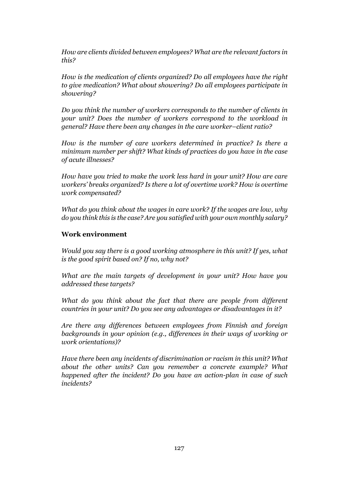*How are clients divided between employees? What are the relevant factors in this?* 

*How is the medication of clients organized? Do all employees have the right to give medication? What about showering? Do all employees participate in showering?* 

*Do you think the number of workers corresponds to the number of clients in your unit? Does the number of workers correspond to the workload in general? Have there been any changes in the care worker–client ratio?* 

*How is the number of care workers determined in practice? Is there a minimum number per shift? What kinds of practices do you have in the case of acute illnesses?* 

*How have you tried to make the work less hard in your unit? How are care workers' breaks organized? Is there a lot of overtime work? How is overtime work compensated?* 

*What do you think about the wages in care work? If the wages are low, why do you think this is the case? Are you satisfied with your own monthly salary?* 

## Work environment

*Would you say there is a good working atmosphere in this unit? If yes, what is the good spirit based on? If no, why not?* 

*What are the main targets of development in your unit? How have you addressed these targets?* 

*What do you think about the fact that there are people from different countries in your unit? Do you see any advantages or disadvantages in it?* 

*Are there any differences between employees from Finnish and foreign backgrounds in your opinion (e.g., differences in their ways of working or work orientations)?* 

*Have there been any incidents of discrimination or racism in this unit? What about the other units? Can you remember a concrete example? What happened after the incident? Do you have an action-plan in case of such incidents?*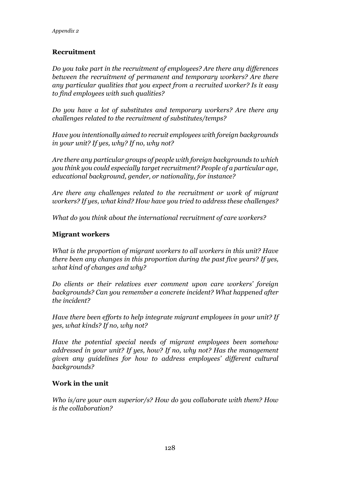## Recruitment

*Do you take part in the recruitment of employees? Are there any differences between the recruitment of permanent and temporary workers? Are there any particular qualities that you expect from a recruited worker? Is it easy to find employees with such qualities?* 

*Do you have a lot of substitutes and temporary workers? Are there any challenges related to the recruitment of substitutes/temps?* 

*Have you intentionally aimed to recruit employees with foreign backgrounds in your unit? If yes, why? If no, why not?* 

*Are there any particular groups of people with foreign backgrounds to which you think you could especially target recruitment? People of a particular age, educational background, gender, or nationality, for instance?*

*Are there any challenges related to the recruitment or work of migrant workers? If yes, what kind? How have you tried to address these challenges?* 

*What do you think about the international recruitment of care workers?* 

## Migrant workers

*What is the proportion of migrant workers to all workers in this unit? Have there been any changes in this proportion during the past five years? If yes, what kind of changes and why?* 

*Do clients or their relatives ever comment upon care workers' foreign backgrounds? Can you remember a concrete incident? What happened after the incident?* 

*Have there been efforts to help integrate migrant employees in your unit? If yes, what kinds? If no, why not?* 

*Have the potential special needs of migrant employees been somehow addressed in your unit? If yes, how? If no, why not? Has the management given any guidelines for how to address employees' different cultural backgrounds?* 

#### Work in the unit

*Who is/are your own superior/s? How do you collaborate with them? How is the collaboration?*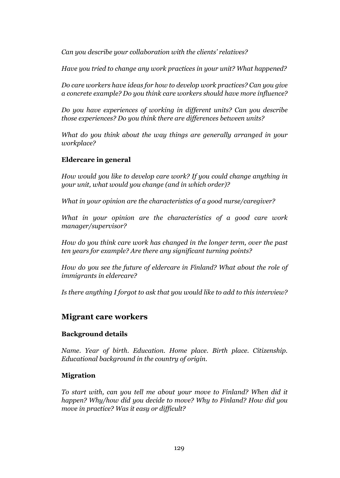*Can you describe your collaboration with the clients' relatives?* 

*Have you tried to change any work practices in your unit? What happened?* 

*Do care workers have ideas for how to develop work practices? Can you give a concrete example? Do you think care workers should have more influence?* 

*Do you have experiences of working in different units? Can you describe those experiences? Do you think there are differences between units?* 

*What do you think about the way things are generally arranged in your workplace?* 

#### Eldercare in general

*How would you like to develop care work? If you could change anything in your unit, what would you change (and in which order)?* 

*What in your opinion are the characteristics of a good nurse/caregiver?* 

*What in your opinion are the characteristics of a good care work manager/supervisor?* 

*How do you think care work has changed in the longer term, over the past ten years for example? Are there any significant turning points?* 

*How do you see the future of eldercare in Finland? What about the role of immigrants in eldercare?* 

*Is there anything I forgot to ask that you would like to add to this interview?* 

## Migrant care workers

#### Background details

*Name. Year of birth. Education. Home place. Birth place. Citizenship. Educational background in the country of origin.*

#### Migration

*To start with, can you tell me about your move to Finland? When did it happen? Why/how did you decide to move? Why to Finland? How did you move in practice? Was it easy or difficult?*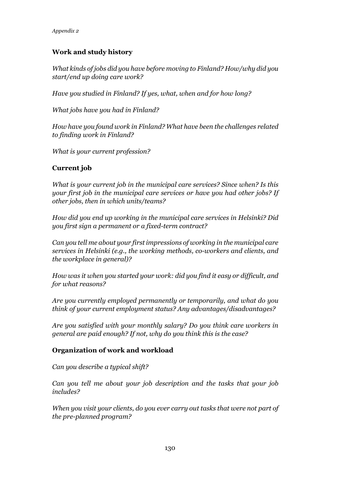## Work and study history

*What kinds of jobs did you have before moving to Finland? How/why did you start/end up doing care work?* 

*Have you studied in Finland? If yes, what, when and for how long?* 

*What jobs have you had in Finland?* 

*How have you found work in Finland? What have been the challenges related to finding work in Finland?* 

*What is your current profession?* 

#### Current job

*What is your current job in the municipal care services? Since when? Is this your first job in the municipal care services or have you had other jobs? If other jobs, then in which units/teams?* 

*How did you end up working in the municipal care services in Helsinki? Did you first sign a permanent or a fixed-term contract?* 

*Can you tell me about your first impressions of working in the municipal care services in Helsinki (e.g., the working methods, co-workers and clients, and the workplace in general)?* 

*How was it when you started your work: did you find it easy or difficult, and for what reasons?* 

*Are you currently employed permanently or temporarily, and what do you think of your current employment status? Any advantages/disadvantages?* 

*Are you satisfied with your monthly salary? Do you think care workers in general are paid enough? If not, why do you think this is the case?* 

#### Organization of work and workload

*Can you describe a typical shift?* 

*Can you tell me about your job description and the tasks that your job includes?*

*When you visit your clients, do you ever carry out tasks that were not part of the pre-planned program?*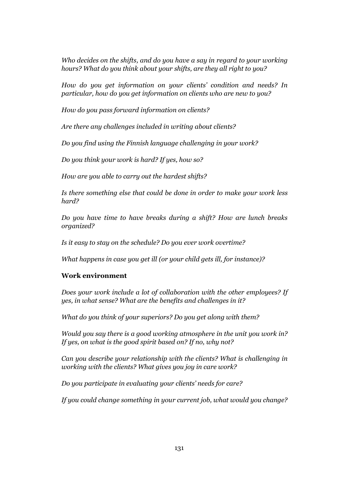*Who decides on the shifts, and do you have a say in regard to your working hours? What do you think about your shifts, are they all right to you?* 

*How do you get information on your clients' condition and needs? In particular, how do you get information on clients who are new to you?* 

*How do you pass forward information on clients?* 

*Are there any challenges included in writing about clients?* 

*Do you find using the Finnish language challenging in your work?* 

*Do you think your work is hard? If yes, how so?* 

*How are you able to carry out the hardest shifts?* 

*Is there something else that could be done in order to make your work less hard?* 

*Do you have time to have breaks during a shift? How are lunch breaks organized?* 

*Is it easy to stay on the schedule? Do you ever work overtime?* 

*What happens in case you get ill (or your child gets ill, for instance)?* 

## Work environment

*Does your work include a lot of collaboration with the other employees? If yes, in what sense? What are the benefits and challenges in it?* 

*What do you think of your superiors? Do you get along with them?* 

*Would you say there is a good working atmosphere in the unit you work in? If yes, on what is the good spirit based on? If no, why not?* 

*Can you describe your relationship with the clients? What is challenging in working with the clients? What gives you joy in care work?* 

*Do you participate in evaluating your clients' needs for care?* 

*If you could change something in your current job, what would you change?*